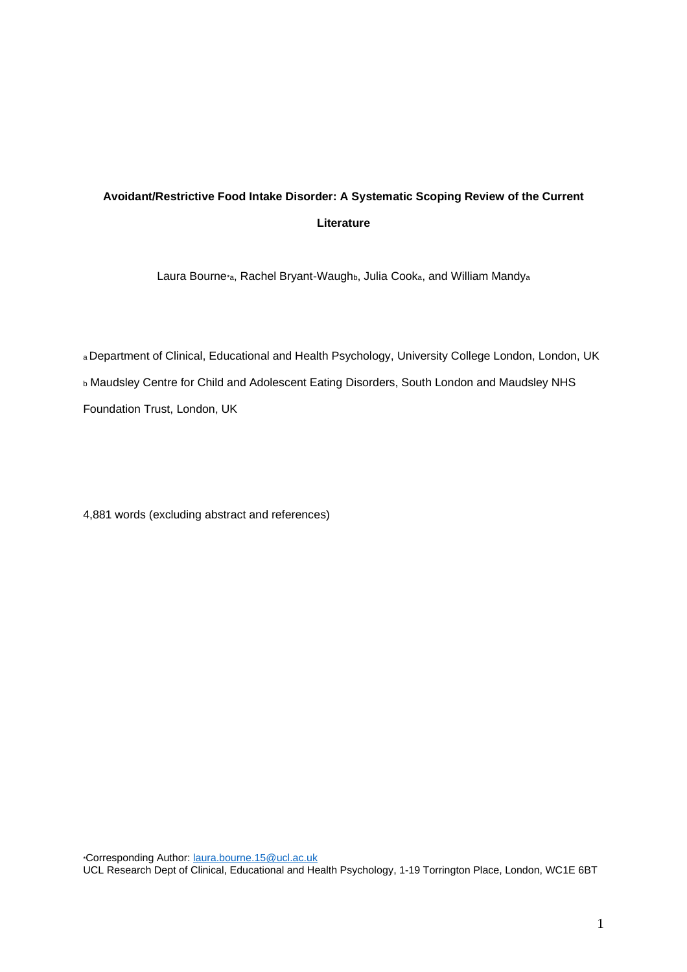# **Avoidant/Restrictive Food Intake Disorder: A Systematic Scoping Review of the Current Literature**

Laura Bourne\*a, Rachel Bryant-Waughb, Julia Cooka, and William Mandya

a Department of Clinical, Educational and Health Psychology, University College London, London, UK <sup>b</sup> Maudsley Centre for Child and Adolescent Eating Disorders, South London and Maudsley NHS Foundation Trust, London, UK

4,881 words (excluding abstract and references)

\*Corresponding Author: [laura.bourne.15@ucl.ac.uk](mailto:laura.bourne.15@ucl.ac.uk) UCL Research Dept of Clinical, Educational and Health Psychology, 1-19 Torrington Place, London, WC1E 6BT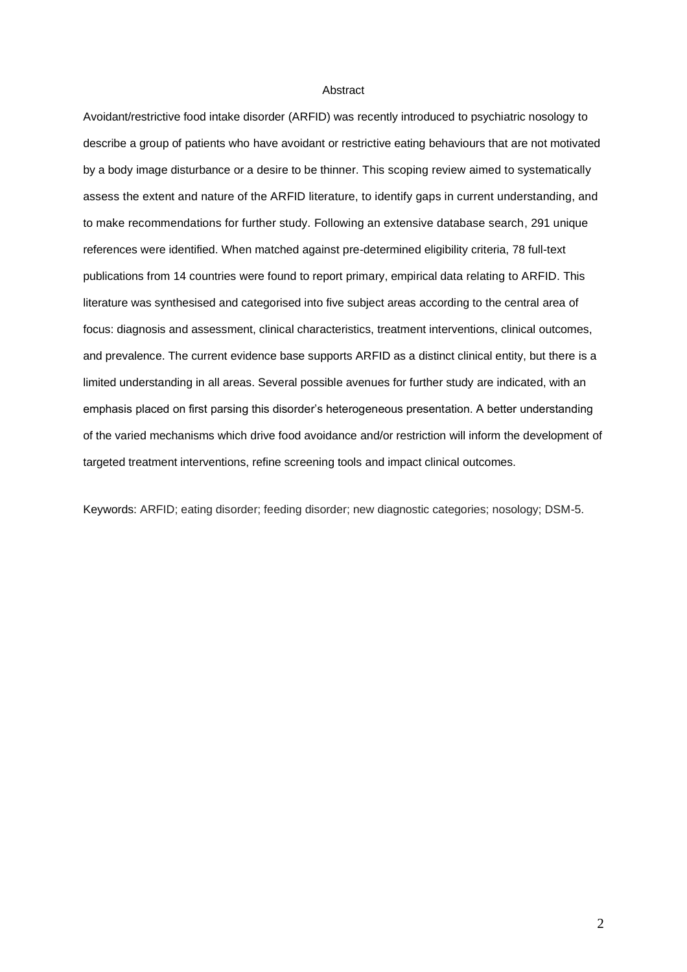#### Abstract

Avoidant/restrictive food intake disorder (ARFID) was recently introduced to psychiatric nosology to describe a group of patients who have avoidant or restrictive eating behaviours that are not motivated by a body image disturbance or a desire to be thinner. This scoping review aimed to systematically assess the extent and nature of the ARFID literature, to identify gaps in current understanding, and to make recommendations for further study. Following an extensive database search, 291 unique references were identified. When matched against pre-determined eligibility criteria, 78 full-text publications from 14 countries were found to report primary, empirical data relating to ARFID. This literature was synthesised and categorised into five subject areas according to the central area of focus: diagnosis and assessment, clinical characteristics, treatment interventions, clinical outcomes, and prevalence. The current evidence base supports ARFID as a distinct clinical entity, but there is a limited understanding in all areas. Several possible avenues for further study are indicated, with an emphasis placed on first parsing this disorder's heterogeneous presentation. A better understanding of the varied mechanisms which drive food avoidance and/or restriction will inform the development of targeted treatment interventions, refine screening tools and impact clinical outcomes.

Keywords: ARFID; eating disorder; feeding disorder; new diagnostic categories; nosology; DSM-5.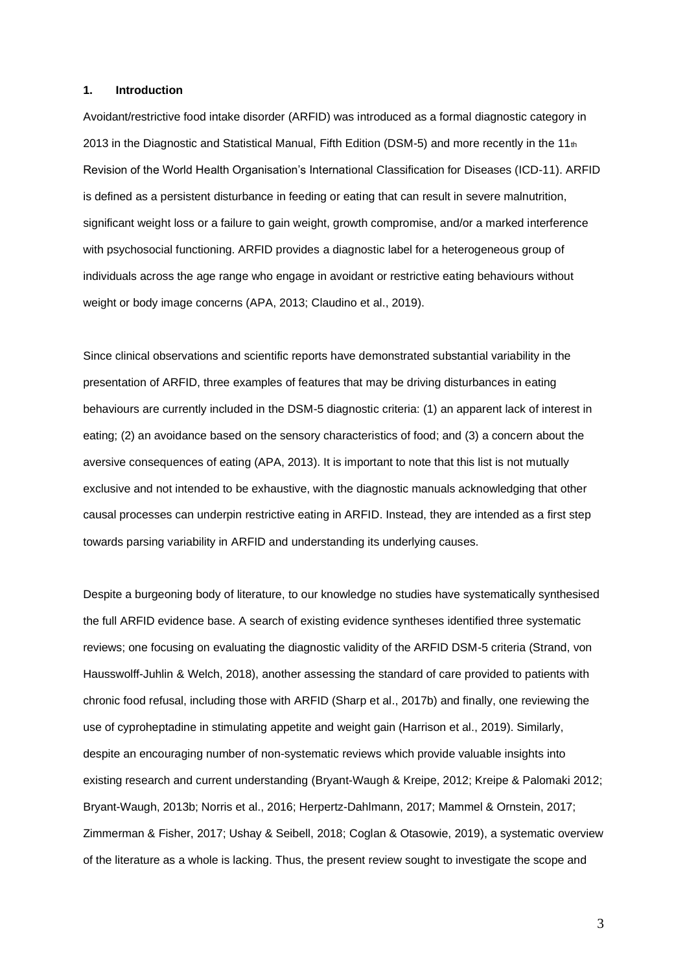### **1. Introduction**

Avoidant/restrictive food intake disorder (ARFID) was introduced as a formal diagnostic category in 2013 in the Diagnostic and Statistical Manual, Fifth Edition (DSM-5) and more recently in the 11 $<sub>th</sub>$ </sub> Revision of the World Health Organisation's International Classification for Diseases (ICD-11). ARFID is defined as a persistent disturbance in feeding or eating that can result in severe malnutrition, significant weight loss or a failure to gain weight, growth compromise, and/or a marked interference with psychosocial functioning. ARFID provides a diagnostic label for a heterogeneous group of individuals across the age range who engage in avoidant or restrictive eating behaviours without weight or body image concerns (APA, 2013; Claudino et al., 2019).

Since clinical observations and scientific reports have demonstrated substantial variability in the presentation of ARFID, three examples of features that may be driving disturbances in eating behaviours are currently included in the DSM-5 diagnostic criteria: (1) an apparent lack of interest in eating; (2) an avoidance based on the sensory characteristics of food; and (3) a concern about the aversive consequences of eating (APA, 2013). It is important to note that this list is not mutually exclusive and not intended to be exhaustive, with the diagnostic manuals acknowledging that other causal processes can underpin restrictive eating in ARFID. Instead, they are intended as a first step towards parsing variability in ARFID and understanding its underlying causes.

Despite a burgeoning body of literature, to our knowledge no studies have systematically synthesised the full ARFID evidence base. A search of existing evidence syntheses identified three systematic reviews; one focusing on evaluating the diagnostic validity of the ARFID DSM-5 criteria (Strand, von Hausswolff-Juhlin & Welch, 2018), another assessing the standard of care provided to patients with chronic food refusal, including those with ARFID (Sharp et al., 2017b) and finally, one reviewing the use of cyproheptadine in stimulating appetite and weight gain (Harrison et al., 2019). Similarly, despite an encouraging number of non-systematic reviews which provide valuable insights into existing research and current understanding (Bryant-Waugh & Kreipe, 2012; Kreipe & Palomaki 2012; Bryant-Waugh, 2013b; Norris et al., 2016; Herpertz-Dahlmann, 2017; Mammel & Ornstein, 2017; Zimmerman & Fisher, 2017; Ushay & Seibell, 2018; Coglan & Otasowie, 2019), a systematic overview of the literature as a whole is lacking. Thus, the present review sought to investigate the scope and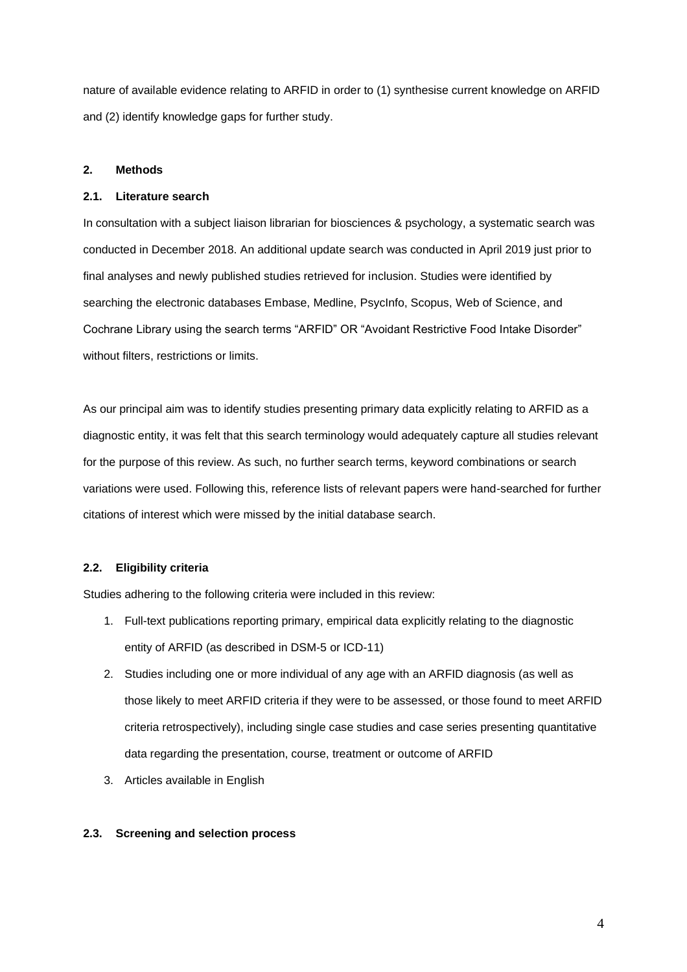nature of available evidence relating to ARFID in order to (1) synthesise current knowledge on ARFID and (2) identify knowledge gaps for further study.

# **2. Methods**

# **2.1. Literature search**

In consultation with a subject liaison librarian for biosciences & psychology, a systematic search was conducted in December 2018. An additional update search was conducted in April 2019 just prior to final analyses and newly published studies retrieved for inclusion. Studies were identified by searching the electronic databases Embase, Medline, PsycInfo, Scopus, Web of Science, and Cochrane Library using the search terms "ARFID" OR "Avoidant Restrictive Food Intake Disorder" without filters, restrictions or limits.

As our principal aim was to identify studies presenting primary data explicitly relating to ARFID as a diagnostic entity, it was felt that this search terminology would adequately capture all studies relevant for the purpose of this review. As such, no further search terms, keyword combinations or search variations were used. Following this, reference lists of relevant papers were hand-searched for further citations of interest which were missed by the initial database search.

# **2.2. Eligibility criteria**

Studies adhering to the following criteria were included in this review:

- 1. Full-text publications reporting primary, empirical data explicitly relating to the diagnostic entity of ARFID (as described in DSM-5 or ICD-11)
- 2. Studies including one or more individual of any age with an ARFID diagnosis (as well as those likely to meet ARFID criteria if they were to be assessed, or those found to meet ARFID criteria retrospectively), including single case studies and case series presenting quantitative data regarding the presentation, course, treatment or outcome of ARFID
- 3. Articles available in English

# **2.3. Screening and selection process**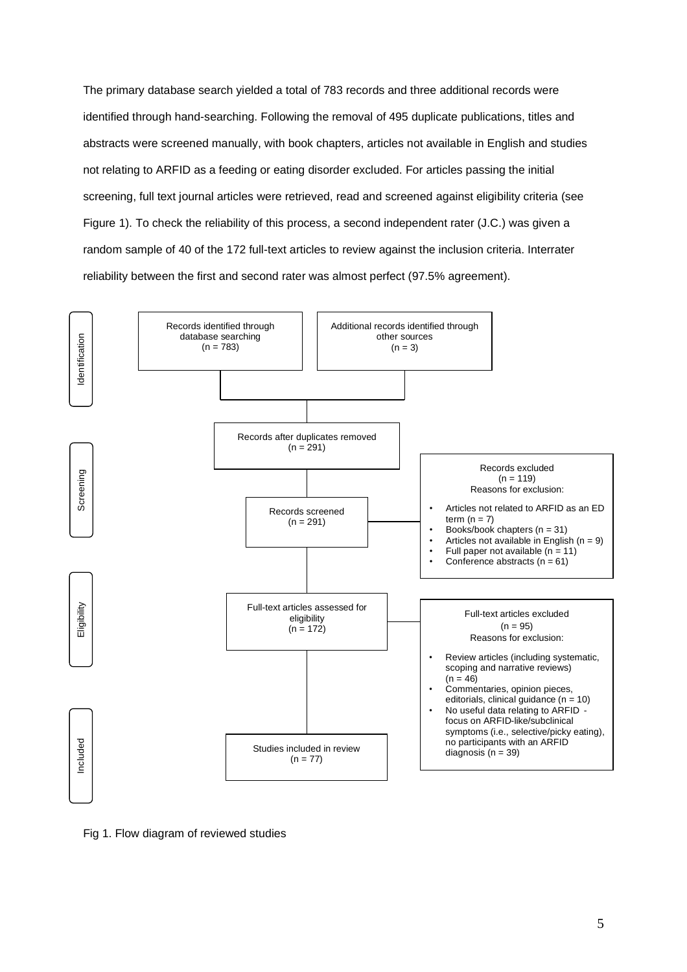The primary database search yielded a total of 783 records and three additional records were identified through hand-searching. Following the removal of 495 duplicate publications, titles and abstracts were screened manually, with book chapters, articles not available in English and studies not relating to ARFID as a feeding or eating disorder excluded. For articles passing the initial screening, full text journal articles were retrieved, read and screened against eligibility criteria (see Figure 1). To check the reliability of this process, a second independent rater (J.C.) was given a random sample of 40 of the 172 full-text articles to review against the inclusion criteria. Interrater reliability between the first and second rater was almost perfect (97.5% agreement).



Fig 1. Flow diagram of reviewed studies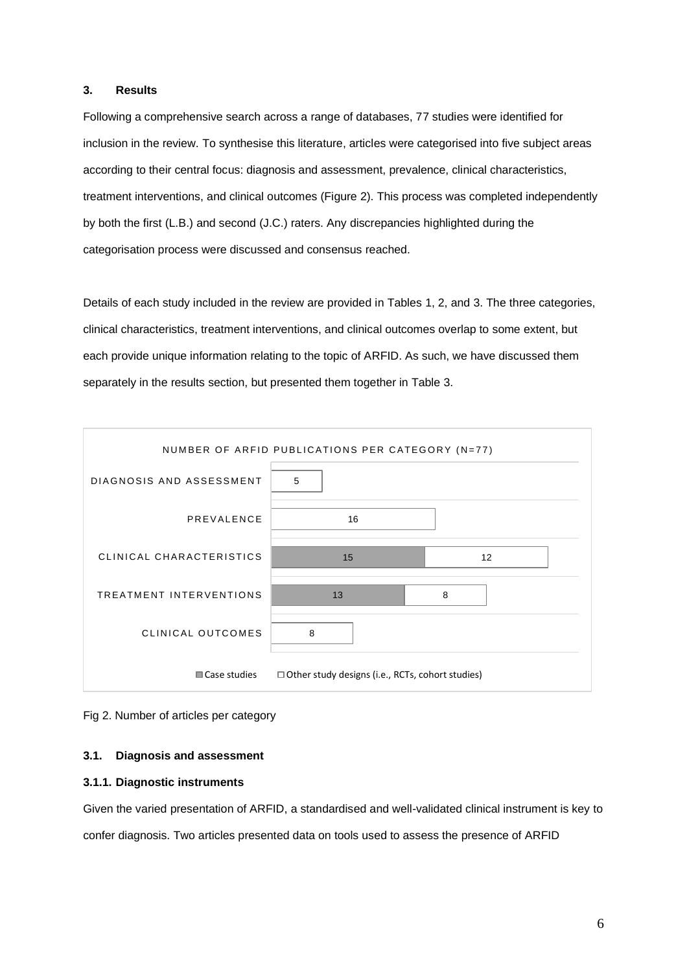# **3. Results**

Following a comprehensive search across a range of databases, 77 studies were identified for inclusion in the review. To synthesise this literature, articles were categorised into five subject areas according to their central focus: diagnosis and assessment, prevalence, clinical characteristics, treatment interventions, and clinical outcomes (Figure 2). This process was completed independently by both the first (L.B.) and second (J.C.) raters. Any discrepancies highlighted during the categorisation process were discussed and consensus reached.

Details of each study included in the review are provided in Tables 1, 2, and 3. The three categories, clinical characteristics, treatment interventions, and clinical outcomes overlap to some extent, but each provide unique information relating to the topic of ARFID. As such, we have discussed them separately in the results section, but presented them together in Table 3.



Fig 2. Number of articles per category

# **3.1. Diagnosis and assessment**

# **3.1.1. Diagnostic instruments**

Given the varied presentation of ARFID, a standardised and well-validated clinical instrument is key to confer diagnosis. Two articles presented data on tools used to assess the presence of ARFID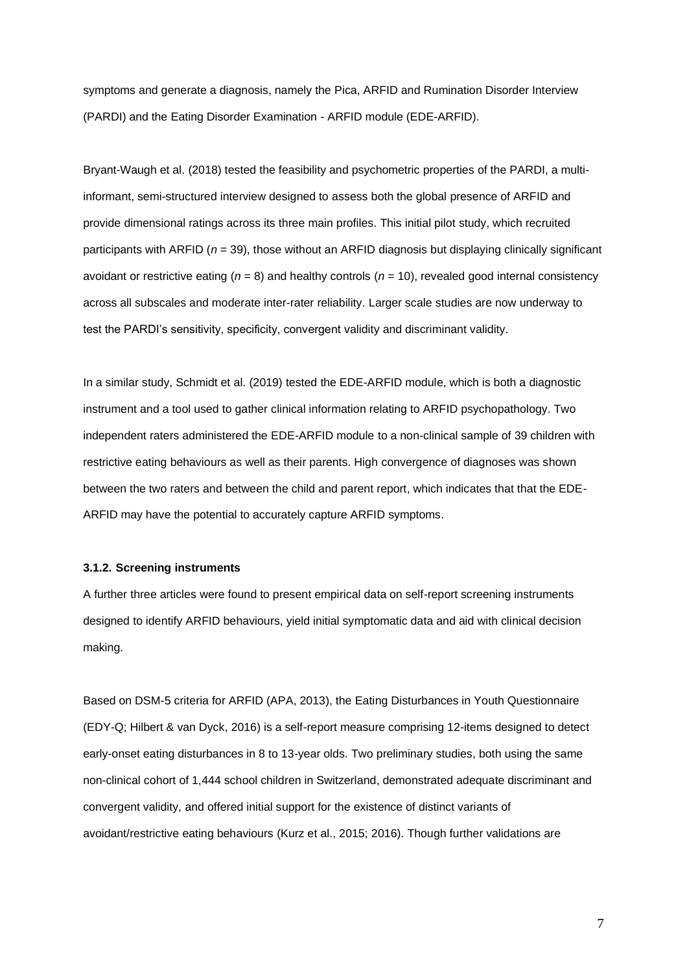symptoms and generate a diagnosis, namely the Pica, ARFID and Rumination Disorder Interview (PARDI) and the Eating Disorder Examination - ARFID module (EDE-ARFID).

Bryant-Waugh et al. (2018) tested the feasibility and psychometric properties of the PARDI, a multiinformant, semi-structured interview designed to assess both the global presence of ARFID and provide dimensional ratings across its three main profiles. This initial pilot study, which recruited participants with ARFID (*n* = 39), those without an ARFID diagnosis but displaying clinically significant avoidant or restrictive eating (*n* = 8) and healthy controls (*n* = 10), revealed good internal consistency across all subscales and moderate inter-rater reliability. Larger scale studies are now underway to test the PARDI's sensitivity, specificity, convergent validity and discriminant validity.

In a similar study, Schmidt et al. (2019) tested the EDE-ARFID module, which is both a diagnostic instrument and a tool used to gather clinical information relating to ARFID psychopathology. Two independent raters administered the EDE-ARFID module to a non-clinical sample of 39 children with restrictive eating behaviours as well as their parents. High convergence of diagnoses was shown between the two raters and between the child and parent report, which indicates that that the EDE-ARFID may have the potential to accurately capture ARFID symptoms.

#### **3.1.2. Screening instruments**

A further three articles were found to present empirical data on self-report screening instruments designed to identify ARFID behaviours, yield initial symptomatic data and aid with clinical decision making.

Based on DSM-5 criteria for ARFID (APA, 2013), the Eating Disturbances in Youth Questionnaire (EDY-Q; Hilbert & van Dyck, 2016) is a self-report measure comprising 12-items designed to detect early-onset eating disturbances in 8 to 13-year olds. Two preliminary studies, both using the same non-clinical cohort of 1,444 school children in Switzerland, demonstrated adequate discriminant and convergent validity, and offered initial support for the existence of distinct variants of avoidant/restrictive eating behaviours (Kurz et al., 2015; 2016). Though further validations are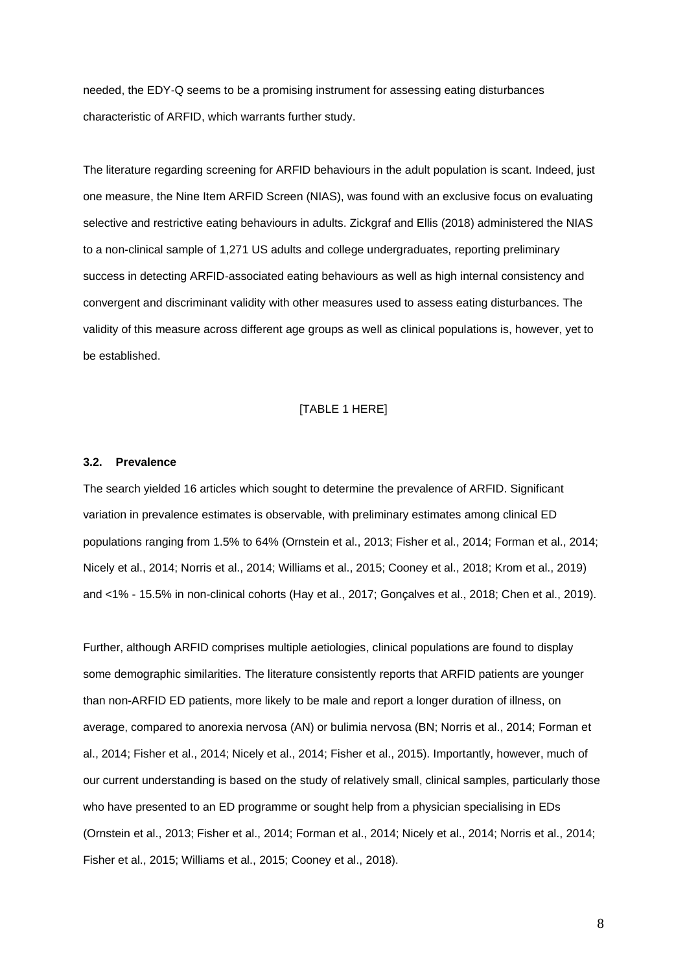needed, the EDY-Q seems to be a promising instrument for assessing eating disturbances characteristic of ARFID, which warrants further study.

The literature regarding screening for ARFID behaviours in the adult population is scant. Indeed, just one measure, the Nine Item ARFID Screen (NIAS), was found with an exclusive focus on evaluating selective and restrictive eating behaviours in adults. Zickgraf and Ellis (2018) administered the NIAS to a non-clinical sample of 1,271 US adults and college undergraduates, reporting preliminary success in detecting ARFID-associated eating behaviours as well as high internal consistency and convergent and discriminant validity with other measures used to assess eating disturbances. The validity of this measure across different age groups as well as clinical populations is, however, yet to be established.

### [TABLE 1 HERE]

#### **3.2. Prevalence**

The search yielded 16 articles which sought to determine the prevalence of ARFID. Significant variation in prevalence estimates is observable, with preliminary estimates among clinical ED populations ranging from 1.5% to 64% (Ornstein et al., 2013; Fisher et al., 2014; Forman et al., 2014; Nicely et al., 2014; Norris et al., 2014; Williams et al., 2015; Cooney et al., 2018; Krom et al., 2019) and <1% - 15.5% in non-clinical cohorts (Hay et al., 2017; Gonçalves et al., 2018; Chen et al., 2019).

Further, although ARFID comprises multiple aetiologies, clinical populations are found to display some demographic similarities. The literature consistently reports that ARFID patients are younger than non-ARFID ED patients, more likely to be male and report a longer duration of illness, on average, compared to anorexia nervosa (AN) or bulimia nervosa (BN; Norris et al., 2014; Forman et al., 2014; Fisher et al., 2014; Nicely et al., 2014; Fisher et al., 2015). Importantly, however, much of our current understanding is based on the study of relatively small, clinical samples, particularly those who have presented to an ED programme or sought help from a physician specialising in EDs (Ornstein et al., 2013; Fisher et al., 2014; Forman et al., 2014; Nicely et al., 2014; Norris et al., 2014; Fisher et al., 2015; Williams et al., 2015; Cooney et al., 2018).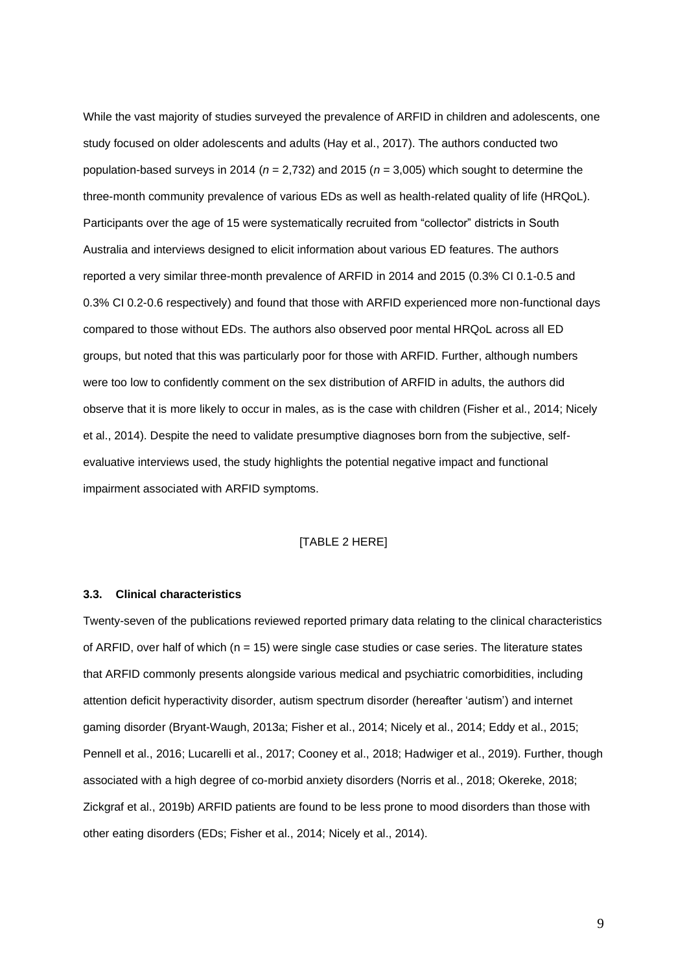While the vast majority of studies surveyed the prevalence of ARFID in children and adolescents, one study focused on older adolescents and adults (Hay et al., 2017). The authors conducted two population-based surveys in 2014 (*n* = 2,732) and 2015 (*n* = 3,005) which sought to determine the three-month community prevalence of various EDs as well as health-related quality of life (HRQoL). Participants over the age of 15 were systematically recruited from "collector" districts in South Australia and interviews designed to elicit information about various ED features. The authors reported a very similar three-month prevalence of ARFID in 2014 and 2015 (0.3% CI 0.1-0.5 and 0.3% CI 0.2-0.6 respectively) and found that those with ARFID experienced more non-functional days compared to those without EDs. The authors also observed poor mental HRQoL across all ED groups, but noted that this was particularly poor for those with ARFID. Further, although numbers were too low to confidently comment on the sex distribution of ARFID in adults, the authors did observe that it is more likely to occur in males, as is the case with children (Fisher et al., 2014; Nicely et al., 2014). Despite the need to validate presumptive diagnoses born from the subjective, selfevaluative interviews used, the study highlights the potential negative impact and functional impairment associated with ARFID symptoms.

# [TABLE 2 HERE]

#### **3.3. Clinical characteristics**

Twenty-seven of the publications reviewed reported primary data relating to the clinical characteristics of ARFID, over half of which ( $n = 15$ ) were single case studies or case series. The literature states that ARFID commonly presents alongside various medical and psychiatric comorbidities, including attention deficit hyperactivity disorder, autism spectrum disorder (hereafter 'autism') and internet gaming disorder (Bryant-Waugh, 2013a; Fisher et al., 2014; Nicely et al., 2014; Eddy et al., 2015; Pennell et al., 2016; Lucarelli et al., 2017; Cooney et al., 2018; Hadwiger et al., 2019). Further, though associated with a high degree of co-morbid anxiety disorders (Norris et al., 2018; Okereke, 2018; Zickgraf et al., 2019b) ARFID patients are found to be less prone to mood disorders than those with other eating disorders (EDs; Fisher et al., 2014; Nicely et al., 2014).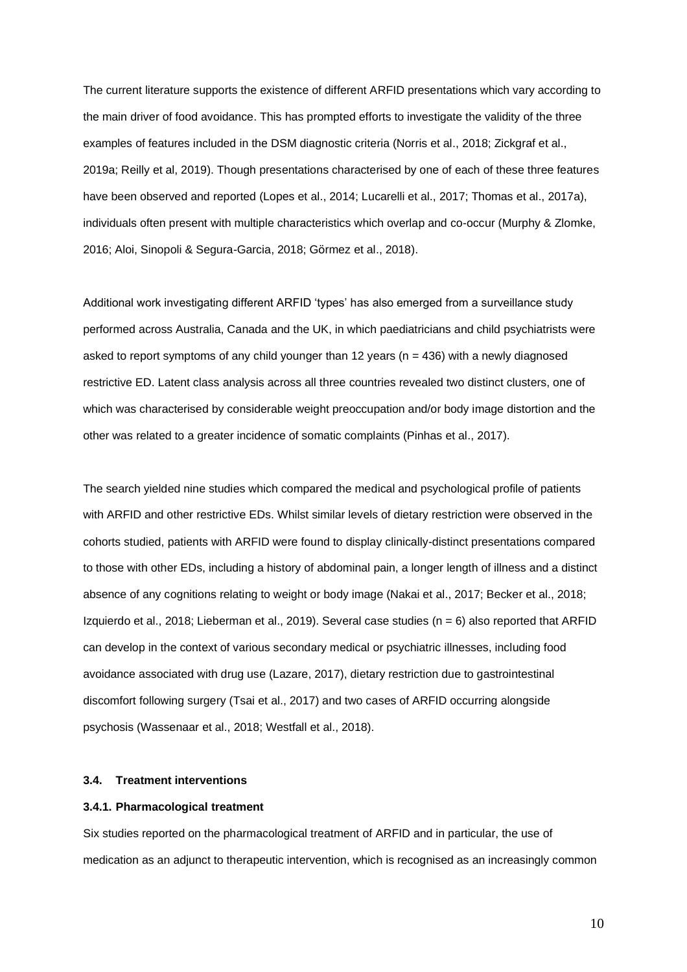The current literature supports the existence of different ARFID presentations which vary according to the main driver of food avoidance. This has prompted efforts to investigate the validity of the three examples of features included in the DSM diagnostic criteria (Norris et al., 2018; Zickgraf et al., 2019a; Reilly et al, 2019). Though presentations characterised by one of each of these three features have been observed and reported (Lopes et al., 2014; Lucarelli et al., 2017; Thomas et al., 2017a), individuals often present with multiple characteristics which overlap and co-occur (Murphy & Zlomke, 2016; Aloi, Sinopoli & Segura-Garcia, 2018; Görmez et al., 2018).

Additional work investigating different ARFID 'types' has also emerged from a surveillance study performed across Australia, Canada and the UK, in which paediatricians and child psychiatrists were asked to report symptoms of any child younger than 12 years ( $n = 436$ ) with a newly diagnosed restrictive ED. Latent class analysis across all three countries revealed two distinct clusters, one of which was characterised by considerable weight preoccupation and/or body image distortion and the other was related to a greater incidence of somatic complaints (Pinhas et al., 2017).

The search yielded nine studies which compared the medical and psychological profile of patients with ARFID and other restrictive EDs. Whilst similar levels of dietary restriction were observed in the cohorts studied, patients with ARFID were found to display clinically-distinct presentations compared to those with other EDs, including a history of abdominal pain, a longer length of illness and a distinct absence of any cognitions relating to weight or body image (Nakai et al., 2017; Becker et al., 2018; Izquierdo et al., 2018; Lieberman et al., 2019). Several case studies (n = 6) also reported that ARFID can develop in the context of various secondary medical or psychiatric illnesses, including food avoidance associated with drug use (Lazare, 2017), dietary restriction due to gastrointestinal discomfort following surgery (Tsai et al., 2017) and two cases of ARFID occurring alongside psychosis (Wassenaar et al., 2018; Westfall et al., 2018).

### **3.4. Treatment interventions**

## **3.4.1. Pharmacological treatment**

Six studies reported on the pharmacological treatment of ARFID and in particular, the use of medication as an adjunct to therapeutic intervention, which is recognised as an increasingly common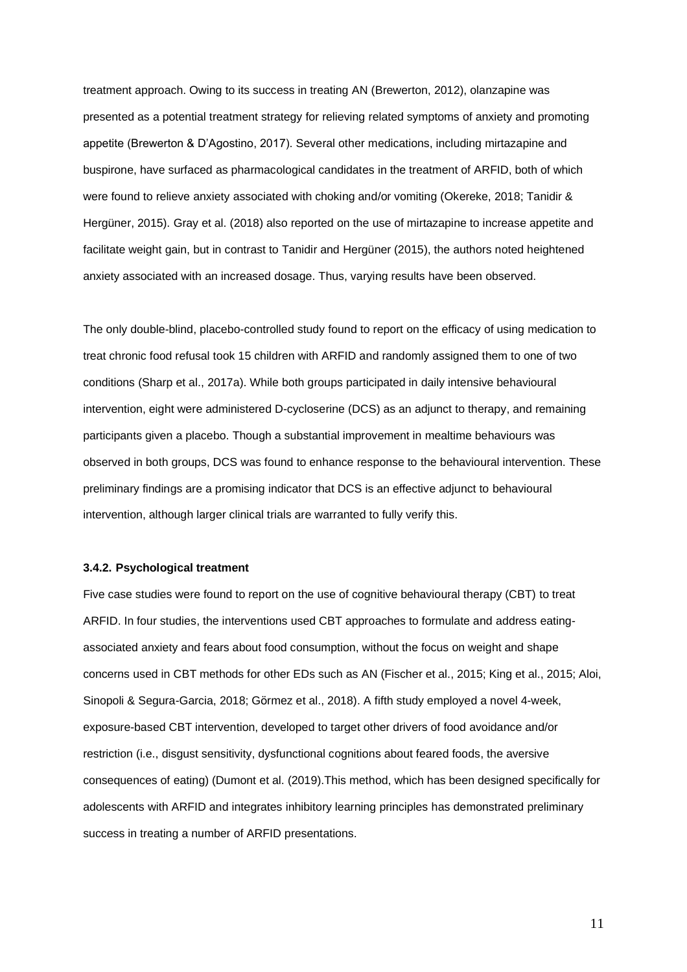treatment approach. Owing to its success in treating AN (Brewerton, 2012), olanzapine was presented as a potential treatment strategy for relieving related symptoms of anxiety and promoting appetite (Brewerton & D'Agostino, 2017). Several other medications, including mirtazapine and buspirone, have surfaced as pharmacological candidates in the treatment of ARFID, both of which were found to relieve anxiety associated with choking and/or vomiting (Okereke, 2018; Tanidir & Hergüner, 2015). Gray et al. (2018) also reported on the use of mirtazapine to increase appetite and facilitate weight gain, but in contrast to Tanidir and Hergüner (2015), the authors noted heightened anxiety associated with an increased dosage. Thus, varying results have been observed.

The only double-blind, placebo-controlled study found to report on the efficacy of using medication to treat chronic food refusal took 15 children with ARFID and randomly assigned them to one of two conditions (Sharp et al., 2017a). While both groups participated in daily intensive behavioural intervention, eight were administered D-cycloserine (DCS) as an adjunct to therapy, and remaining participants given a placebo. Though a substantial improvement in mealtime behaviours was observed in both groups, DCS was found to enhance response to the behavioural intervention. These preliminary findings are a promising indicator that DCS is an effective adjunct to behavioural intervention, although larger clinical trials are warranted to fully verify this.

#### **3.4.2. Psychological treatment**

Five case studies were found to report on the use of cognitive behavioural therapy (CBT) to treat ARFID. In four studies, the interventions used CBT approaches to formulate and address eatingassociated anxiety and fears about food consumption, without the focus on weight and shape concerns used in CBT methods for other EDs such as AN (Fischer et al., 2015; King et al., 2015; Aloi, Sinopoli & Segura-Garcia, 2018; Görmez et al., 2018). A fifth study employed a novel 4-week, exposure-based CBT intervention, developed to target other drivers of food avoidance and/or restriction (i.e., disgust sensitivity, dysfunctional cognitions about feared foods, the aversive consequences of eating) (Dumont et al. (2019).This method, which has been designed specifically for adolescents with ARFID and integrates inhibitory learning principles has demonstrated preliminary success in treating a number of ARFID presentations.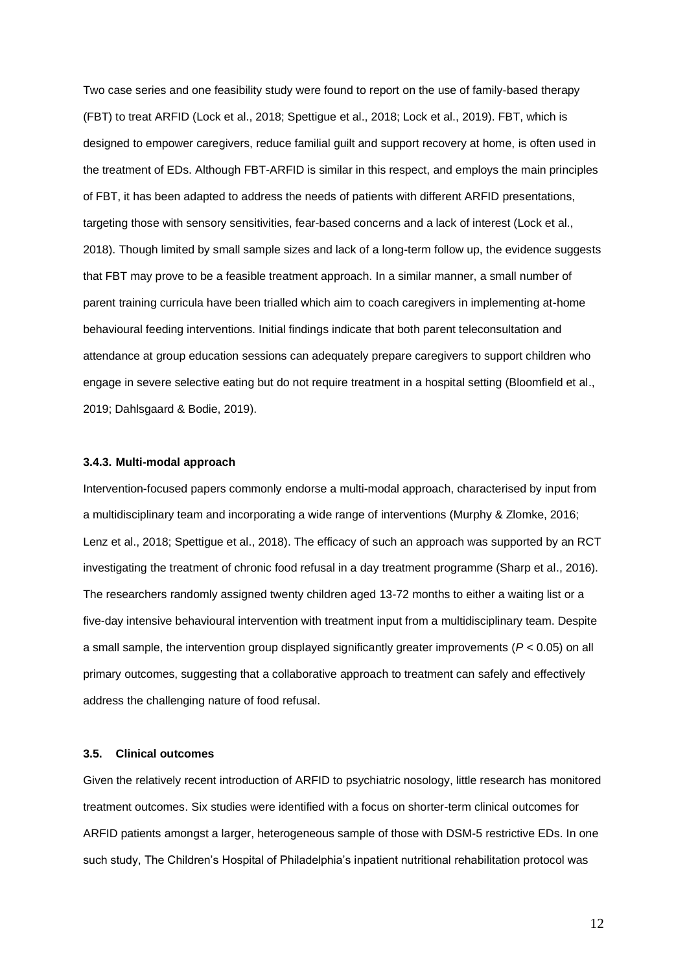Two case series and one feasibility study were found to report on the use of family-based therapy (FBT) to treat ARFID (Lock et al., 2018; Spettigue et al., 2018; Lock et al., 2019). FBT, which is designed to empower caregivers, reduce familial guilt and support recovery at home, is often used in the treatment of EDs. Although FBT-ARFID is similar in this respect, and employs the main principles of FBT, it has been adapted to address the needs of patients with different ARFID presentations, targeting those with sensory sensitivities, fear-based concerns and a lack of interest (Lock et al., 2018). Though limited by small sample sizes and lack of a long-term follow up, the evidence suggests that FBT may prove to be a feasible treatment approach. In a similar manner, a small number of parent training curricula have been trialled which aim to coach caregivers in implementing at-home behavioural feeding interventions. Initial findings indicate that both parent teleconsultation and attendance at group education sessions can adequately prepare caregivers to support children who engage in severe selective eating but do not require treatment in a hospital setting (Bloomfield et al., 2019; Dahlsgaard & Bodie, 2019).

### **3.4.3. Multi-modal approach**

Intervention-focused papers commonly endorse a multi-modal approach, characterised by input from a multidisciplinary team and incorporating a wide range of interventions (Murphy & Zlomke, 2016; Lenz et al., 2018; Spettigue et al., 2018). The efficacy of such an approach was supported by an RCT investigating the treatment of chronic food refusal in a day treatment programme (Sharp et al., 2016). The researchers randomly assigned twenty children aged 13-72 months to either a waiting list or a five-day intensive behavioural intervention with treatment input from a multidisciplinary team. Despite a small sample, the intervention group displayed significantly greater improvements (*P* < 0.05) on all primary outcomes, suggesting that a collaborative approach to treatment can safely and effectively address the challenging nature of food refusal.

# **3.5. Clinical outcomes**

Given the relatively recent introduction of ARFID to psychiatric nosology, little research has monitored treatment outcomes. Six studies were identified with a focus on shorter-term clinical outcomes for ARFID patients amongst a larger, heterogeneous sample of those with DSM-5 restrictive EDs. In one such study, The Children's Hospital of Philadelphia's inpatient nutritional rehabilitation protocol was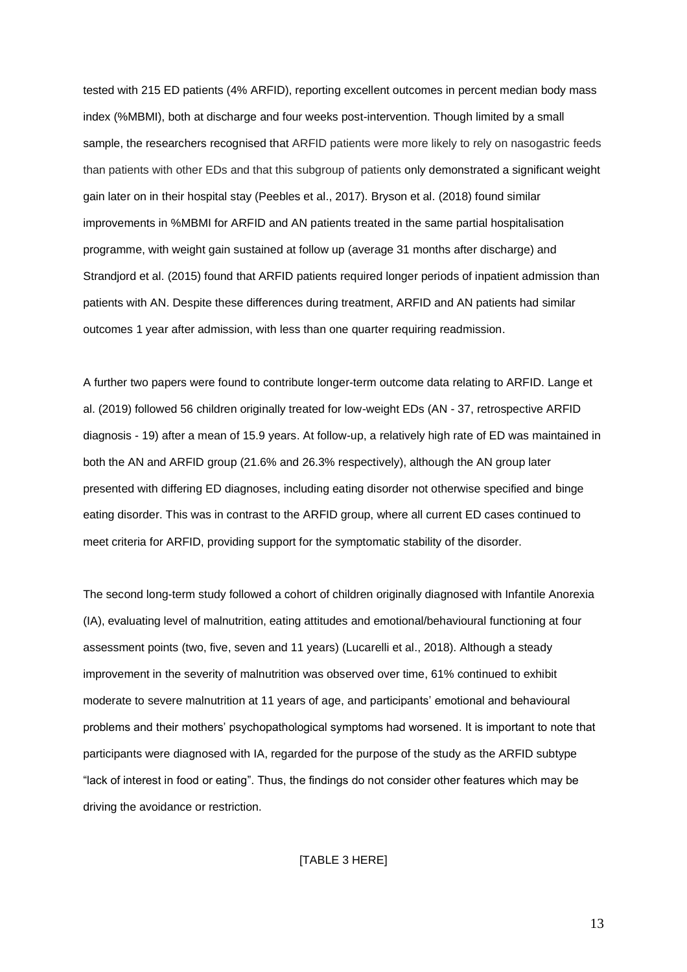tested with 215 ED patients (4% ARFID), reporting excellent outcomes in percent median body mass index (%MBMI), both at discharge and four weeks post-intervention. Though limited by a small sample, the researchers recognised that ARFID patients were more likely to rely on nasogastric feeds than patients with other EDs and that this subgroup of patients only demonstrated a significant weight gain later on in their hospital stay (Peebles et al., 2017). Bryson et al. (2018) found similar improvements in %MBMI for ARFID and AN patients treated in the same partial hospitalisation programme, with weight gain sustained at follow up (average 31 months after discharge) and Strandjord et al. (2015) found that ARFID patients required longer periods of inpatient admission than patients with AN. Despite these differences during treatment, ARFID and AN patients had similar outcomes 1 year after admission, with less than one quarter requiring readmission.

A further two papers were found to contribute longer-term outcome data relating to ARFID. Lange et al. (2019) followed 56 children originally treated for low-weight EDs (AN - 37, retrospective ARFID diagnosis - 19) after a mean of 15.9 years. At follow-up, a relatively high rate of ED was maintained in both the AN and ARFID group (21.6% and 26.3% respectively), although the AN group later presented with differing ED diagnoses, including eating disorder not otherwise specified and binge eating disorder. This was in contrast to the ARFID group, where all current ED cases continued to meet criteria for ARFID, providing support for the symptomatic stability of the disorder.

The second long-term study followed a cohort of children originally diagnosed with Infantile Anorexia (IA), evaluating level of malnutrition, eating attitudes and emotional/behavioural functioning at four assessment points (two, five, seven and 11 years) (Lucarelli et al., 2018). Although a steady improvement in the severity of malnutrition was observed over time, 61% continued to exhibit moderate to severe malnutrition at 11 years of age, and participants' emotional and behavioural problems and their mothers' psychopathological symptoms had worsened. It is important to note that participants were diagnosed with IA, regarded for the purpose of the study as the ARFID subtype "lack of interest in food or eating". Thus, the findings do not consider other features which may be driving the avoidance or restriction.

[TABLE 3 HERE]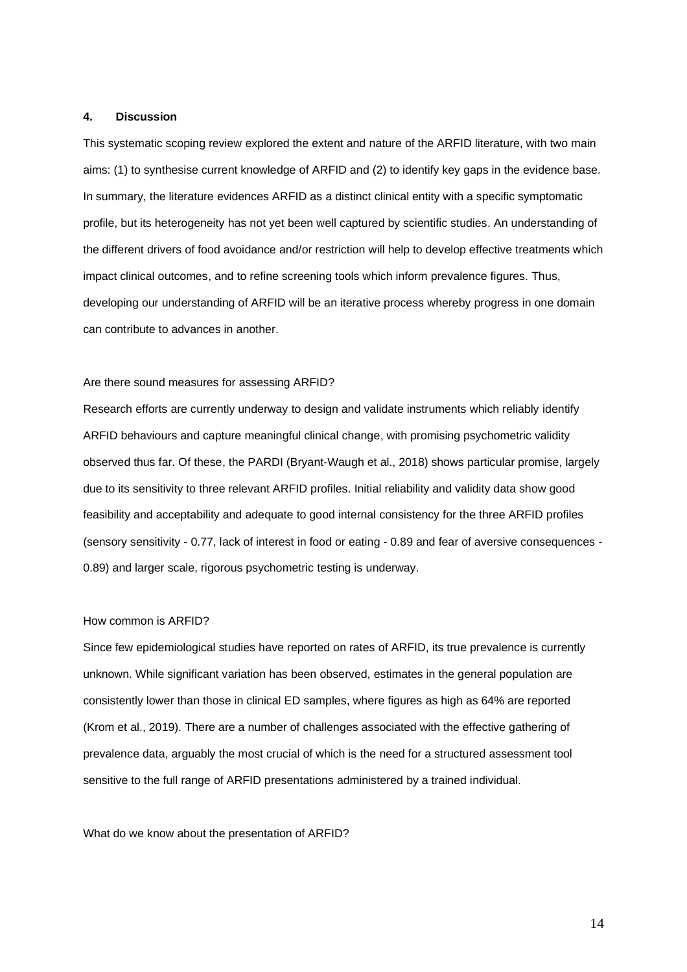#### **4. Discussion**

This systematic scoping review explored the extent and nature of the ARFID literature, with two main aims: (1) to synthesise current knowledge of ARFID and (2) to identify key gaps in the evidence base. In summary, the literature evidences ARFID as a distinct clinical entity with a specific symptomatic profile, but its heterogeneity has not yet been well captured by scientific studies. An understanding of the different drivers of food avoidance and/or restriction will help to develop effective treatments which impact clinical outcomes, and to refine screening tools which inform prevalence figures. Thus, developing our understanding of ARFID will be an iterative process whereby progress in one domain can contribute to advances in another.

#### Are there sound measures for assessing ARFID?

Research efforts are currently underway to design and validate instruments which reliably identify ARFID behaviours and capture meaningful clinical change, with promising psychometric validity observed thus far. Of these, the PARDI (Bryant-Waugh et al., 2018) shows particular promise, largely due to its sensitivity to three relevant ARFID profiles. Initial reliability and validity data show good feasibility and acceptability and adequate to good internal consistency for the three ARFID profiles (sensory sensitivity - 0.77, lack of interest in food or eating - 0.89 and fear of aversive consequences - 0.89) and larger scale, rigorous psychometric testing is underway.

#### How common is ARFID?

Since few epidemiological studies have reported on rates of ARFID, its true prevalence is currently unknown. While significant variation has been observed, estimates in the general population are consistently lower than those in clinical ED samples, where figures as high as 64% are reported (Krom et al., 2019). There are a number of challenges associated with the effective gathering of prevalence data, arguably the most crucial of which is the need for a structured assessment tool sensitive to the full range of ARFID presentations administered by a trained individual.

What do we know about the presentation of ARFID?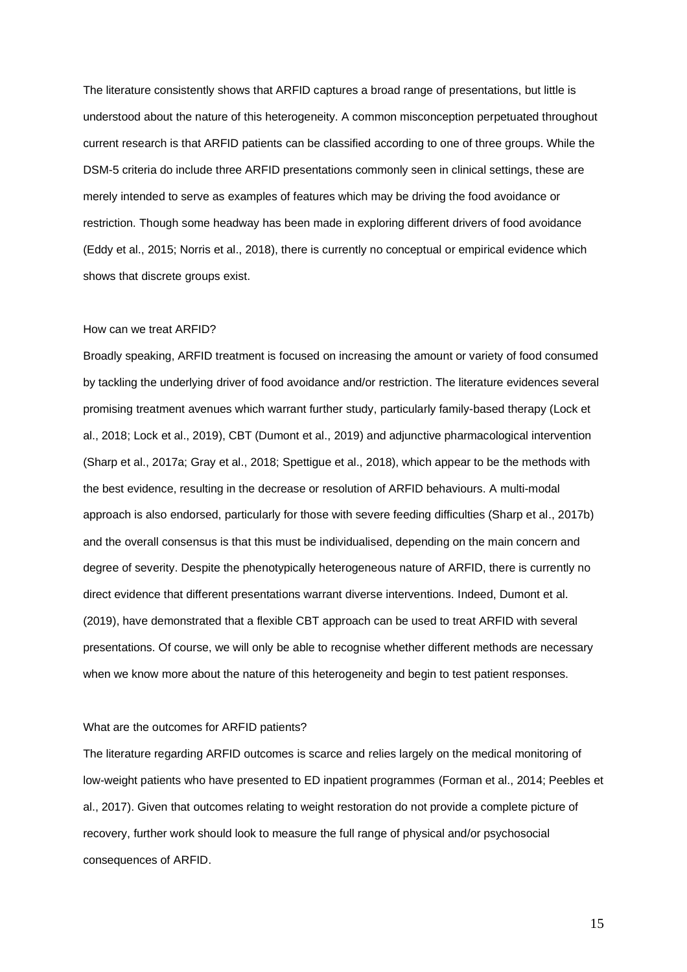The literature consistently shows that ARFID captures a broad range of presentations, but little is understood about the nature of this heterogeneity. A common misconception perpetuated throughout current research is that ARFID patients can be classified according to one of three groups. While the DSM-5 criteria do include three ARFID presentations commonly seen in clinical settings, these are merely intended to serve as examples of features which may be driving the food avoidance or restriction. Though some headway has been made in exploring different drivers of food avoidance (Eddy et al., 2015; Norris et al., 2018), there is currently no conceptual or empirical evidence which shows that discrete groups exist.

#### How can we treat ARFID?

Broadly speaking, ARFID treatment is focused on increasing the amount or variety of food consumed by tackling the underlying driver of food avoidance and/or restriction. The literature evidences several promising treatment avenues which warrant further study, particularly family-based therapy (Lock et al., 2018; Lock et al., 2019), CBT (Dumont et al., 2019) and adjunctive pharmacological intervention (Sharp et al., 2017a; Gray et al., 2018; Spettigue et al., 2018), which appear to be the methods with the best evidence, resulting in the decrease or resolution of ARFID behaviours. A multi-modal approach is also endorsed, particularly for those with severe feeding difficulties (Sharp et al., 2017b) and the overall consensus is that this must be individualised, depending on the main concern and degree of severity. Despite the phenotypically heterogeneous nature of ARFID, there is currently no direct evidence that different presentations warrant diverse interventions. Indeed, Dumont et al. (2019), have demonstrated that a flexible CBT approach can be used to treat ARFID with several presentations. Of course, we will only be able to recognise whether different methods are necessary when we know more about the nature of this heterogeneity and begin to test patient responses.

#### What are the outcomes for ARFID patients?

The literature regarding ARFID outcomes is scarce and relies largely on the medical monitoring of low-weight patients who have presented to ED inpatient programmes (Forman et al., 2014; Peebles et al., 2017). Given that outcomes relating to weight restoration do not provide a complete picture of recovery, further work should look to measure the full range of physical and/or psychosocial consequences of ARFID.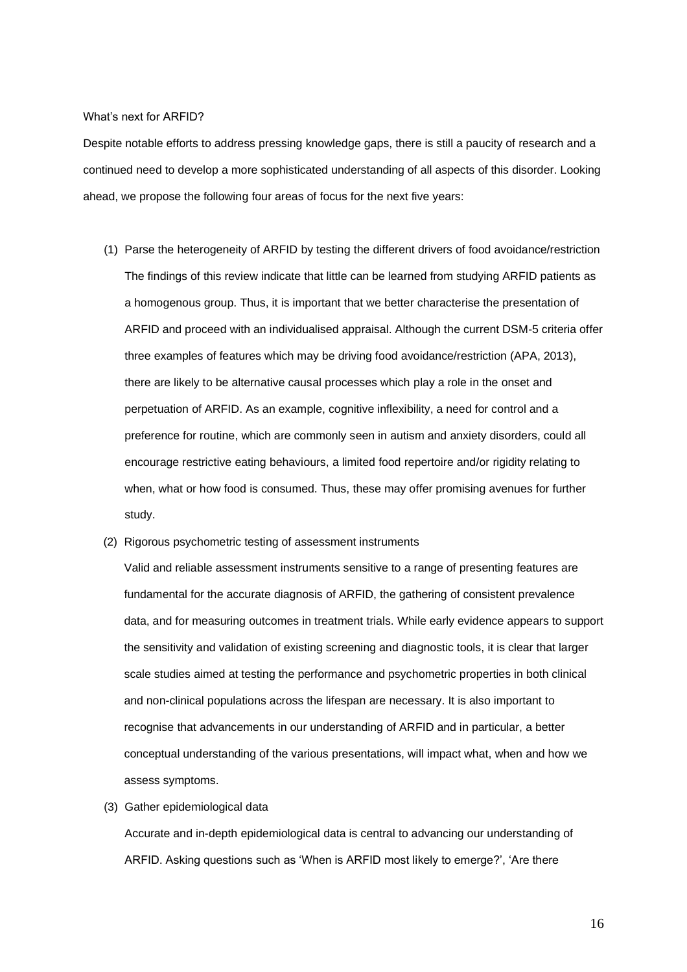#### What's next for ARFID?

Despite notable efforts to address pressing knowledge gaps, there is still a paucity of research and a continued need to develop a more sophisticated understanding of all aspects of this disorder. Looking ahead, we propose the following four areas of focus for the next five years:

- (1) Parse the heterogeneity of ARFID by testing the different drivers of food avoidance/restriction The findings of this review indicate that little can be learned from studying ARFID patients as a homogenous group. Thus, it is important that we better characterise the presentation of ARFID and proceed with an individualised appraisal. Although the current DSM-5 criteria offer three examples of features which may be driving food avoidance/restriction (APA, 2013), there are likely to be alternative causal processes which play a role in the onset and perpetuation of ARFID. As an example, cognitive inflexibility, a need for control and a preference for routine, which are commonly seen in autism and anxiety disorders, could all encourage restrictive eating behaviours, a limited food repertoire and/or rigidity relating to when, what or how food is consumed. Thus, these may offer promising avenues for further study.
- (2) Rigorous psychometric testing of assessment instruments

Valid and reliable assessment instruments sensitive to a range of presenting features are fundamental for the accurate diagnosis of ARFID, the gathering of consistent prevalence data, and for measuring outcomes in treatment trials. While early evidence appears to support the sensitivity and validation of existing screening and diagnostic tools, it is clear that larger scale studies aimed at testing the performance and psychometric properties in both clinical and non-clinical populations across the lifespan are necessary. It is also important to recognise that advancements in our understanding of ARFID and in particular, a better conceptual understanding of the various presentations, will impact what, when and how we assess symptoms.

(3) Gather epidemiological data

Accurate and in-depth epidemiological data is central to advancing our understanding of ARFID. Asking questions such as 'When is ARFID most likely to emerge?', 'Are there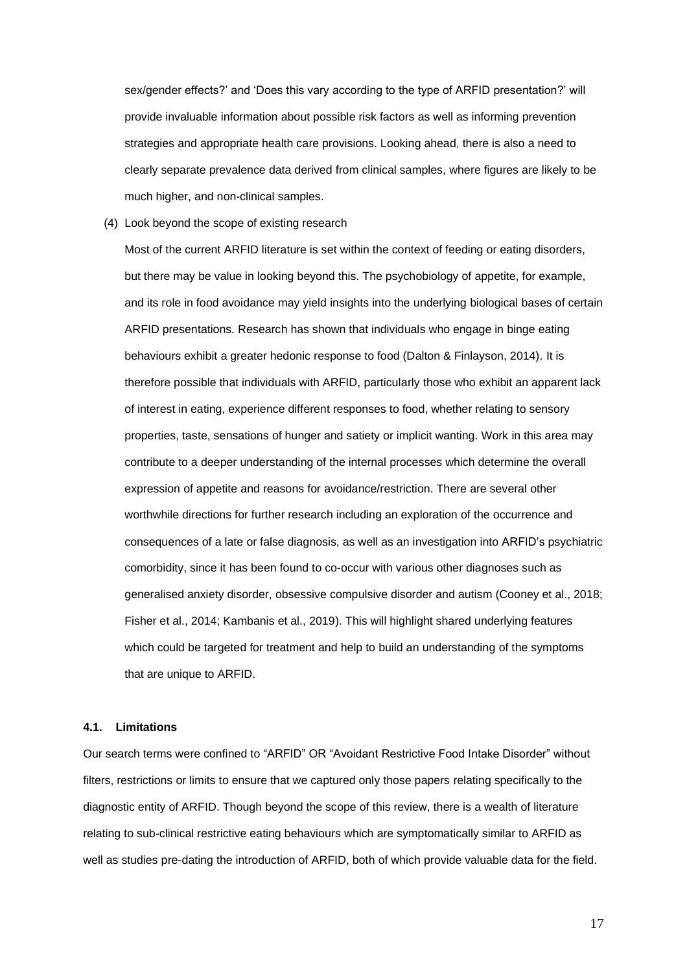sex/gender effects?' and 'Does this vary according to the type of ARFID presentation?' will provide invaluable information about possible risk factors as well as informing prevention strategies and appropriate health care provisions. Looking ahead, there is also a need to clearly separate prevalence data derived from clinical samples, where figures are likely to be much higher, and non-clinical samples.

(4) Look beyond the scope of existing research

Most of the current ARFID literature is set within the context of feeding or eating disorders, but there may be value in looking beyond this. The psychobiology of appetite, for example, and its role in food avoidance may yield insights into the underlying biological bases of certain ARFID presentations. Research has shown that individuals who engage in binge eating behaviours exhibit a greater hedonic response to food (Dalton & Finlayson, 2014). It is therefore possible that individuals with ARFID, particularly those who exhibit an apparent lack of interest in eating, experience different responses to food, whether relating to sensory properties, taste, sensations of hunger and satiety or implicit wanting. Work in this area may contribute to a deeper understanding of the internal processes which determine the overall expression of appetite and reasons for avoidance/restriction. There are several other worthwhile directions for further research including an exploration of the occurrence and consequences of a late or false diagnosis, as well as an investigation into ARFID's psychiatric comorbidity, since it has been found to co-occur with various other diagnoses such as generalised anxiety disorder, obsessive compulsive disorder and autism (Cooney et al., 2018; Fisher et al., 2014; Kambanis et al., 2019). This will highlight shared underlying features which could be targeted for treatment and help to build an understanding of the symptoms that are unique to ARFID.

# **4.1. Limitations**

Our search terms were confined to "ARFID" OR "Avoidant Restrictive Food Intake Disorder" without filters, restrictions or limits to ensure that we captured only those papers relating specifically to the diagnostic entity of ARFID. Though beyond the scope of this review, there is a wealth of literature relating to sub-clinical restrictive eating behaviours which are symptomatically similar to ARFID as well as studies pre-dating the introduction of ARFID, both of which provide valuable data for the field.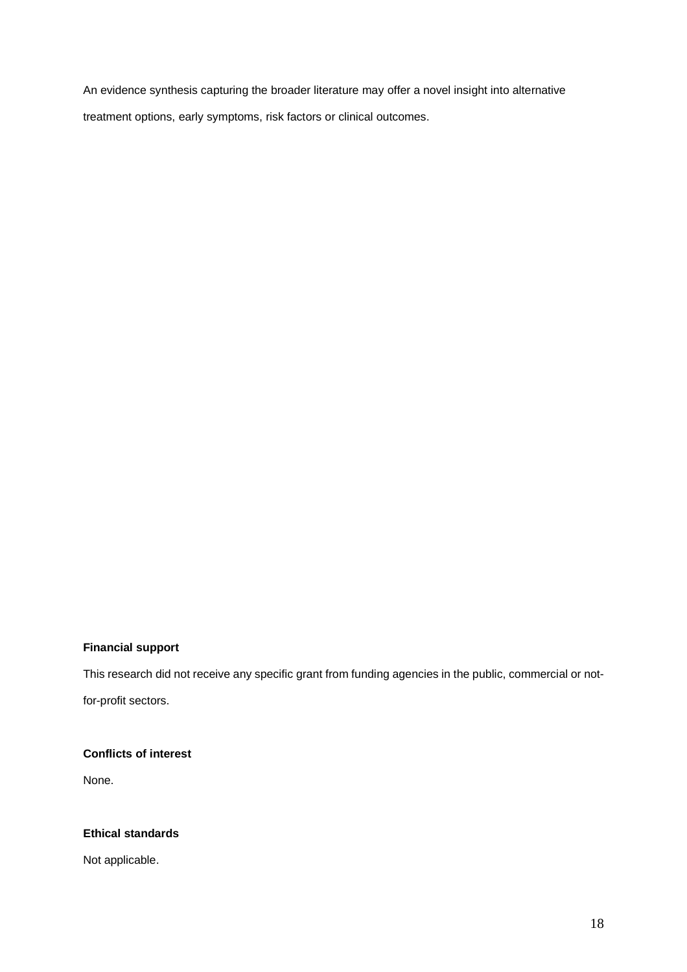An evidence synthesis capturing the broader literature may offer a novel insight into alternative treatment options, early symptoms, risk factors or clinical outcomes.

# **Financial support**

This research did not receive any specific grant from funding agencies in the public, commercial or notfor-profit sectors.

# **Conflicts of interest**

None.

# **Ethical standards**

Not applicable.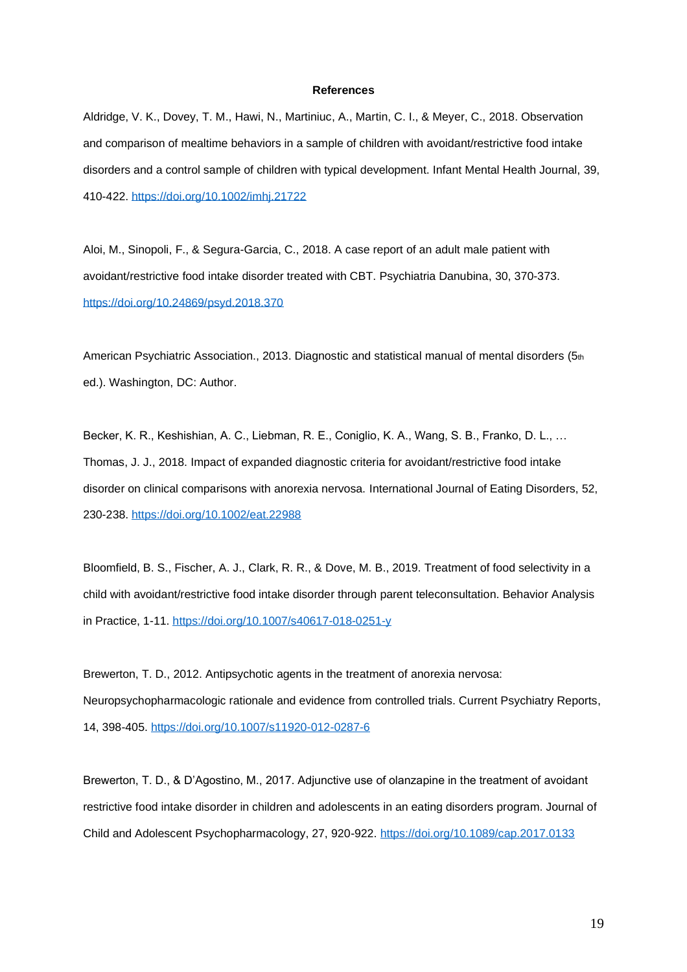#### **References**

Aldridge, V. K., Dovey, T. M., Hawi, N., Martiniuc, A., Martin, C. I., & Meyer, C., 2018. Observation and comparison of mealtime behaviors in a sample of children with avoidant/restrictive food intake disorders and a control sample of children with typical development. Infant Mental Health Journal, 39, 410-422.<https://doi.org/10.1002/imhj.21722>

Aloi, M., Sinopoli, F., & Segura-Garcia, C., 2018. A case report of an adult male patient with avoidant/restrictive food intake disorder treated with CBT. Psychiatria Danubina, 30, 370-373. <https://doi.org/10.24869/psyd.2018.370>

American Psychiatric Association., 2013. Diagnostic and statistical manual of mental disorders ( $5<sub>th</sub>$ ed.). Washington, DC: Author.

Becker, K. R., Keshishian, A. C., Liebman, R. E., Coniglio, K. A., Wang, S. B., Franko, D. L., … Thomas, J. J., 2018. Impact of expanded diagnostic criteria for avoidant/restrictive food intake disorder on clinical comparisons with anorexia nervosa. International Journal of Eating Disorders, 52, 230-238.<https://doi.org/10.1002/eat.22988>

Bloomfield, B. S., Fischer, A. J., Clark, R. R., & Dove, M. B., 2019. Treatment of food selectivity in a child with avoidant/restrictive food intake disorder through parent teleconsultation. Behavior Analysis in Practice, 1-11.<https://doi.org/10.1007/s40617-018-0251-y>

Brewerton, T. D., 2012. Antipsychotic agents in the treatment of anorexia nervosa: Neuropsychopharmacologic rationale and evidence from controlled trials. Current Psychiatry Reports, 14, 398-405.<https://doi.org/10.1007/s11920-012-0287-6>

Brewerton, T. D., & D'Agostino, M., 2017. Adjunctive use of olanzapine in the treatment of avoidant restrictive food intake disorder in children and adolescents in an eating disorders program. Journal of Child and Adolescent Psychopharmacology, 27, 920-922.<https://doi.org/10.1089/cap.2017.0133>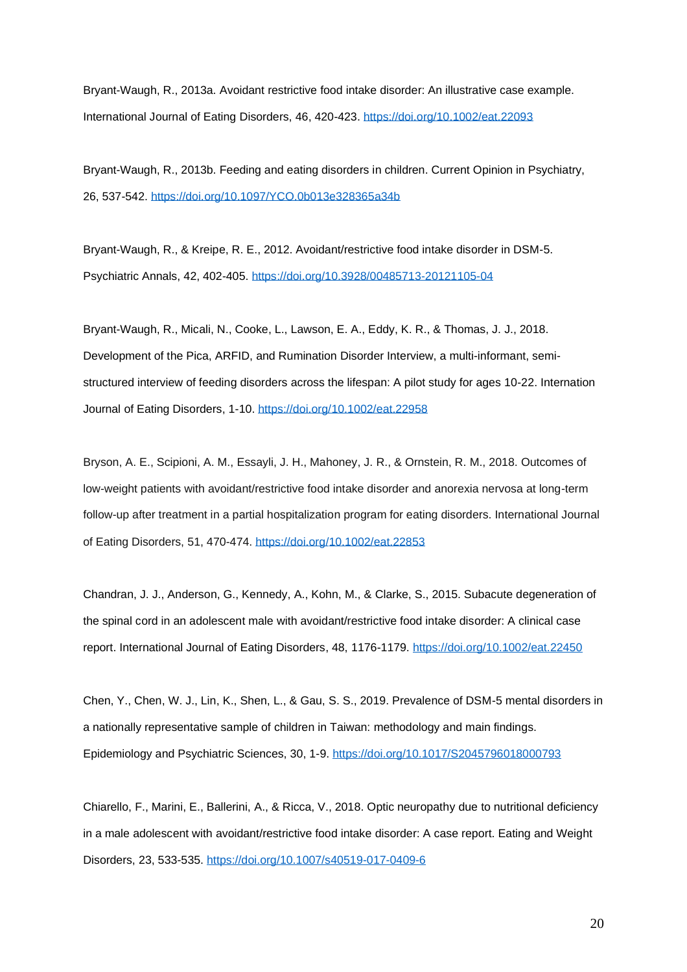Bryant-Waugh, R., 2013a. Avoidant restrictive food intake disorder: An illustrative case example. International Journal of Eating Disorders, 46, 420-423.<https://doi.org/10.1002/eat.22093>

Bryant-Waugh, R., 2013b. Feeding and eating disorders in children. Current Opinion in Psychiatry, 26, 537-542.<https://doi.org/10.1097/YCO.0b013e328365a34b>

Bryant-Waugh, R., & Kreipe, R. E., 2012. Avoidant/restrictive food intake disorder in DSM-5. Psychiatric Annals, 42, 402-405. <https://doi.org/10.3928/00485713-20121105-04>

Bryant-Waugh, R., Micali, N., Cooke, L., Lawson, E. A., Eddy, K. R., & Thomas, J. J., 2018. Development of the Pica, ARFID, and Rumination Disorder Interview, a multi-informant, semistructured interview of feeding disorders across the lifespan: A pilot study for ages 10-22. Internation Journal of Eating Disorders, 1-10. <https://doi.org/10.1002/eat.22958>

Bryson, A. E., Scipioni, A. M., Essayli, J. H., Mahoney, J. R., & Ornstein, R. M., 2018. Outcomes of low-weight patients with avoidant/restrictive food intake disorder and anorexia nervosa at long-term follow-up after treatment in a partial hospitalization program for eating disorders. International Journal of Eating Disorders, 51, 470-474.<https://doi.org/10.1002/eat.22853>

Chandran, J. J., Anderson, G., Kennedy, A., Kohn, M., & Clarke, S., 2015. Subacute degeneration of the spinal cord in an adolescent male with avoidant/restrictive food intake disorder: A clinical case report. International Journal of Eating Disorders, 48, 1176-1179.<https://doi.org/10.1002/eat.22450>

Chen, Y., Chen, W. J., Lin, K., Shen, L., & Gau, S. S., 2019. Prevalence of DSM-5 mental disorders in a nationally representative sample of children in Taiwan: methodology and main findings. Epidemiology and Psychiatric Sciences, 30, 1-9.<https://doi.org/10.1017/S2045796018000793>

Chiarello, F., Marini, E., Ballerini, A., & Ricca, V., 2018. Optic neuropathy due to nutritional deficiency in a male adolescent with avoidant/restrictive food intake disorder: A case report. Eating and Weight Disorders, 23, 533-535.<https://doi.org/10.1007/s40519-017-0409-6>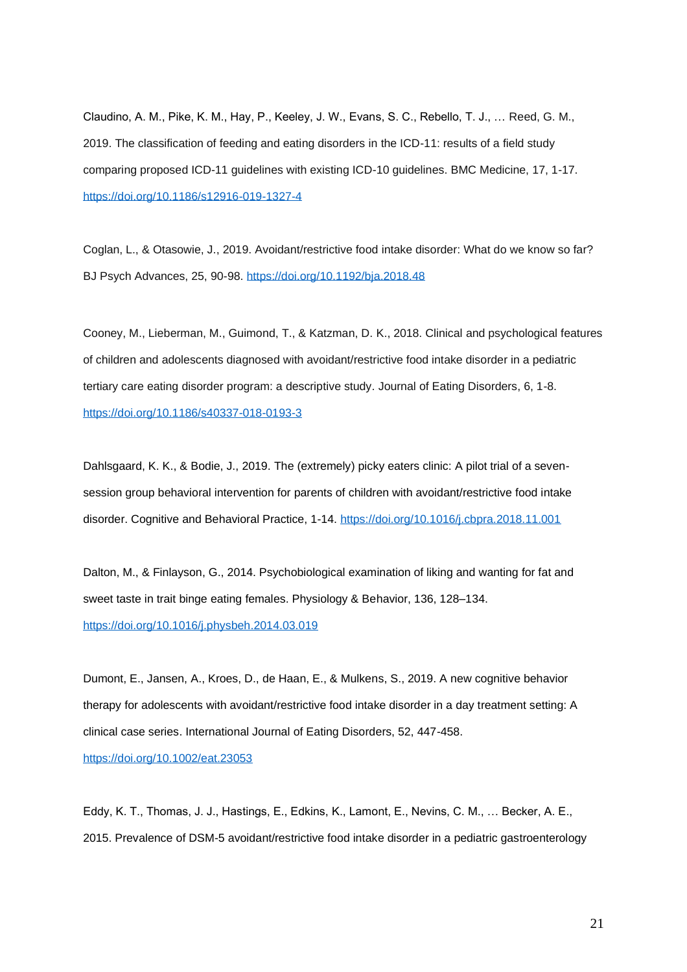Claudino, A. M., Pike, K. M., Hay, P., Keeley, J. W., Evans, S. C., Rebello, T. J., … Reed, G. M., 2019. The classification of feeding and eating disorders in the ICD-11: results of a field study comparing proposed ICD-11 guidelines with existing ICD-10 guidelines. BMC Medicine, 17, 1-17. <https://doi.org/10.1186/s12916-019-1327-4>

Coglan, L., & Otasowie, J., 2019. Avoidant/restrictive food intake disorder: What do we know so far? BJ Psych Advances, 25, 90-98. <https://doi.org/10.1192/bja.2018.48>

Cooney, M., Lieberman, M., Guimond, T., & Katzman, D. K., 2018. Clinical and psychological features of children and adolescents diagnosed with avoidant/restrictive food intake disorder in a pediatric tertiary care eating disorder program: a descriptive study. Journal of Eating Disorders, 6, 1-8. <https://doi.org/10.1186/s40337-018-0193-3>

Dahlsgaard, K. K., & Bodie, J., 2019. The (extremely) picky eaters clinic: A pilot trial of a sevensession group behavioral intervention for parents of children with avoidant/restrictive food intake disorder. Cognitive and Behavioral Practice, 1-14.<https://doi.org/10.1016/j.cbpra.2018.11.001>

Dalton, M., & Finlayson, G., 2014. Psychobiological examination of liking and wanting for fat and sweet taste in trait binge eating females. Physiology & Behavior, 136, 128–134. <https://doi.org/10.1016/j.physbeh.2014.03.019>

Dumont, E., Jansen, A., Kroes, D., de Haan, E., & Mulkens, S., 2019. A new cognitive behavior therapy for adolescents with avoidant/restrictive food intake disorder in a day treatment setting: A clinical case series. International Journal of Eating Disorders, 52, 447-458.

<https://doi.org/10.1002/eat.23053>

Eddy, K. T., Thomas, J. J., Hastings, E., Edkins, K., Lamont, E., Nevins, C. M., … Becker, A. E., 2015. Prevalence of DSM-5 avoidant/restrictive food intake disorder in a pediatric gastroenterology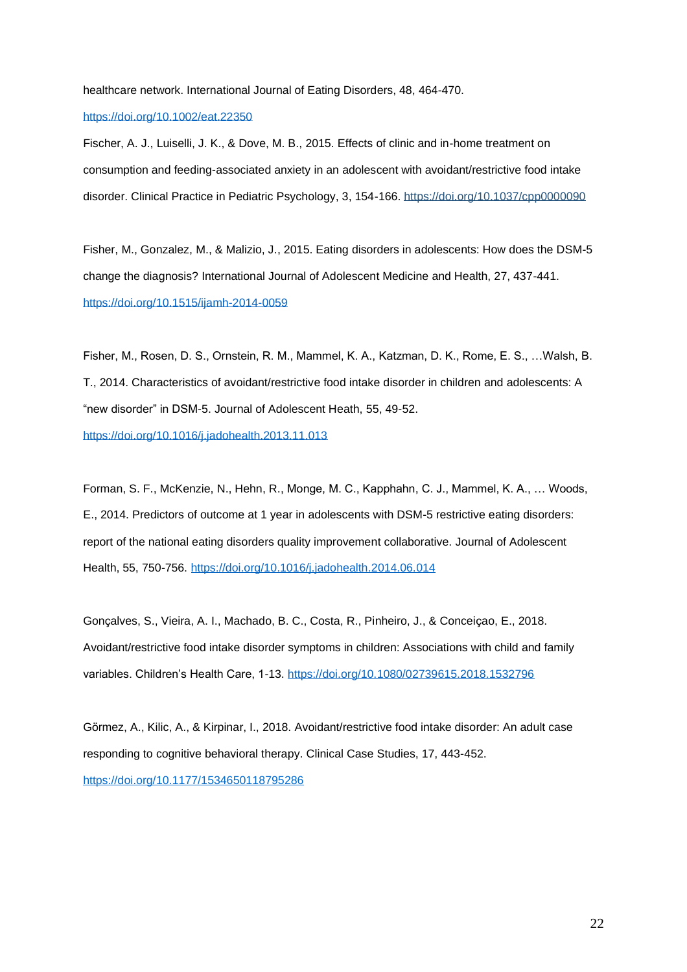healthcare network. International Journal of Eating Disorders, 48, 464-470.

<https://doi.org/10.1002/eat.22350>

Fischer, A. J., Luiselli, J. K., & Dove, M. B., 2015. Effects of clinic and in-home treatment on consumption and feeding-associated anxiety in an adolescent with avoidant/restrictive food intake disorder. Clinical Practice in Pediatric Psychology, 3, 154-166. [https://doi.org/10.1037/cpp0000090](https://psycnet.apa.org/doi/10.1037/cpp0000090)

Fisher, M., Gonzalez, M., & Malizio, J., 2015. Eating disorders in adolescents: How does the DSM-5 change the diagnosis? International Journal of Adolescent Medicine and Health, 27, 437-441. <https://doi.org/10.1515/ijamh-2014-0059>

Fisher, M., Rosen, D. S., Ornstein, R. M., Mammel, K. A., Katzman, D. K., Rome, E. S., …Walsh, B. T., 2014. Characteristics of avoidant/restrictive food intake disorder in children and adolescents: A "new disorder" in DSM-5. Journal of Adolescent Heath, 55, 49-52. <https://doi.org/10.1016/j.jadohealth.2013.11.013>

Forman, S. F., McKenzie, N., Hehn, R., Monge, M. C., Kapphahn, C. J., Mammel, K. A., … Woods, E., 2014. Predictors of outcome at 1 year in adolescents with DSM-5 restrictive eating disorders: report of the national eating disorders quality improvement collaborative. Journal of Adolescent Health, 55, 750-756.<https://doi.org/10.1016/j.jadohealth.2014.06.014>

Gonçalves, S., Vieira, A. I., Machado, B. C., Costa, R., Pinheiro, J., & Conceiçao, E., 2018. Avoidant/restrictive food intake disorder symptoms in children: Associations with child and family variables. Children's Health Care, 1-13.<https://doi.org/10.1080/02739615.2018.1532796>

Görmez, A., Kilic, A., & Kirpinar, I., 2018. Avoidant/restrictive food intake disorder: An adult case responding to cognitive behavioral therapy. Clinical Case Studies, 17, 443-452. [https://doi.org/10.1177/1534650118795286](https://doi.org/10.1177%2F1534650118795286)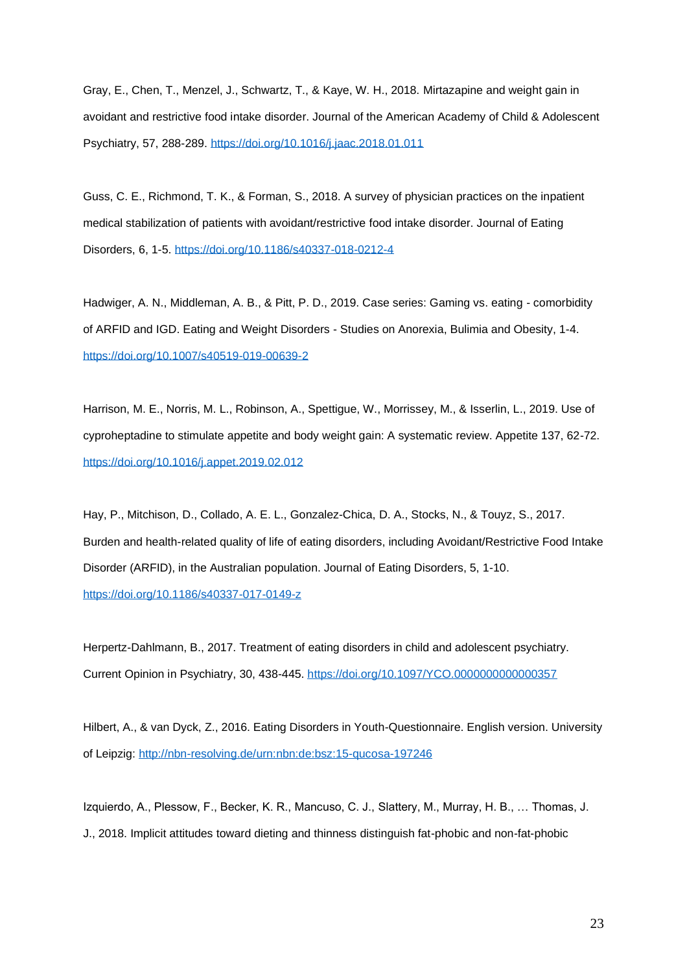Gray, E., Chen, T., Menzel, J., Schwartz, T., & Kaye, W. H., 2018. Mirtazapine and weight gain in avoidant and restrictive food intake disorder. Journal of the American Academy of Child & Adolescent Psychiatry, 57, 288-289.<https://doi.org/10.1016/j.jaac.2018.01.011>

Guss, C. E., Richmond, T. K., & Forman, S., 2018. A survey of physician practices on the inpatient medical stabilization of patients with avoidant/restrictive food intake disorder. Journal of Eating Disorders, 6, 1-5. <https://doi.org/10.1186/s40337-018-0212-4>

Hadwiger, A. N., Middleman, A. B., & Pitt, P. D., 2019. Case series: Gaming vs. eating - comorbidity of ARFID and IGD. Eating and Weight Disorders - Studies on Anorexia, Bulimia and Obesity, 1-4. <https://doi.org/10.1007/s40519-019-00639-2>

Harrison, M. E., Norris, M. L., Robinson, A., Spettigue, W., Morrissey, M., & Isserlin, L., 2019. Use of cyproheptadine to stimulate appetite and body weight gain: A systematic review. Appetite 137, 62-72. <https://doi.org/10.1016/j.appet.2019.02.012>

Hay, P., Mitchison, D., Collado, A. E. L., Gonzalez-Chica, D. A., Stocks, N., & Touyz, S., 2017. Burden and health-related quality of life of eating disorders, including Avoidant/Restrictive Food Intake Disorder (ARFID), in the Australian population. Journal of Eating Disorders, 5, 1-10. <https://doi.org/10.1186/s40337-017-0149-z>

Herpertz-Dahlmann, B., 2017. Treatment of eating disorders in child and adolescent psychiatry. Current Opinion in Psychiatry, 30, 438-445. <https://doi.org/10.1097/YCO.0000000000000357>

Hilbert, A., & van Dyck, Z., 2016. Eating Disorders in Youth-Questionnaire. English version. University of Leipzig:<http://nbn-resolving.de/urn:nbn:de:bsz:15-qucosa-197246>

Izquierdo, A., Plessow, F., Becker, K. R., Mancuso, C. J., Slattery, M., Murray, H. B., … Thomas, J. J., 2018. Implicit attitudes toward dieting and thinness distinguish fat-phobic and non-fat-phobic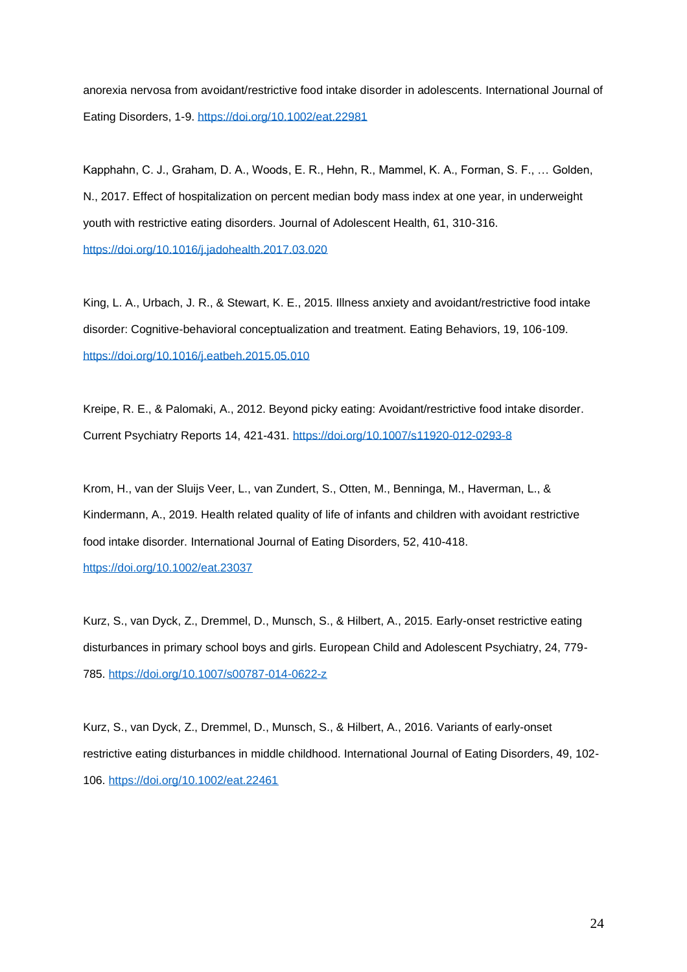anorexia nervosa from avoidant/restrictive food intake disorder in adolescents. International Journal of Eating Disorders, 1-9.<https://doi.org/10.1002/eat.22981>

Kapphahn, C. J., Graham, D. A., Woods, E. R., Hehn, R., Mammel, K. A., Forman, S. F., … Golden, N., 2017. Effect of hospitalization on percent median body mass index at one year, in underweight youth with restrictive eating disorders. Journal of Adolescent Health, 61, 310-316. <https://doi.org/10.1016/j.jadohealth.2017.03.020>

King, L. A., Urbach, J. R., & Stewart, K. E., 2015. Illness anxiety and avoidant/restrictive food intake disorder: Cognitive-behavioral conceptualization and treatment. Eating Behaviors, 19, 106-109. <https://doi.org/10.1016/j.eatbeh.2015.05.010>

Kreipe, R. E., & Palomaki, A., 2012. Beyond picky eating: Avoidant/restrictive food intake disorder. Current Psychiatry Reports 14, 421-431.<https://doi.org/10.1007/s11920-012-0293-8>

Krom, H., van der Sluijs Veer, L., van Zundert, S., Otten, M., Benninga, M., Haverman, L., & Kindermann, A., 2019. Health related quality of life of infants and children with avoidant restrictive food intake disorder. International Journal of Eating Disorders, 52, 410-418. <https://doi.org/10.1002/eat.23037>

Kurz, S., van Dyck, Z., Dremmel, D., Munsch, S., & Hilbert, A., 2015. Early-onset restrictive eating disturbances in primary school boys and girls. European Child and Adolescent Psychiatry, 24, 779- 785.<https://doi.org/10.1007/s00787-014-0622-z>

Kurz, S., van Dyck, Z., Dremmel, D., Munsch, S., & Hilbert, A., 2016. Variants of early-onset restrictive eating disturbances in middle childhood. International Journal of Eating Disorders, 49, 102- 106.<https://doi.org/10.1002/eat.22461>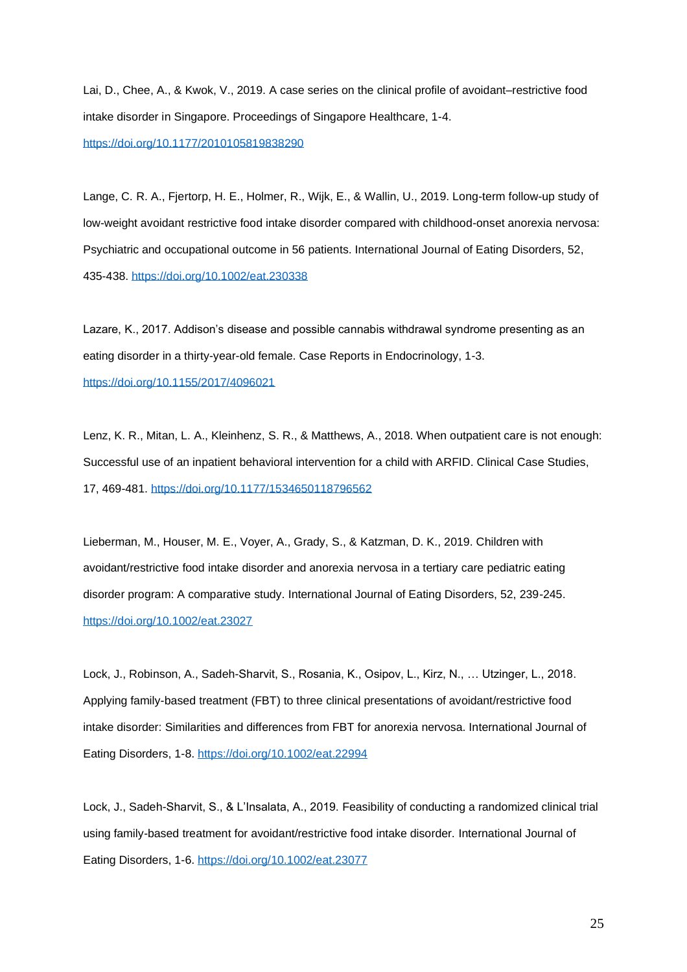Lai, D., Chee, A., & Kwok, V., 2019. A case series on the clinical profile of avoidant–restrictive food intake disorder in Singapore. Proceedings of Singapore Healthcare, 1-4. <https://doi.org/10.1177/2010105819838290>

Lange, C. R. A., Fjertorp, H. E., Holmer, R., Wijk, E., & Wallin, U., 2019. Long-term follow-up study of low-weight avoidant restrictive food intake disorder compared with childhood-onset anorexia nervosa: Psychiatric and occupational outcome in 56 patients. International Journal of Eating Disorders, 52, 435-438.<https://doi.org/10.1002/eat.230338>

Lazare, K., 2017. Addison's disease and possible cannabis withdrawal syndrome presenting as an eating disorder in a thirty-year-old female. Case Reports in Endocrinology, 1-3. <https://doi.org/10.1155/2017/4096021>

Lenz, K. R., Mitan, L. A., Kleinhenz, S. R., & Matthews, A., 2018. When outpatient care is not enough: Successful use of an inpatient behavioral intervention for a child with ARFID. Clinical Case Studies, 17, 469-481.<https://doi.org/10.1177/1534650118796562>

Lieberman, M., Houser, M. E., Voyer, A., Grady, S., & Katzman, D. K., 2019. Children with avoidant/restrictive food intake disorder and anorexia nervosa in a tertiary care pediatric eating disorder program: A comparative study. International Journal of Eating Disorders, 52, 239-245. <https://doi.org/10.1002/eat.23027>

Lock, J., Robinson, A., Sadeh-Sharvit, S., Rosania, K., Osipov, L., Kirz, N., … Utzinger, L., 2018. Applying family-based treatment (FBT) to three clinical presentations of avoidant/restrictive food intake disorder: Similarities and differences from FBT for anorexia nervosa. International Journal of Eating Disorders, 1-8.<https://doi.org/10.1002/eat.22994>

Lock, J., Sadeh-Sharvit, S., & L'Insalata, A., 2019. Feasibility of conducting a randomized clinical trial using family-based treatment for avoidant/restrictive food intake disorder. International Journal of Eating Disorders, 1-6.<https://doi.org/10.1002/eat.23077>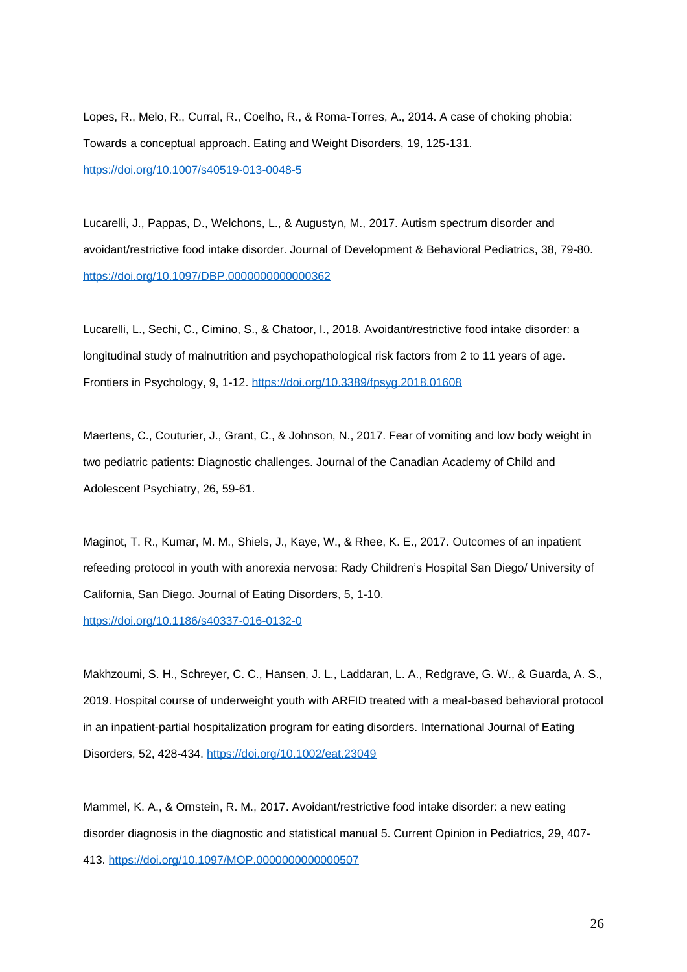Lopes, R., Melo, R., Curral, R., Coelho, R., & Roma-Torres, A., 2014. A case of choking phobia: Towards a conceptual approach. Eating and Weight Disorders, 19, 125-131. <https://doi.org/10.1007/s40519-013-0048-5>

Lucarelli, J., Pappas, D., Welchons, L., & Augustyn, M., 2017. Autism spectrum disorder and avoidant/restrictive food intake disorder. Journal of Development & Behavioral Pediatrics, 38, 79-80. <https://doi.org/10.1097/DBP.0000000000000362>

Lucarelli, L., Sechi, C., Cimino, S., & Chatoor, I., 2018. Avoidant/restrictive food intake disorder: a longitudinal study of malnutrition and psychopathological risk factors from 2 to 11 years of age. Frontiers in Psychology, 9, 1-12.<https://doi.org/10.3389/fpsyg.2018.01608>

Maertens, C., Couturier, J., Grant, C., & Johnson, N., 2017. Fear of vomiting and low body weight in two pediatric patients: Diagnostic challenges. Journal of the Canadian Academy of Child and Adolescent Psychiatry, 26, 59-61.

Maginot, T. R., Kumar, M. M., Shiels, J., Kaye, W., & Rhee, K. E., 2017. Outcomes of an inpatient refeeding protocol in youth with anorexia nervosa: Rady Children's Hospital San Diego/ University of California, San Diego. Journal of Eating Disorders, 5, 1-10. <https://doi.org/10.1186/s40337-016-0132-0>

Makhzoumi, S. H., Schreyer, C. C., Hansen, J. L., Laddaran, L. A., Redgrave, G. W., & Guarda, A. S., 2019. Hospital course of underweight youth with ARFID treated with a meal-based behavioral protocol in an inpatient-partial hospitalization program for eating disorders. International Journal of Eating Disorders, 52, 428-434. <https://doi.org/10.1002/eat.23049>

Mammel, K. A., & Ornstein, R. M., 2017. Avoidant/restrictive food intake disorder: a new eating disorder diagnosis in the diagnostic and statistical manual 5. Current Opinion in Pediatrics, 29, 407- 413.<https://doi.org/10.1097/MOP.0000000000000507>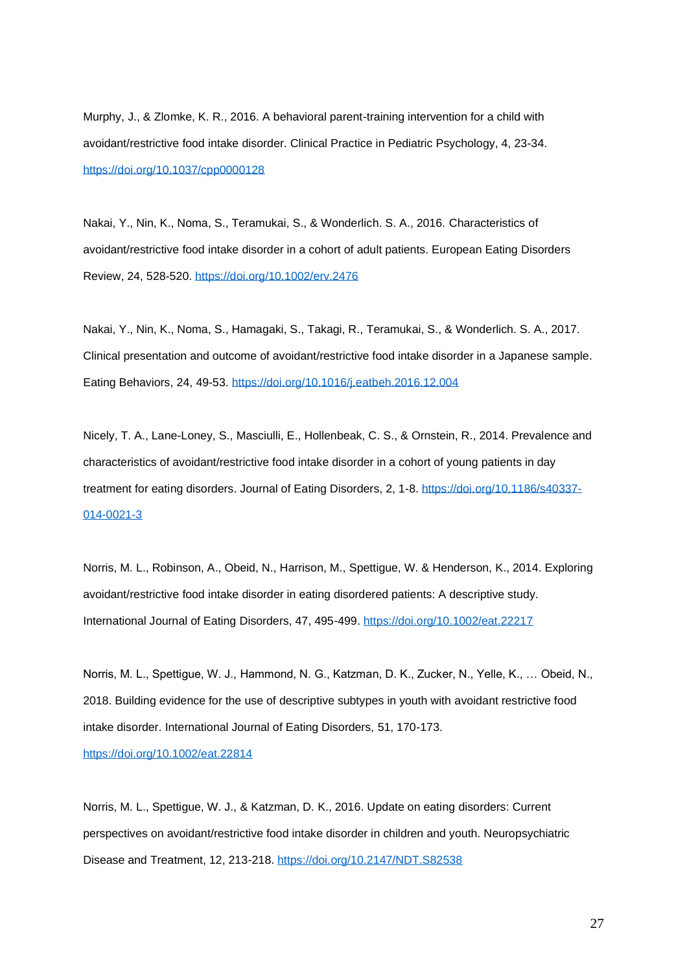Murphy, J., & Zlomke, K. R., 2016. A behavioral parent-training intervention for a child with avoidant/restrictive food intake disorder. Clinical Practice in Pediatric Psychology, 4, 23-34. <https://doi.org/10.1037/cpp0000128>

Nakai, Y., Nin, K., Noma, S., Teramukai, S., & Wonderlich. S. A., 2016. Characteristics of avoidant/restrictive food intake disorder in a cohort of adult patients. European Eating Disorders Review, 24, 528-520.<https://doi.org/10.1002/erv.2476>

Nakai, Y., Nin, K., Noma, S., Hamagaki, S., Takagi, R., Teramukai, S., & Wonderlich. S. A., 2017. Clinical presentation and outcome of avoidant/restrictive food intake disorder in a Japanese sample. Eating Behaviors, 24, 49-53.<https://doi.org/10.1016/j.eatbeh.2016.12.004>

Nicely, T. A., Lane-Loney, S., Masciulli, E., Hollenbeak, C. S., & Ornstein, R., 2014. Prevalence and characteristics of avoidant/restrictive food intake disorder in a cohort of young patients in day treatment for eating disorders. Journal of Eating Disorders, 2, 1-8. [https://doi.org/10.1186/s40337-](https://doi.org/10.1186/s40337-014-0021-3) [014-0021-3](https://doi.org/10.1186/s40337-014-0021-3)

Norris, M. L., Robinson, A., Obeid, N., Harrison, M., Spettigue, W. & Henderson, K., 2014. Exploring avoidant/restrictive food intake disorder in eating disordered patients: A descriptive study. International Journal of Eating Disorders, 47, 495-499.<https://doi.org/10.1002/eat.22217>

Norris, M. L., Spettigue, W. J., Hammond, N. G., Katzman, D. K., Zucker, N., Yelle, K., … Obeid, N., 2018. Building evidence for the use of descriptive subtypes in youth with avoidant restrictive food intake disorder. International Journal of Eating Disorders, 51, 170-173.

<https://doi.org/10.1002/eat.22814>

Norris, M. L., Spettigue, W. J., & Katzman, D. K., 2016. Update on eating disorders: Current perspectives on avoidant/restrictive food intake disorder in children and youth. Neuropsychiatric Disease and Treatment, 12, 213-218.<https://doi.org/10.2147/NDT.S82538>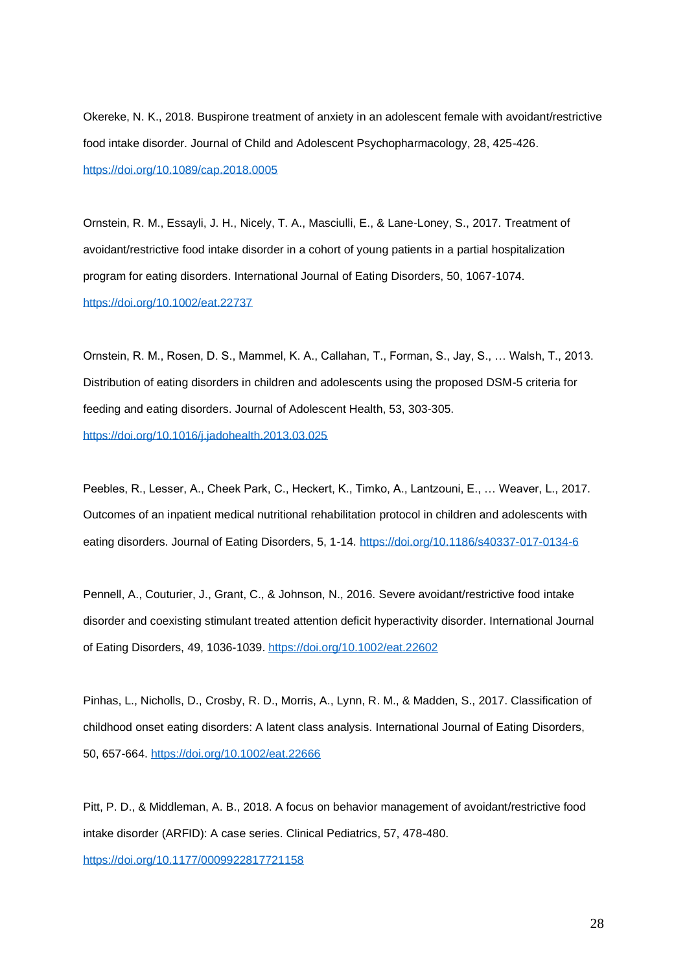Okereke, N. K., 2018. Buspirone treatment of anxiety in an adolescent female with avoidant/restrictive food intake disorder. Journal of Child and Adolescent Psychopharmacology, 28, 425-426. <https://doi.org/10.1089/cap.2018.0005>

Ornstein, R. M., Essayli, J. H., Nicely, T. A., Masciulli, E., & Lane-Loney, S., 2017. Treatment of avoidant/restrictive food intake disorder in a cohort of young patients in a partial hospitalization program for eating disorders. International Journal of Eating Disorders, 50, 1067-1074. <https://doi.org/10.1002/eat.22737>

Ornstein, R. M., Rosen, D. S., Mammel, K. A., Callahan, T., Forman, S., Jay, S., … Walsh, T., 2013. Distribution of eating disorders in children and adolescents using the proposed DSM-5 criteria for feeding and eating disorders. Journal of Adolescent Health, 53, 303-305. <https://doi.org/10.1016/j.jadohealth.2013.03.025>

Peebles, R., Lesser, A., Cheek Park, C., Heckert, K., Timko, A., Lantzouni, E., … Weaver, L., 2017. Outcomes of an inpatient medical nutritional rehabilitation protocol in children and adolescents with eating disorders. Journal of Eating Disorders, 5, 1-14.<https://doi.org/10.1186/s40337-017-0134-6>

Pennell, A., Couturier, J., Grant, C., & Johnson, N., 2016. Severe avoidant/restrictive food intake disorder and coexisting stimulant treated attention deficit hyperactivity disorder. International Journal of Eating Disorders, 49, 1036-1039.<https://doi.org/10.1002/eat.22602>

Pinhas, L., Nicholls, D., Crosby, R. D., Morris, A., Lynn, R. M., & Madden, S., 2017. Classification of childhood onset eating disorders: A latent class analysis. International Journal of Eating Disorders, 50, 657-664.<https://doi.org/10.1002/eat.22666>

Pitt, P. D., & Middleman, A. B., 2018. A focus on behavior management of avoidant/restrictive food intake disorder (ARFID): A case series. Clinical Pediatrics, 57, 478-480. <https://doi.org/10.1177/0009922817721158>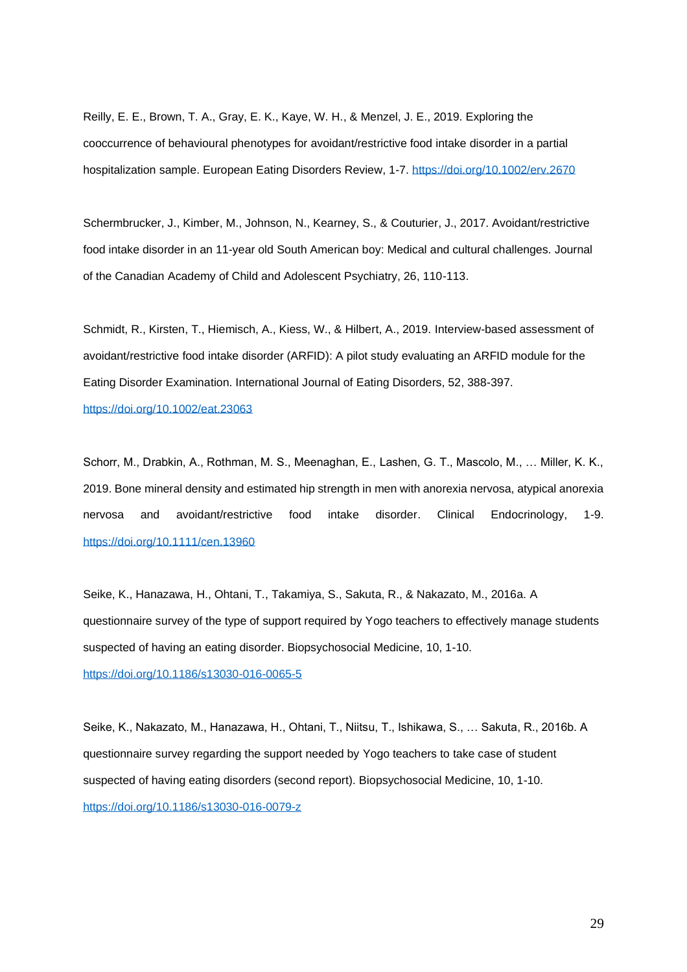Reilly, E. E., Brown, T. A., Gray, E. K., Kaye, W. H., & Menzel, J. E., 2019. Exploring the cooccurrence of behavioural phenotypes for avoidant/restrictive food intake disorder in a partial hospitalization sample. European Eating Disorders Review, 1-7.<https://doi.org/10.1002/erv.2670>

Schermbrucker, J., Kimber, M., Johnson, N., Kearney, S., & Couturier, J., 2017. Avoidant/restrictive food intake disorder in an 11-year old South American boy: Medical and cultural challenges. Journal of the Canadian Academy of Child and Adolescent Psychiatry, 26, 110-113.

Schmidt, R., Kirsten, T., Hiemisch, A., Kiess, W., & Hilbert, A., 2019. Interview-based assessment of avoidant/restrictive food intake disorder (ARFID): A pilot study evaluating an ARFID module for the Eating Disorder Examination. International Journal of Eating Disorders, 52, 388-397. <https://doi.org/10.1002/eat.23063>

Schorr, M., Drabkin, A., Rothman, M. S., Meenaghan, E., Lashen, G. T., Mascolo, M., … Miller, K. K., 2019. Bone mineral density and estimated hip strength in men with anorexia nervosa, atypical anorexia nervosa and avoidant/restrictive food intake disorder. Clinical Endocrinology, 1-9. <https://doi.org/10.1111/cen.13960>

Seike, K., Hanazawa, H., Ohtani, T., Takamiya, S., Sakuta, R., & Nakazato, M., 2016a. A questionnaire survey of the type of support required by Yogo teachers to effectively manage students suspected of having an eating disorder. Biopsychosocial Medicine, 10, 1-10. <https://doi.org/10.1186/s13030-016-0065-5>

Seike, K., Nakazato, M., Hanazawa, H., Ohtani, T., Niitsu, T., Ishikawa, S., … Sakuta, R., 2016b. A questionnaire survey regarding the support needed by Yogo teachers to take case of student suspected of having eating disorders (second report). Biopsychosocial Medicine, 10, 1-10. <https://doi.org/10.1186/s13030-016-0079-z>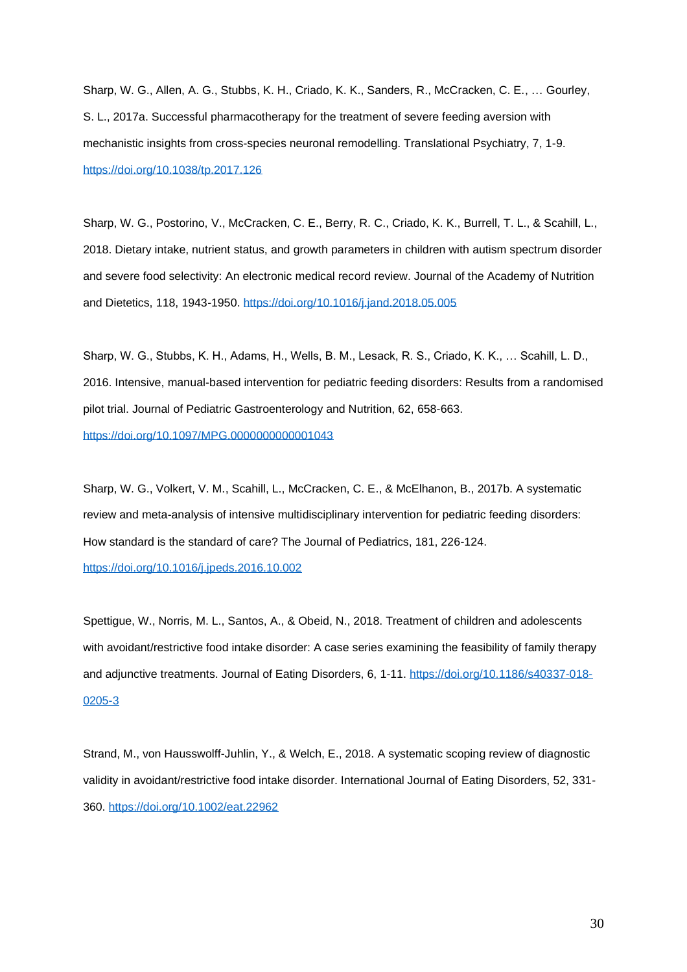Sharp, W. G., Allen, A. G., Stubbs, K. H., Criado, K. K., Sanders, R., McCracken, C. E., … Gourley, S. L., 2017a. Successful pharmacotherapy for the treatment of severe feeding aversion with mechanistic insights from cross-species neuronal remodelling. Translational Psychiatry, 7, 1-9. <https://doi.org/10.1038/tp.2017.126>

Sharp, W. G., Postorino, V., McCracken, C. E., Berry, R. C., Criado, K. K., Burrell, T. L., & Scahill, L., 2018. Dietary intake, nutrient status, and growth parameters in children with autism spectrum disorder and severe food selectivity: An electronic medical record review. Journal of the Academy of Nutrition and Dietetics, 118, 1943-1950. <https://doi.org/10.1016/j.jand.2018.05.005>

Sharp, W. G., Stubbs, K. H., Adams, H., Wells, B. M., Lesack, R. S., Criado, K. K., … Scahill, L. D., 2016. Intensive, manual-based intervention for pediatric feeding disorders: Results from a randomised pilot trial. Journal of Pediatric Gastroenterology and Nutrition, 62, 658-663. <https://doi.org/10.1097/MPG.0000000000001043>

Sharp, W. G., Volkert, V. M., Scahill, L., McCracken, C. E., & McElhanon, B., 2017b. A systematic review and meta-analysis of intensive multidisciplinary intervention for pediatric feeding disorders: How standard is the standard of care? The Journal of Pediatrics, 181, 226-124.

<https://doi.org/10.1016/j.jpeds.2016.10.002>

Spettigue, W., Norris, M. L., Santos, A., & Obeid, N., 2018. Treatment of children and adolescents with avoidant/restrictive food intake disorder: A case series examining the feasibility of family therapy and adjunctive treatments. Journal of Eating Disorders, 6, 1-11. [https://doi.org/10.1186/s40337-018-](https://doi.org/10.1186/s40337-018-0205-3) [0205-3](https://doi.org/10.1186/s40337-018-0205-3)

Strand, M., von Hausswolff-Juhlin, Y., & Welch, E., 2018. A systematic scoping review of diagnostic validity in avoidant/restrictive food intake disorder. International Journal of Eating Disorders, 52, 331- 360.<https://doi.org/10.1002/eat.22962>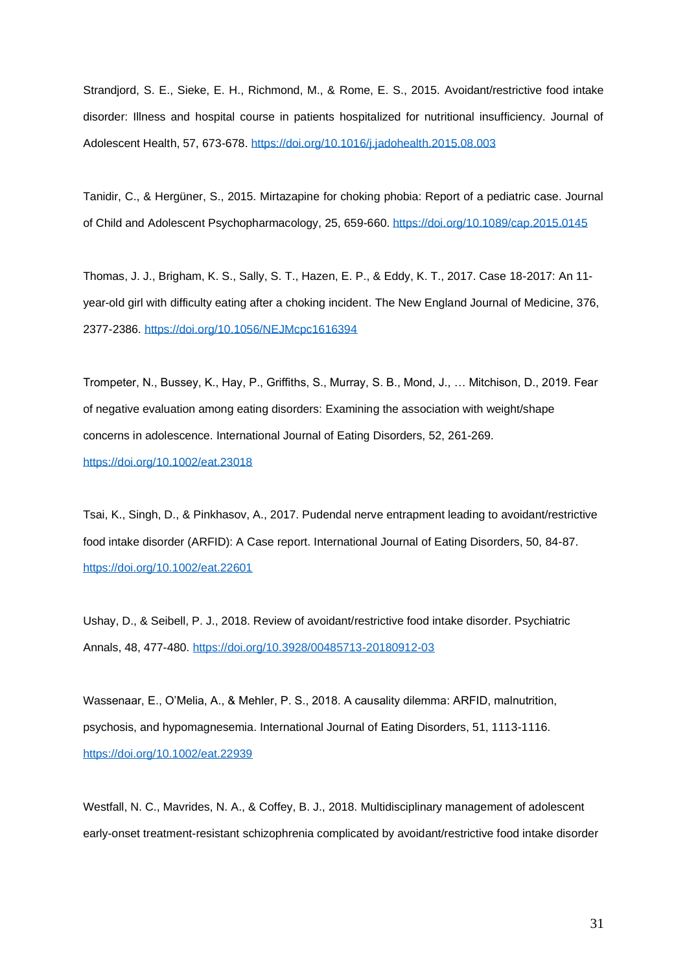Strandjord, S. E., Sieke, E. H., Richmond, M., & Rome, E. S., 2015. Avoidant/restrictive food intake disorder: Illness and hospital course in patients hospitalized for nutritional insufficiency. Journal of Adolescent Health, 57, 673-678.<https://doi.org/10.1016/j.jadohealth.2015.08.003>

Tanidir, C., & Hergüner, S., 2015. Mirtazapine for choking phobia: Report of a pediatric case. Journal of Child and Adolescent Psychopharmacology, 25, 659-660.<https://doi.org/10.1089/cap.2015.0145>

Thomas, J. J., Brigham, K. S., Sally, S. T., Hazen, E. P., & Eddy, K. T., 2017. Case 18-2017: An 11 year-old girl with difficulty eating after a choking incident. The New England Journal of Medicine, 376, 2377-2386.<https://doi.org/10.1056/NEJMcpc1616394>

Trompeter, N., Bussey, K., Hay, P., Griffiths, S., Murray, S. B., Mond, J., … Mitchison, D., 2019. Fear of negative evaluation among eating disorders: Examining the association with weight/shape concerns in adolescence. International Journal of Eating Disorders, 52, 261-269. <https://doi.org/10.1002/eat.23018>

Tsai, K., Singh, D., & Pinkhasov, A., 2017. Pudendal nerve entrapment leading to avoidant/restrictive food intake disorder (ARFID): A Case report. International Journal of Eating Disorders, 50, 84-87. <https://doi.org/10.1002/eat.22601>

Ushay, D., & Seibell, P. J., 2018. Review of avoidant/restrictive food intake disorder. Psychiatric Annals, 48, 477-480.<https://doi.org/10.3928/00485713-20180912-03>

Wassenaar, E., O'Melia, A., & Mehler, P. S., 2018. A causality dilemma: ARFID, malnutrition, psychosis, and hypomagnesemia. International Journal of Eating Disorders, 51, 1113-1116. <https://doi.org/10.1002/eat.22939>

Westfall, N. C., Mavrides, N. A., & Coffey, B. J., 2018. Multidisciplinary management of adolescent early-onset treatment-resistant schizophrenia complicated by avoidant/restrictive food intake disorder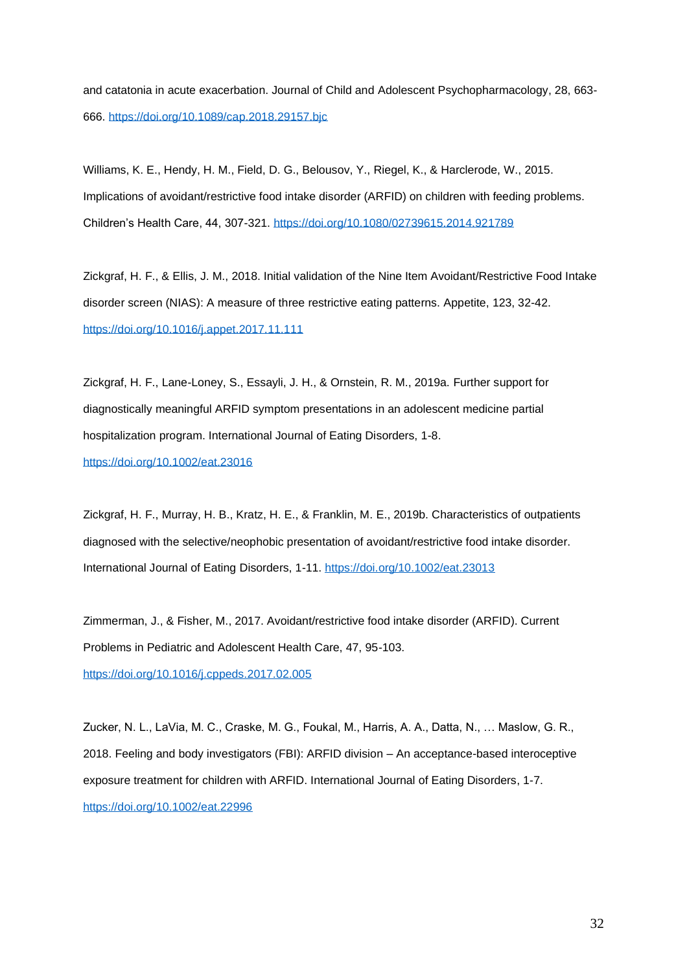and catatonia in acute exacerbation. Journal of Child and Adolescent Psychopharmacology, 28, 663- 666.<https://doi.org/10.1089/cap.2018.29157.bjc>

Williams, K. E., Hendy, H. M., Field, D. G., Belousov, Y., Riegel, K., & Harclerode, W., 2015. Implications of avoidant/restrictive food intake disorder (ARFID) on children with feeding problems. Children's Health Care, 44, 307-321.<https://doi.org/10.1080/02739615.2014.921789>

Zickgraf, H. F., & Ellis, J. M., 2018. Initial validation of the Nine Item Avoidant/Restrictive Food Intake disorder screen (NIAS): A measure of three restrictive eating patterns. Appetite, 123, 32-42. <https://doi.org/10.1016/j.appet.2017.11.111>

Zickgraf, H. F., Lane-Loney, S., Essayli, J. H., & Ornstein, R. M., 2019a. Further support for diagnostically meaningful ARFID symptom presentations in an adolescent medicine partial hospitalization program. International Journal of Eating Disorders, 1-8. <https://doi.org/10.1002/eat.23016>

Zickgraf, H. F., Murray, H. B., Kratz, H. E., & Franklin, M. E., 2019b. Characteristics of outpatients diagnosed with the selective/neophobic presentation of avoidant/restrictive food intake disorder. International Journal of Eating Disorders, 1-11.<https://doi.org/10.1002/eat.23013>

Zimmerman, J., & Fisher, M., 2017. Avoidant/restrictive food intake disorder (ARFID). Current Problems in Pediatric and Adolescent Health Care, 47, 95-103. <https://doi.org/10.1016/j.cppeds.2017.02.005>

Zucker, N. L., LaVia, M. C., Craske, M. G., Foukal, M., Harris, A. A., Datta, N., … Maslow, G. R., 2018. Feeling and body investigators (FBI): ARFID division – An acceptance-based interoceptive exposure treatment for children with ARFID. International Journal of Eating Disorders, 1-7. <https://doi.org/10.1002/eat.22996>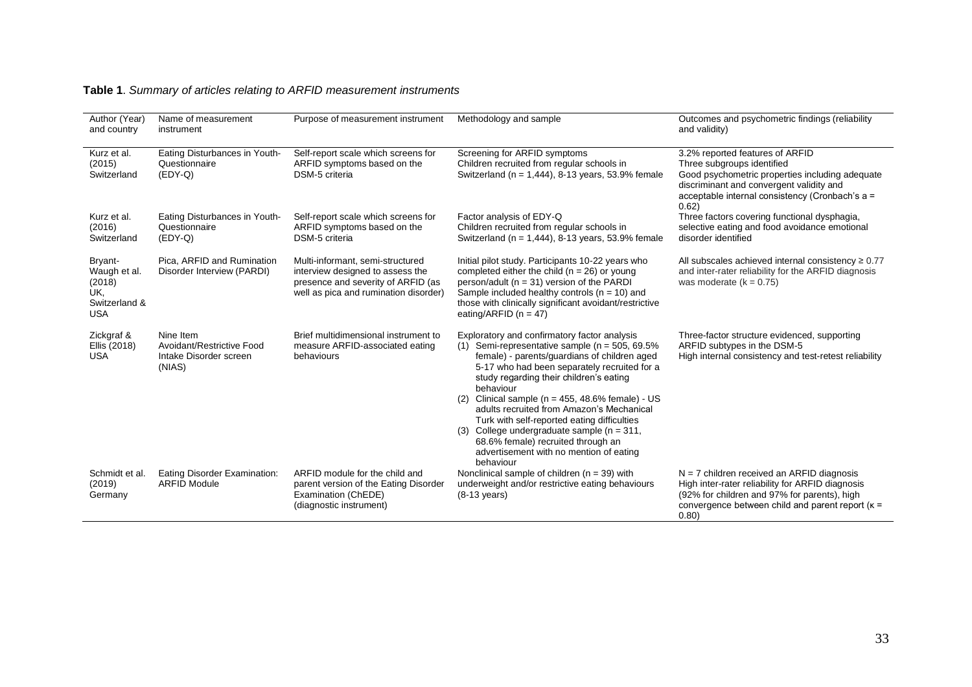| Table 1. Summary of articles relating to ARFID measurement instruments |
|------------------------------------------------------------------------|
|------------------------------------------------------------------------|

| Author (Year)<br>and country                                            | Name of measurement<br>instrument                                          | Purpose of measurement instrument                                                                                                                   | Methodology and sample                                                                                                                                                                                                                                                                                                                                                                                                                                                                                                                                          | Outcomes and psychometric findings (reliability<br>and validity)                                                                                                                                                         |
|-------------------------------------------------------------------------|----------------------------------------------------------------------------|-----------------------------------------------------------------------------------------------------------------------------------------------------|-----------------------------------------------------------------------------------------------------------------------------------------------------------------------------------------------------------------------------------------------------------------------------------------------------------------------------------------------------------------------------------------------------------------------------------------------------------------------------------------------------------------------------------------------------------------|--------------------------------------------------------------------------------------------------------------------------------------------------------------------------------------------------------------------------|
| Kurz et al.<br>(2015)<br>Switzerland                                    | Eating Disturbances in Youth-<br>Questionnaire<br>$(EDY-Q)$                | Self-report scale which screens for<br>ARFID symptoms based on the<br>DSM-5 criteria                                                                | Screening for ARFID symptoms<br>Children recruited from regular schools in<br>Switzerland ( $n = 1,444$ ), 8-13 years, 53.9% female                                                                                                                                                                                                                                                                                                                                                                                                                             | 3.2% reported features of ARFID<br>Three subgroups identified<br>Good psychometric properties including adequate<br>discriminant and convergent validity and<br>acceptable internal consistency (Cronbach's a =<br>0.62) |
| Kurz et al.<br>(2016)<br>Switzerland                                    | Eating Disturbances in Youth-<br>Questionnaire<br>$(EDY-Q)$                | Self-report scale which screens for<br>ARFID symptoms based on the<br>DSM-5 criteria                                                                | Factor analysis of EDY-Q<br>Children recruited from regular schools in<br>Switzerland ( $n = 1,444$ ), 8-13 years, 53.9% female                                                                                                                                                                                                                                                                                                                                                                                                                                 | Three factors covering functional dysphagia,<br>selective eating and food avoidance emotional<br>disorder identified                                                                                                     |
| Bryant-<br>Waugh et al.<br>(2018)<br>UK,<br>Switzerland &<br><b>USA</b> | Pica, ARFID and Rumination<br>Disorder Interview (PARDI)                   | Multi-informant, semi-structured<br>interview designed to assess the<br>presence and severity of ARFID (as<br>well as pica and rumination disorder) | Initial pilot study. Participants 10-22 years who<br>completed either the child ( $n = 26$ ) or young<br>person/adult ( $n = 31$ ) version of the PARDI<br>Sample included healthy controls ( $n = 10$ ) and<br>those with clinically significant avoidant/restrictive<br>eating/ARFID ( $n = 47$ )                                                                                                                                                                                                                                                             | All subscales achieved internal consistency $\geq 0.77$<br>and inter-rater reliability for the ARFID diagnosis<br>was moderate $(k = 0.75)$                                                                              |
| Zickgraf &<br>Ellis (2018)<br><b>USA</b>                                | Nine Item<br>Avoidant/Restrictive Food<br>Intake Disorder screen<br>(NIAS) | Brief multidimensional instrument to<br>measure ARFID-associated eating<br>behaviours                                                               | Exploratory and confirmatory factor analysis<br>(1) Semi-representative sample ( $n = 505$ , 69.5%)<br>female) - parents/guardians of children aged<br>5-17 who had been separately recruited for a<br>study regarding their children's eating<br>behaviour<br>(2) Clinical sample ( $n = 455$ , 48.6% female) - US<br>adults recruited from Amazon's Mechanical<br>Turk with self-reported eating difficulties<br>(3) College undergraduate sample ( $n = 311$ ,<br>68.6% female) recruited through an<br>advertisement with no mention of eating<br>behaviour | Three-factor structure evidenced, supporting<br>ARFID subtypes in the DSM-5<br>High internal consistency and test-retest reliability                                                                                     |
| Schmidt et al.<br>(2019)<br>Germany                                     | Eating Disorder Examination:<br><b>ARFID Module</b>                        | ARFID module for the child and<br>parent version of the Eating Disorder<br>Examination (ChEDE)<br>(diagnostic instrument)                           | Nonclinical sample of children $(n = 39)$ with<br>underweight and/or restrictive eating behaviours<br>$(8-13 \text{ years})$                                                                                                                                                                                                                                                                                                                                                                                                                                    | $N = 7$ children received an ARFID diagnosis<br>High inter-rater reliability for ARFID diagnosis<br>(92% for children and 97% for parents), high<br>convergence between child and parent report $(k =$<br>0.80)          |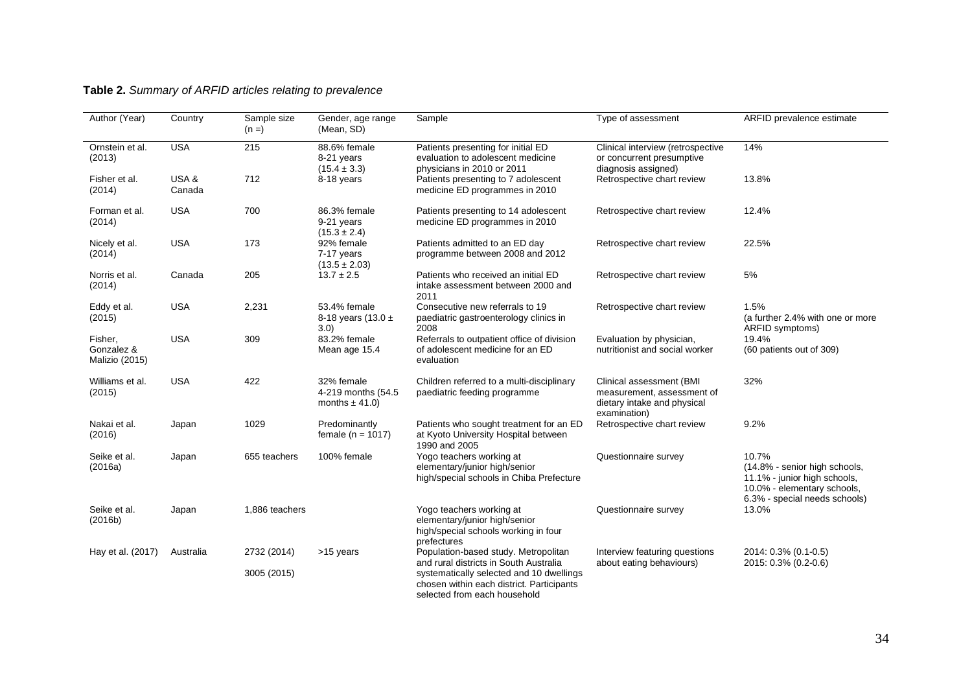| Author (Year)                                  | Country        | Sample size<br>$(n =)$     | Gender, age range<br>(Mean, SD)                         | Sample                                                                                                                                                                                                  | Type of assessment                                                                                    | ARFID prevalence estimate                                                                                                              |
|------------------------------------------------|----------------|----------------------------|---------------------------------------------------------|---------------------------------------------------------------------------------------------------------------------------------------------------------------------------------------------------------|-------------------------------------------------------------------------------------------------------|----------------------------------------------------------------------------------------------------------------------------------------|
| Ornstein et al.<br>(2013)                      | <b>USA</b>     | 215                        | 88.6% female<br>8-21 years<br>$(15.4 \pm 3.3)$          | Patients presenting for initial ED<br>evaluation to adolescent medicine<br>physicians in 2010 or 2011                                                                                                   | Clinical interview (retrospective<br>or concurrent presumptive<br>diagnosis assigned)                 | 14%                                                                                                                                    |
| Fisher et al.<br>(2014)                        | USA&<br>Canada | 712                        | 8-18 years                                              | Patients presenting to 7 adolescent<br>medicine ED programmes in 2010                                                                                                                                   | Retrospective chart review                                                                            | 13.8%                                                                                                                                  |
| Forman et al.<br>(2014)                        | <b>USA</b>     | 700                        | 86.3% female<br>9-21 years<br>$(15.3 \pm 2.4)$          | Patients presenting to 14 adolescent<br>medicine ED programmes in 2010                                                                                                                                  | Retrospective chart review                                                                            | 12.4%                                                                                                                                  |
| Nicely et al.<br>(2014)                        | <b>USA</b>     | 173                        | 92% female<br>7-17 years<br>$(13.5 \pm 2.03)$           | Patients admitted to an ED day<br>programme between 2008 and 2012                                                                                                                                       | Retrospective chart review                                                                            | 22.5%                                                                                                                                  |
| Norris et al.<br>(2014)                        | Canada         | 205                        | $13.7 \pm 2.5$                                          | Patients who received an initial ED<br>intake assessment between 2000 and<br>2011                                                                                                                       | Retrospective chart review                                                                            | 5%                                                                                                                                     |
| Eddy et al.<br>(2015)                          | <b>USA</b>     | 2,231                      | 53.4% female<br>8-18 years (13.0 $\pm$<br>3.0)          | Consecutive new referrals to 19<br>paediatric gastroenterology clinics in<br>2008                                                                                                                       | Retrospective chart review                                                                            | 1.5%<br>(a further 2.4% with one or more<br>ARFID symptoms)                                                                            |
| Fisher,<br>Gonzalez &<br><b>Malizio (2015)</b> | <b>USA</b>     | 309                        | 83.2% female<br>Mean age 15.4                           | Referrals to outpatient office of division<br>of adolescent medicine for an ED<br>evaluation                                                                                                            | Evaluation by physician,<br>nutritionist and social worker                                            | 19.4%<br>(60 patients out of 309)                                                                                                      |
| Williams et al.<br>(2015)                      | <b>USA</b>     | 422                        | 32% female<br>4-219 months (54.5)<br>months $\pm$ 41.0) | Children referred to a multi-disciplinary<br>paediatric feeding programme                                                                                                                               | Clinical assessment (BMI<br>measurement, assessment of<br>dietary intake and physical<br>examination) | 32%                                                                                                                                    |
| Nakai et al.<br>(2016)                         | Japan          | 1029                       | Predominantly<br>female ( $n = 1017$ )                  | Patients who sought treatment for an ED<br>at Kyoto University Hospital between<br>1990 and 2005                                                                                                        | Retrospective chart review                                                                            | 9.2%                                                                                                                                   |
| Seike et al.<br>(2016a)                        | Japan          | 655 teachers               | 100% female                                             | Yogo teachers working at<br>elementary/junior high/senior<br>high/special schools in Chiba Prefecture                                                                                                   | Questionnaire survey                                                                                  | 10.7%<br>(14.8% - senior high schools,<br>11.1% - junior high schools,<br>10.0% - elementary schools,<br>6.3% - special needs schools) |
| Seike et al.<br>(2016b)                        | Japan          | 1,886 teachers             |                                                         | Yogo teachers working at<br>elementary/junior high/senior<br>high/special schools working in four<br>prefectures                                                                                        | Questionnaire survey                                                                                  | 13.0%                                                                                                                                  |
| Hay et al. (2017)                              | Australia      | 2732 (2014)<br>3005 (2015) | >15 years                                               | Population-based study. Metropolitan<br>and rural districts in South Australia<br>systematically selected and 10 dwellings<br>chosen within each district. Participants<br>selected from each household | Interview featuring questions<br>about eating behaviours)                                             | 2014: 0.3% (0.1-0.5)<br>2015: 0.3% (0.2-0.6)                                                                                           |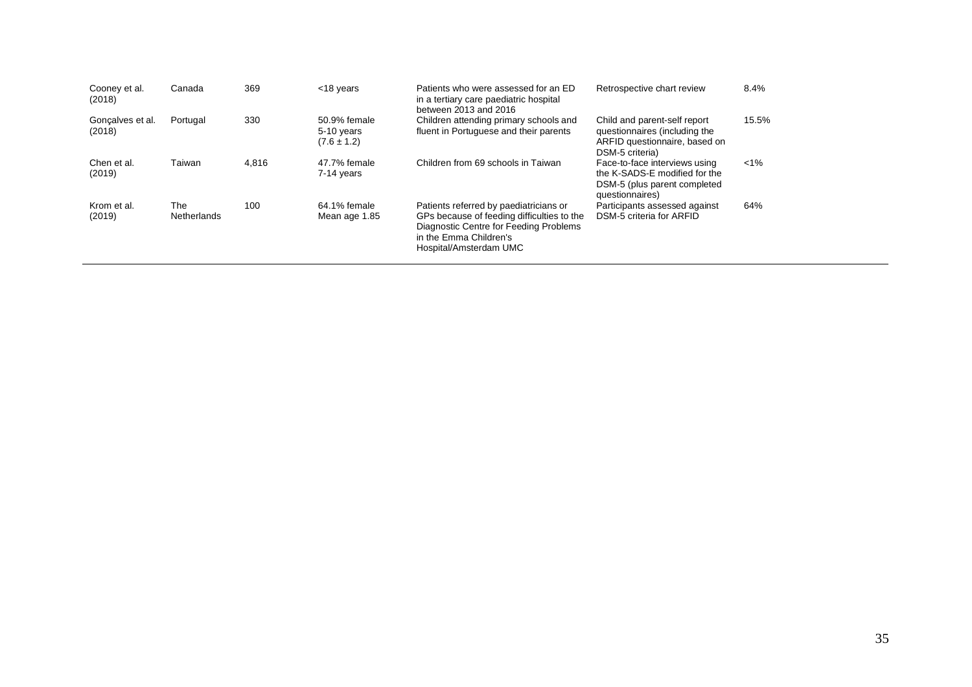| Cooney et al.<br>(2018)    | Canada                    | 369   | <18 years                                     | Patients who were assessed for an ED<br>in a tertiary care paediatric hospital<br>between 2013 and 2016                                                                            | Retrospective chart review                                                                                        | 8.4%    |
|----------------------------|---------------------------|-------|-----------------------------------------------|------------------------------------------------------------------------------------------------------------------------------------------------------------------------------------|-------------------------------------------------------------------------------------------------------------------|---------|
| Goncalves et al.<br>(2018) | Portugal                  | 330   | 50.9% female<br>5-10 years<br>$(7.6 \pm 1.2)$ | Children attending primary schools and<br>fluent in Portuguese and their parents                                                                                                   | Child and parent-self report<br>questionnaires (including the<br>ARFID questionnaire, based on<br>DSM-5 criteria) | 15.5%   |
| Chen et al.<br>(2019)      | Taiwan                    | 4.816 | 47.7% female<br>7-14 years                    | Children from 69 schools in Taiwan                                                                                                                                                 | Face-to-face interviews using<br>the K-SADS-E modified for the<br>DSM-5 (plus parent completed<br>questionnaires) | $< 1\%$ |
| Krom et al.<br>(2019)      | The<br><b>Netherlands</b> | 100   | 64.1% female<br>Mean age 1.85                 | Patients referred by paediatricians or<br>GPs because of feeding difficulties to the<br>Diagnostic Centre for Feeding Problems<br>in the Emma Children's<br>Hospital/Amsterdam UMC | Participants assessed against<br><b>DSM-5 criteria for ARFID</b>                                                  | 64%     |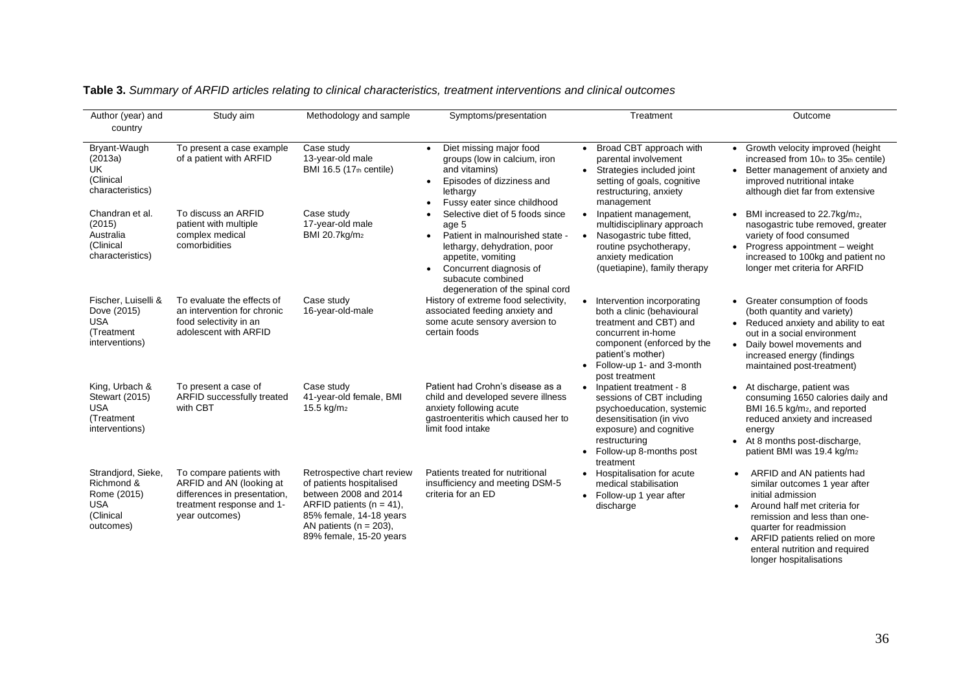| Author (year) and<br>country                                                            | Study aim                                                                                                                           | Methodology and sample                                                                                                                                                                             | Symptoms/presentation                                                                                                                                                                                               | Treatment                                                                                                                                                                                                   | Outcome                                                                                                                                                                                                                               |
|-----------------------------------------------------------------------------------------|-------------------------------------------------------------------------------------------------------------------------------------|----------------------------------------------------------------------------------------------------------------------------------------------------------------------------------------------------|---------------------------------------------------------------------------------------------------------------------------------------------------------------------------------------------------------------------|-------------------------------------------------------------------------------------------------------------------------------------------------------------------------------------------------------------|---------------------------------------------------------------------------------------------------------------------------------------------------------------------------------------------------------------------------------------|
| Bryant-Waugh<br>(2013a)<br>UK<br>(Clinical<br>characteristics)                          | To present a case example<br>of a patient with ARFID                                                                                | Case study<br>13-year-old male<br>BMI 16.5 (17th centile)                                                                                                                                          | Diet missing major food<br>groups (low in calcium, iron<br>and vitamins)<br>Episodes of dizziness and<br>lethargy<br>Fussy eater since childhood                                                                    | • Broad CBT approach with<br>parental involvement<br>Strategies included joint<br>$\bullet$<br>setting of goals, cognitive<br>restructuring, anxiety<br>management                                          | • Growth velocity improved (height<br>increased from 10th to 35th centile)<br>Better management of anxiety and<br>improved nutritional intake<br>although diet far from extensive                                                     |
| Chandran et al.<br>(2015)<br>Australia<br>(Clinical<br>characteristics)                 | To discuss an ARFID<br>patient with multiple<br>complex medical<br>comorbidities                                                    | Case study<br>17-year-old male<br>BMI 20.7kg/m <sub>2</sub>                                                                                                                                        | Selective diet of 5 foods since<br>age 5<br>Patient in malnourished state -<br>lethargy, dehydration, poor<br>appetite, vomiting<br>Concurrent diagnosis of<br>subacute combined<br>degeneration of the spinal cord | Inpatient management,<br>$\bullet$<br>multidisciplinary approach<br>Nasogastric tube fitted,<br>routine psychotherapy,<br>anxiety medication<br>(quetiapine), family therapy                                | BMI increased to 22.7kg/m2,<br>nasogastric tube removed, greater<br>variety of food consumed<br>Progress appointment - weight<br>increased to 100kg and patient no<br>longer met criteria for ARFID                                   |
| Fischer, Luiselli &<br>Dove (2015)<br><b>USA</b><br>(Treatment<br>interventions)        | To evaluate the effects of<br>an intervention for chronic<br>food selectivity in an<br>adolescent with ARFID                        | Case study<br>16-year-old-male                                                                                                                                                                     | History of extreme food selectivity,<br>associated feeding anxiety and<br>some acute sensory aversion to<br>certain foods                                                                                           | Intervention incorporating<br>both a clinic (behavioural<br>treatment and CBT) and<br>concurrent in-home<br>component (enforced by the<br>patient's mother)<br>• Follow-up 1- and 3-month<br>post treatment | • Greater consumption of foods<br>(both quantity and variety)<br>• Reduced anxiety and ability to eat<br>out in a social environment<br>Daily bowel movements and<br>increased energy (findings<br>maintained post-treatment)         |
| King, Urbach &<br><b>Stewart (2015)</b><br><b>USA</b><br>(Treatment<br>interventions)   | To present a case of<br>ARFID successfully treated<br>with CBT                                                                      | Case study<br>41-year-old female, BMI<br>15.5 kg/m <sub>2</sub>                                                                                                                                    | Patient had Crohn's disease as a<br>child and developed severe illness<br>anxiety following acute<br>gastroenteritis which caused her to<br>limit food intake                                                       | • Inpatient treatment - 8<br>sessions of CBT including<br>psychoeducation, systemic<br>desensitisation (in vivo<br>exposure) and cognitive<br>restructuring<br>Follow-up 8-months post<br>treatment         | At discharge, patient was<br>consuming 1650 calories daily and<br>BMI 16.5 kg/m <sub>2</sub> , and reported<br>reduced anxiety and increased<br>energy<br>• At 8 months post-discharge,<br>patient BMI was 19.4 kg/m2                 |
| Strandjord, Sieke,<br>Richmond &<br>Rome (2015)<br><b>USA</b><br>(Clinical<br>outcomes) | To compare patients with<br>ARFID and AN (looking at<br>differences in presentation,<br>treatment response and 1-<br>year outcomes) | Retrospective chart review<br>of patients hospitalised<br>between 2008 and 2014<br>ARFID patients $(n = 41)$ ,<br>85% female, 14-18 years<br>AN patients ( $n = 203$ ),<br>89% female, 15-20 years | Patients treated for nutritional<br>insufficiency and meeting DSM-5<br>criteria for an ED                                                                                                                           | • Hospitalisation for acute<br>medical stabilisation<br>• Follow-up 1 year after<br>discharge                                                                                                               | ARFID and AN patients had<br>similar outcomes 1 year after<br>initial admission<br>Around half met criteria for<br>$\bullet$<br>remission and less than one-<br>quarter for readmission<br>ARFID patients relied on more<br>$\bullet$ |

# **Table 3.** *Summary of ARFID articles relating to clinical characteristics, treatment interventions and clinical outcomes*

enteral nutrition and required longer hospitalisations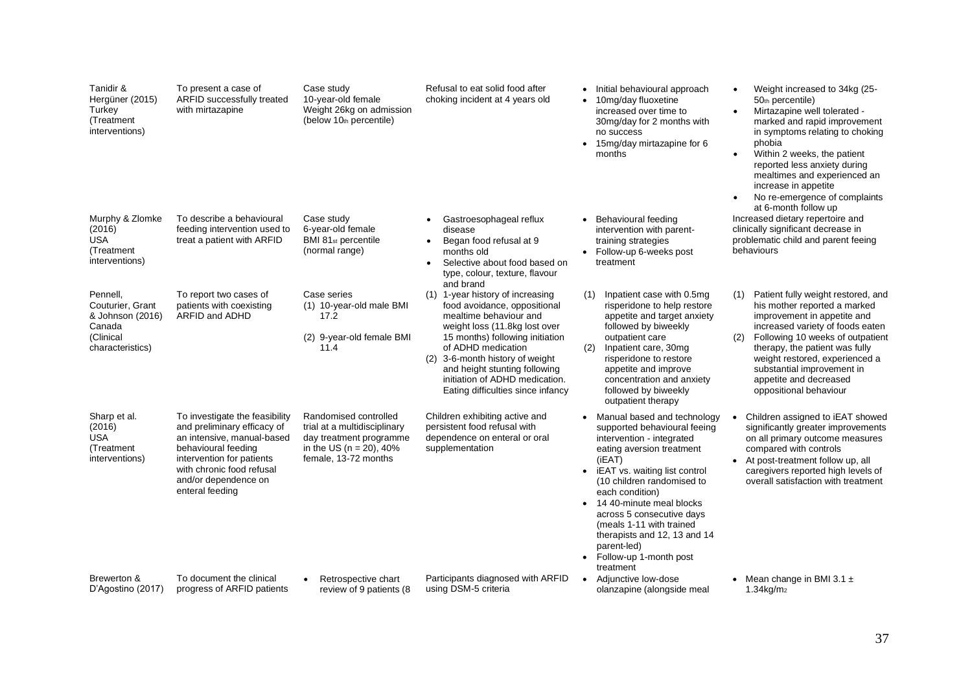| Tanidir &<br>Hergüner (2015)<br>Turkey<br>(Treatment<br>interventions)                      | To present a case of<br>ARFID successfully treated<br>with mirtazapine                                                                                                                                                  | Case study<br>10-year-old female<br>Weight 26kg on admission<br>(below 10th percentile)                                                | Refusal to eat solid food after<br>choking incident at 4 years old                                                                                                                                                                                                                                                              | • Initial behavioural approach<br>10mg/day fluoxetine<br>increased over time to<br>30mg/day for 2 months with<br>no success<br>15mg/day mirtazapine for 6<br>months                                                                                                                                                                                                                                  | Weight increased to 34kg (25-<br>$\bullet$<br>50th percentile)<br>Mirtazapine well tolerated -<br>$\bullet$<br>marked and rapid improvement<br>in symptoms relating to choking<br>phobia<br>Within 2 weeks, the patient<br>$\bullet$<br>reported less anxiety during<br>mealtimes and experienced an<br>increase in appetite<br>No re-emergence of complaints<br>$\bullet$<br>at 6-month follow up |
|---------------------------------------------------------------------------------------------|-------------------------------------------------------------------------------------------------------------------------------------------------------------------------------------------------------------------------|----------------------------------------------------------------------------------------------------------------------------------------|---------------------------------------------------------------------------------------------------------------------------------------------------------------------------------------------------------------------------------------------------------------------------------------------------------------------------------|------------------------------------------------------------------------------------------------------------------------------------------------------------------------------------------------------------------------------------------------------------------------------------------------------------------------------------------------------------------------------------------------------|----------------------------------------------------------------------------------------------------------------------------------------------------------------------------------------------------------------------------------------------------------------------------------------------------------------------------------------------------------------------------------------------------|
| Murphy & Zlomke<br>(2016)<br><b>USA</b><br>(Treatment<br>interventions)                     | To describe a behavioural<br>feeding intervention used to<br>treat a patient with ARFID                                                                                                                                 | Case study<br>6-year-old female<br>BMI 81st percentile<br>(normal range)                                                               | Gastroesophageal reflux<br>$\bullet$<br>disease<br>Began food refusal at 9<br>$\bullet$<br>months old<br>Selective about food based on<br>type, colour, texture, flavour<br>and brand                                                                                                                                           | Behavioural feeding<br>intervention with parent-<br>training strategies<br>• Follow-up 6-weeks post<br>treatment                                                                                                                                                                                                                                                                                     | Increased dietary repertoire and<br>clinically significant decrease in<br>problematic child and parent feeing<br>behaviours                                                                                                                                                                                                                                                                        |
| Pennell,<br>Couturier, Grant<br>& Johnson (2016)<br>Canada<br>(Clinical<br>characteristics) | To report two cases of<br>patients with coexisting<br>ARFID and ADHD                                                                                                                                                    | Case series<br>(1) 10-year-old male BMI<br>17.2<br>(2) 9-year-old female BMI<br>11.4                                                   | (1) 1-year history of increasing<br>food avoidance, oppositional<br>mealtime behaviour and<br>weight loss (11.8kg lost over<br>15 months) following initiation<br>of ADHD medication<br>(2) 3-6-month history of weight<br>and height stunting following<br>initiation of ADHD medication.<br>Eating difficulties since infancy | Inpatient case with 0.5mg<br>(1)<br>risperidone to help restore<br>appetite and target anxiety<br>followed by biweekly<br>outpatient care<br>(2)<br>Inpatient care, 30mg<br>risperidone to restore<br>appetite and improve<br>concentration and anxiety<br>followed by biweekly<br>outpatient therapy                                                                                                | Patient fully weight restored, and<br>(1)<br>his mother reported a marked<br>improvement in appetite and<br>increased variety of foods eaten<br>Following 10 weeks of outpatient<br>(2)<br>therapy, the patient was fully<br>weight restored, experienced a<br>substantial improvement in<br>appetite and decreased<br>oppositional behaviour                                                      |
| Sharp et al.<br>(2016)<br>USA<br>(Treatment<br>interventions)                               | To investigate the feasibility<br>and preliminary efficacy of<br>an intensive, manual-based<br>behavioural feeding<br>intervention for patients<br>with chronic food refusal<br>and/or dependence on<br>enteral feeding | Randomised controlled<br>trial at a multidisciplinary<br>day treatment programme<br>in the US $(n = 20)$ , 40%<br>female, 13-72 months | Children exhibiting active and<br>persistent food refusal with<br>dependence on enteral or oral<br>supplementation                                                                                                                                                                                                              | • Manual based and technology<br>supported behavioural feeing<br>intervention - integrated<br>eating aversion treatment<br>(iEAT)<br>• iEAT vs. waiting list control<br>(10 children randomised to<br>each condition)<br>• 14 40-minute meal blocks<br>across 5 consecutive days<br>(meals 1-11 with trained<br>therapists and 12, 13 and 14<br>parent-led)<br>• Follow-up 1-month post<br>treatment | Children assigned to iEAT showed<br>significantly greater improvements<br>on all primary outcome measures<br>compared with controls<br>At post-treatment follow up, all<br>caregivers reported high levels of<br>overall satisfaction with treatment                                                                                                                                               |
| Brewerton &<br>D'Agostino (2017)                                                            | To document the clinical<br>progress of ARFID patients                                                                                                                                                                  | Retrospective chart<br>$\bullet$<br>review of 9 patients (8                                                                            | Participants diagnosed with ARFID<br>using DSM-5 criteria                                                                                                                                                                                                                                                                       | Adjunctive low-dose<br>olanzapine (alongside meal                                                                                                                                                                                                                                                                                                                                                    | Mean change in BMI 3.1 $\pm$<br>$1.34$ kg/m <sub>2</sub>                                                                                                                                                                                                                                                                                                                                           |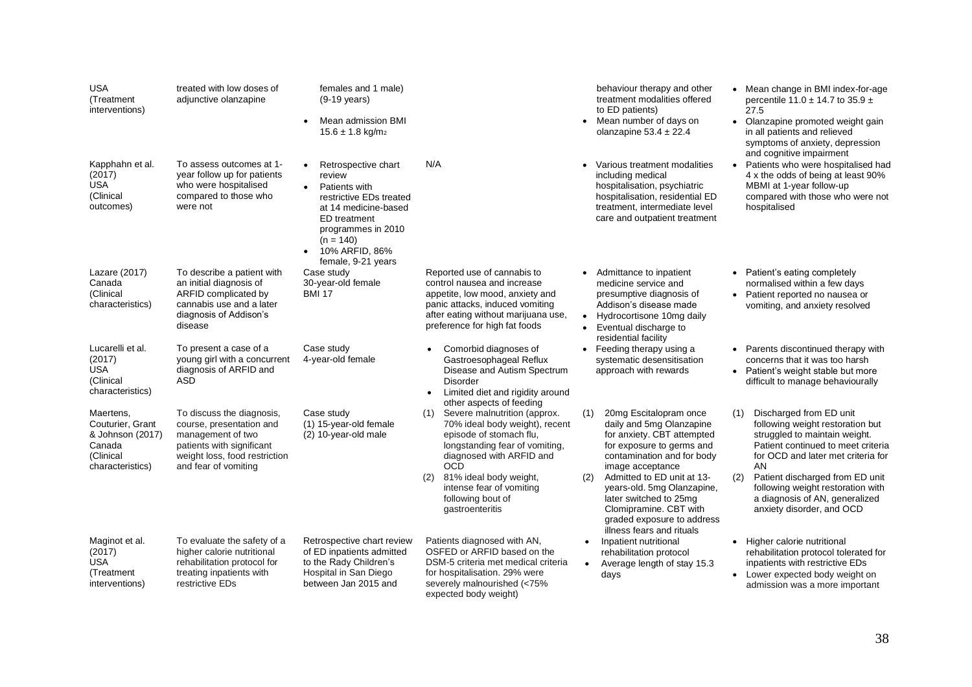| <b>USA</b><br>(Treatment<br>interventions)                                                   | treated with low doses of<br>adjunctive olanzapine                                                                                                               | females and 1 male)<br>$(9-19 \text{ years})$<br>Mean admission BMI<br>$15.6 \pm 1.8$ kg/m <sub>2</sub>                                                                                                                               |                                                                                                                                                                                                          | behaviour therapy and other<br>treatment modalities offered<br>to ED patients)<br>• Mean number of days on<br>olanzapine $53.4 \pm 22.4$                                                  | • Mean change in BMI index-for-age<br>percentile 11.0 $\pm$ 14.7 to 35.9 $\pm$<br>27.5<br>• Olanzapine promoted weight gain<br>in all patients and relieved<br>symptoms of anxiety, depression    |
|----------------------------------------------------------------------------------------------|------------------------------------------------------------------------------------------------------------------------------------------------------------------|---------------------------------------------------------------------------------------------------------------------------------------------------------------------------------------------------------------------------------------|----------------------------------------------------------------------------------------------------------------------------------------------------------------------------------------------------------|-------------------------------------------------------------------------------------------------------------------------------------------------------------------------------------------|---------------------------------------------------------------------------------------------------------------------------------------------------------------------------------------------------|
| Kapphahn et al.<br>(2017)<br>USA<br>(Clinical<br>outcomes)                                   | To assess outcomes at 1-<br>year follow up for patients<br>who were hospitalised<br>compared to those who<br>were not                                            | Retrospective chart<br>$\bullet$<br>review<br>Patients with<br>$\bullet$<br>restrictive EDs treated<br>at 14 medicine-based<br>ED treatment<br>programmes in 2010<br>$(n = 140)$<br>10% ARFID, 86%<br>$\bullet$<br>female, 9-21 years | N/A                                                                                                                                                                                                      | Various treatment modalities<br>including medical<br>hospitalisation, psychiatric<br>hospitalisation, residential ED<br>treatment, intermediate level<br>care and outpatient treatment    | and cognitive impairment<br>Patients who were hospitalised had<br>$\bullet$<br>4 x the odds of being at least 90%<br>MBMI at 1-year follow-up<br>compared with those who were not<br>hospitalised |
| Lazare (2017)<br>Canada<br>(Clinical<br>characteristics)                                     | To describe a patient with<br>an initial diagnosis of<br>ARFID complicated by<br>cannabis use and a later<br>diagnosis of Addison's<br>disease                   | Case study<br>30-year-old female<br><b>BMI 17</b>                                                                                                                                                                                     | Reported use of cannabis to<br>control nausea and increase<br>appetite, low mood, anxiety and<br>panic attacks, induced vomiting<br>after eating without marijuana use,<br>preference for high fat foods | • Admittance to inpatient<br>medicine service and<br>presumptive diagnosis of<br>Addison's disease made<br>• Hydrocortisone 10mg daily<br>• Eventual discharge to<br>residential facility | • Patient's eating completely<br>normalised within a few days<br>• Patient reported no nausea or<br>vomiting, and anxiety resolved                                                                |
| Lucarelli et al.<br>(2017)<br><b>USA</b><br>(Clinical<br>characteristics)                    | To present a case of a<br>young girl with a concurrent<br>diagnosis of ARFID and<br>ASD                                                                          | Case study<br>4-year-old female                                                                                                                                                                                                       | Comorbid diagnoses of<br>Gastroesophageal Reflux<br>Disease and Autism Spectrum<br><b>Disorder</b><br>Limited diet and rigidity around<br>$\bullet$<br>other aspects of feeding                          | • Feeding therapy using a<br>systematic desensitisation<br>approach with rewards                                                                                                          | • Parents discontinued therapy with<br>concerns that it was too harsh<br>• Patient's weight stable but more<br>difficult to manage behaviourally                                                  |
| Maertens,<br>Couturier, Grant<br>& Johnson (2017)<br>Canada<br>(Clinical<br>characteristics) | To discuss the diagnosis,<br>course, presentation and<br>management of two<br>patients with significant<br>weight loss, food restriction<br>and fear of vomiting | Case study<br>(1) 15-year-old female<br>(2) 10-year-old male                                                                                                                                                                          | Severe malnutrition (approx.<br>(1)<br>70% ideal body weight), recent<br>episode of stomach flu,<br>longstanding fear of vomiting,<br>diagnosed with ARFID and<br><b>OCD</b>                             | 20mg Escitalopram once<br>(1)<br>daily and 5mg Olanzapine<br>for anxiety. CBT attempted<br>for exposure to germs and<br>contamination and for body<br>image acceptance                    | Discharged from ED unit<br>(1)<br>following weight restoration but<br>struggled to maintain weight.<br>Patient continued to meet criteria<br>for OCD and later met criteria for<br>AN             |
|                                                                                              |                                                                                                                                                                  |                                                                                                                                                                                                                                       | 81% ideal body weight,<br>(2)<br>intense fear of vomiting<br>following bout of<br>gastroenteritis                                                                                                        | (2)<br>Admitted to ED unit at 13-<br>years-old. 5mg Olanzapine,<br>later switched to 25mg<br>Clomipramine. CBT with<br>graded exposure to address<br>illness fears and rituals            | (2)<br>Patient discharged from ED unit<br>following weight restoration with<br>a diagnosis of AN, generalized<br>anxiety disorder, and OCD                                                        |
| Maginot et al.<br>(2017)<br>USA<br>(Treatment<br>interventions)                              | To evaluate the safety of a<br>higher calorie nutritional<br>rehabilitation protocol for<br>treating inpatients with<br>restrictive EDs                          | Retrospective chart review<br>of ED inpatients admitted<br>to the Rady Children's<br>Hospital in San Diego<br>between Jan 2015 and                                                                                                    | Patients diagnosed with AN,<br>OSFED or ARFID based on the<br>DSM-5 criteria met medical criteria<br>for hospitalisation. 29% were<br>severely malnourished (<75%<br>expected body weight)               | Inpatient nutritional<br>$\bullet$<br>rehabilitation protocol<br>Average length of stay 15.3<br>$\bullet$<br>days                                                                         | • Higher calorie nutritional<br>rehabilitation protocol tolerated for<br>inpatients with restrictive EDs<br>• Lower expected body weight on<br>admission was a more important                     |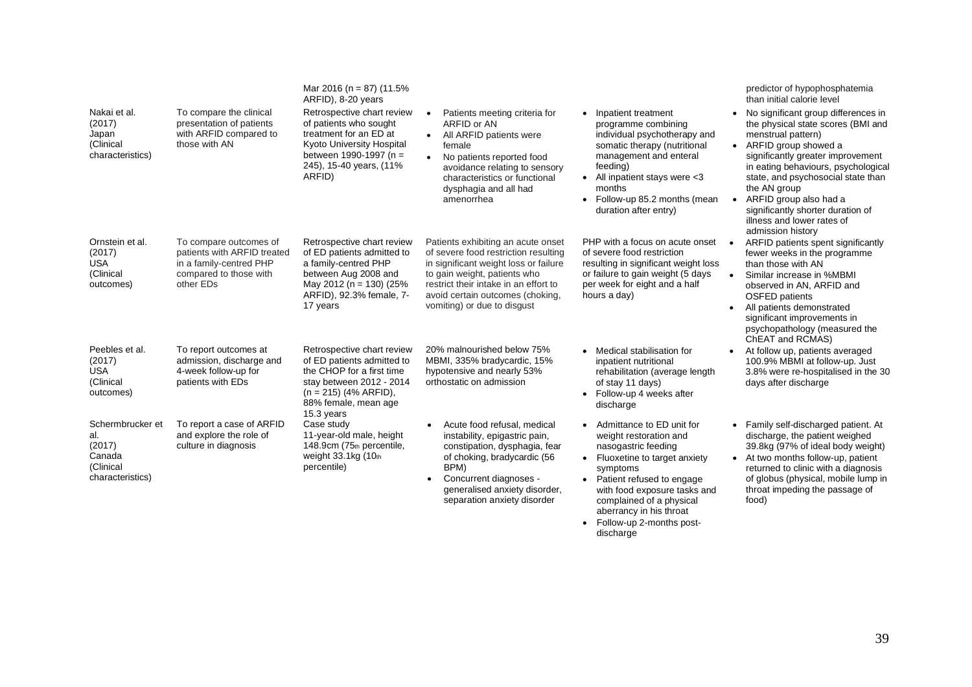|                                                                              |                                                                                                                         | Mar 2016 (n = 87) (11.5%<br>ARFID), 8-20 years                                                                                                                                     |                                                                                                                                                                                                                                                                 |                                                                                                                                                                                                                                                                             | predictor of hypophosphatemia<br>than initial calorie level                                                                                                                                                                                                                                                                                                                       |
|------------------------------------------------------------------------------|-------------------------------------------------------------------------------------------------------------------------|------------------------------------------------------------------------------------------------------------------------------------------------------------------------------------|-----------------------------------------------------------------------------------------------------------------------------------------------------------------------------------------------------------------------------------------------------------------|-----------------------------------------------------------------------------------------------------------------------------------------------------------------------------------------------------------------------------------------------------------------------------|-----------------------------------------------------------------------------------------------------------------------------------------------------------------------------------------------------------------------------------------------------------------------------------------------------------------------------------------------------------------------------------|
| Nakai et al.<br>(2017)<br>Japan<br>(Clinical<br>characteristics)             | To compare the clinical<br>presentation of patients<br>with ARFID compared to<br>those with AN                          | Retrospective chart review<br>of patients who sought<br>treatment for an ED at<br>Kyoto University Hospital<br>between 1990-1997 ( $n =$<br>245), 15-40 years, (11%<br>ARFID)      | Patients meeting criteria for<br>ARFID or AN<br>All ARFID patients were<br>$\bullet$<br>female<br>No patients reported food<br>avoidance relating to sensory<br>characteristics or functional<br>dysphagia and all had<br>amenorrhea                            | Inpatient treatment<br>$\bullet$<br>programme combining<br>individual psychotherapy and<br>somatic therapy (nutritional<br>management and enteral<br>feeding)<br>All inpatient stays were <3<br>months<br>Follow-up 85.2 months (mean<br>$\bullet$<br>duration after entry) | • No significant group differences in<br>the physical state scores (BMI and<br>menstrual pattern)<br>• ARFID group showed a<br>significantly greater improvement<br>in eating behaviours, psychological<br>state, and psychosocial state than<br>the AN group<br>• ARFID group also had a<br>significantly shorter duration of<br>illness and lower rates of<br>admission history |
| Ornstein et al.<br>(2017)<br><b>USA</b><br>(Clinical<br>outcomes)            | To compare outcomes of<br>patients with ARFID treated<br>in a family-centred PHP<br>compared to those with<br>other EDs | Retrospective chart review<br>of ED patients admitted to<br>a family-centred PHP<br>between Aug 2008 and<br>May 2012 (n = 130) (25%<br>ARFID), 92.3% female, 7-<br>17 years        | Patients exhibiting an acute onset<br>of severe food restriction resulting<br>in significant weight loss or failure<br>to gain weight, patients who<br>restrict their intake in an effort to<br>avoid certain outcomes (choking,<br>vomiting) or due to disgust | PHP with a focus on acute onset<br>of severe food restriction<br>resulting in significant weight loss<br>or failure to gain weight (5 days<br>per week for eight and a half<br>hours a day)                                                                                 | ARFID patients spent significantly<br>fewer weeks in the programme<br>than those with AN<br>Similar increase in %MBMI<br>observed in AN, ARFID and<br><b>OSFED</b> patients<br>All patients demonstrated<br>significant improvements in<br>psychopathology (measured the<br>ChEAT and RCMAS)                                                                                      |
| Peebles et al.<br>(2017)<br>USA<br>(Clinical<br>outcomes)                    | To report outcomes at<br>admission, discharge and<br>4-week follow-up for<br>patients with EDs                          | Retrospective chart review<br>of ED patients admitted to<br>the CHOP for a first time<br>stay between 2012 - 2014<br>$(n = 215)$ (4% ARFID),<br>88% female, mean age<br>15.3 years | 20% malnourished below 75%<br>MBMI, 335% bradycardic, 15%<br>hypotensive and nearly 53%<br>orthostatic on admission                                                                                                                                             | • Medical stabilisation for<br>inpatient nutritional<br>rehabilitation (average length<br>of stay 11 days)<br>• Follow-up 4 weeks after<br>discharge                                                                                                                        | At follow up, patients averaged<br>100.9% MBMI at follow-up. Just<br>3.8% were re-hospitalised in the 30<br>days after discharge                                                                                                                                                                                                                                                  |
| Schermbrucker et<br>al.<br>(2017)<br>Canada<br>(Clinical<br>characteristics) | To report a case of ARFID<br>and explore the role of<br>culture in diagnosis                                            | Case study<br>11-year-old male, height<br>148.9cm (75th percentile,<br>weight 33.1kg (10th<br>percentile)                                                                          | Acute food refusal, medical<br>instability, epigastric pain,<br>constipation, dysphagia, fear<br>of choking, bradycardic (56<br>BPM)<br>Concurrent diagnoses -<br>generalised anxiety disorder,<br>separation anxiety disorder                                  | Admittance to ED unit for<br>weight restoration and<br>nasogastric feeding<br>Fluoxetine to target anxiety<br>$\bullet$<br>symptoms<br>Patient refused to engage<br>$\bullet$<br>with food exposure tasks and<br>complained of a physical                                   | Family self-discharged patient. At<br>discharge, the patient weighed<br>39.8kg (97% of ideal body weight)<br>• At two months follow-up, patient<br>returned to clinic with a diagnosis<br>of globus (physical, mobile lump in<br>throat impeding the passage of<br>food)                                                                                                          |

aberrancy in his throat • Follow-up 2-months post-

discharge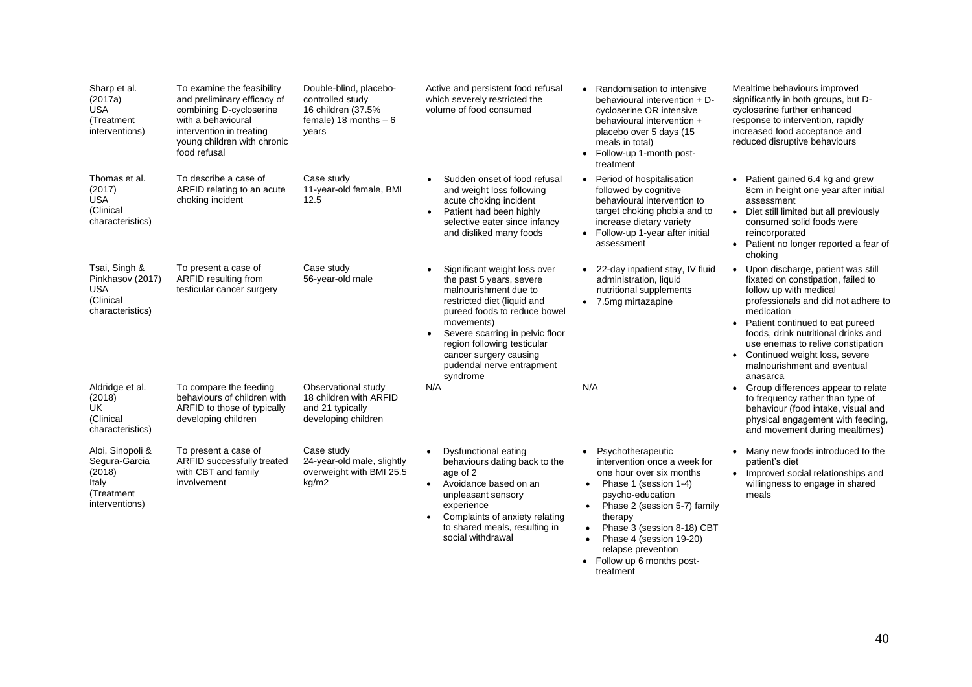| Sharp et al.<br>(2017a)<br><b>USA</b><br>(Treatment<br>interventions)                | To examine the feasibility<br>and preliminary efficacy of<br>combining D-cycloserine<br>with a behavioural<br>intervention in treating<br>young children with chronic<br>food refusal | Double-blind, placebo-<br>controlled study<br>16 children (37.5%<br>female) 18 months $-6$<br>vears | Active and persistent food refusal<br>which severely restricted the<br>volume of food consumed                                                                                                                                                                                                      | • Randomisation to intensive<br>behavioural intervention + D-<br>cycloserine OR intensive<br>behavioural intervention +<br>placebo over 5 days (15<br>meals in total)<br>• Follow-up 1-month post-<br>treatment                                                                                                                                     | Mealtime behaviours improved<br>significantly in both groups, but D-<br>cycloserine further enhanced<br>response to intervention, rapidly<br>increased food acceptance and<br>reduced disruptive behaviours                                                                                                                                             |
|--------------------------------------------------------------------------------------|---------------------------------------------------------------------------------------------------------------------------------------------------------------------------------------|-----------------------------------------------------------------------------------------------------|-----------------------------------------------------------------------------------------------------------------------------------------------------------------------------------------------------------------------------------------------------------------------------------------------------|-----------------------------------------------------------------------------------------------------------------------------------------------------------------------------------------------------------------------------------------------------------------------------------------------------------------------------------------------------|---------------------------------------------------------------------------------------------------------------------------------------------------------------------------------------------------------------------------------------------------------------------------------------------------------------------------------------------------------|
| Thomas et al.<br>(2017)<br><b>USA</b><br>(Clinical<br>characteristics)               | To describe a case of<br>ARFID relating to an acute<br>choking incident                                                                                                               | Case study<br>11-year-old female, BMI<br>12.5                                                       | Sudden onset of food refusal<br>and weight loss following<br>acute choking incident<br>Patient had been highly<br>selective eater since infancy<br>and disliked many foods                                                                                                                          | • Period of hospitalisation<br>followed by cognitive<br>behavioural intervention to<br>target choking phobia and to<br>increase dietary variety<br>• Follow-up 1-year after initial<br>assessment                                                                                                                                                   | • Patient gained 6.4 kg and grew<br>8cm in height one year after initial<br>assessment<br>• Diet still limited but all previously<br>consumed solid foods were<br>reincorporated<br>• Patient no longer reported a fear of<br>choking                                                                                                                   |
| Tsai, Singh &<br>Pinkhasov (2017)<br><b>USA</b><br>(Clinical<br>characteristics)     | To present a case of<br>ARFID resulting from<br>testicular cancer surgery                                                                                                             | Case study<br>56-year-old male                                                                      | Significant weight loss over<br>the past 5 years, severe<br>malnourishment due to<br>restricted diet (liquid and<br>pureed foods to reduce bowel<br>movements)<br>Severe scarring in pelvic floor<br>region following testicular<br>cancer surgery causing<br>pudendal nerve entrapment<br>syndrome | • 22-day inpatient stay, IV fluid<br>administration, liquid<br>nutritional supplements<br>• 7.5mg mirtazapine                                                                                                                                                                                                                                       | • Upon discharge, patient was still<br>fixated on constipation, failed to<br>follow up with medical<br>professionals and did not adhere to<br>medication<br>• Patient continued to eat pureed<br>foods, drink nutritional drinks and<br>use enemas to relive constipation<br>• Continued weight loss, severe<br>malnourishment and eventual<br>anasarca |
| Aldridge et al.<br>(2018)<br>UK<br>(Clinical<br>characteristics)                     | To compare the feeding<br>behaviours of children with<br>ARFID to those of typically<br>developing children                                                                           | Observational study<br>18 children with ARFID<br>and 21 typically<br>developing children            | N/A                                                                                                                                                                                                                                                                                                 | N/A                                                                                                                                                                                                                                                                                                                                                 | • Group differences appear to relate<br>to frequency rather than type of<br>behaviour (food intake, visual and<br>physical engagement with feeding,<br>and movement during mealtimes)                                                                                                                                                                   |
| Aloi, Sinopoli &<br>Segura-Garcia<br>(2018)<br>Italy<br>(Treatment<br>interventions) | To present a case of<br>ARFID successfully treated<br>with CBT and family<br>involvement                                                                                              | Case study<br>24-year-old male, slightly<br>overweight with BMI 25.5<br>kg/m2                       | Dysfunctional eating<br>behaviours dating back to the<br>age of 2<br>Avoidance based on an<br>unpleasant sensory<br>experience<br>Complaints of anxiety relating<br>to shared meals, resulting in<br>social withdrawal                                                                              | Psychotherapeutic<br>$\bullet$<br>intervention once a week for<br>one hour over six months<br>Phase 1 (session 1-4)<br>$\bullet$<br>psycho-education<br>Phase 2 (session 5-7) family<br>$\bullet$<br>therapy<br>Phase 3 (session 8-18) CBT<br>Phase 4 (session 19-20)<br>$\bullet$<br>relapse prevention<br>• Follow up 6 months post-<br>treatment | • Many new foods introduced to the<br>patient's diet<br>• Improved social relationships and<br>willingness to engage in shared<br>meals                                                                                                                                                                                                                 |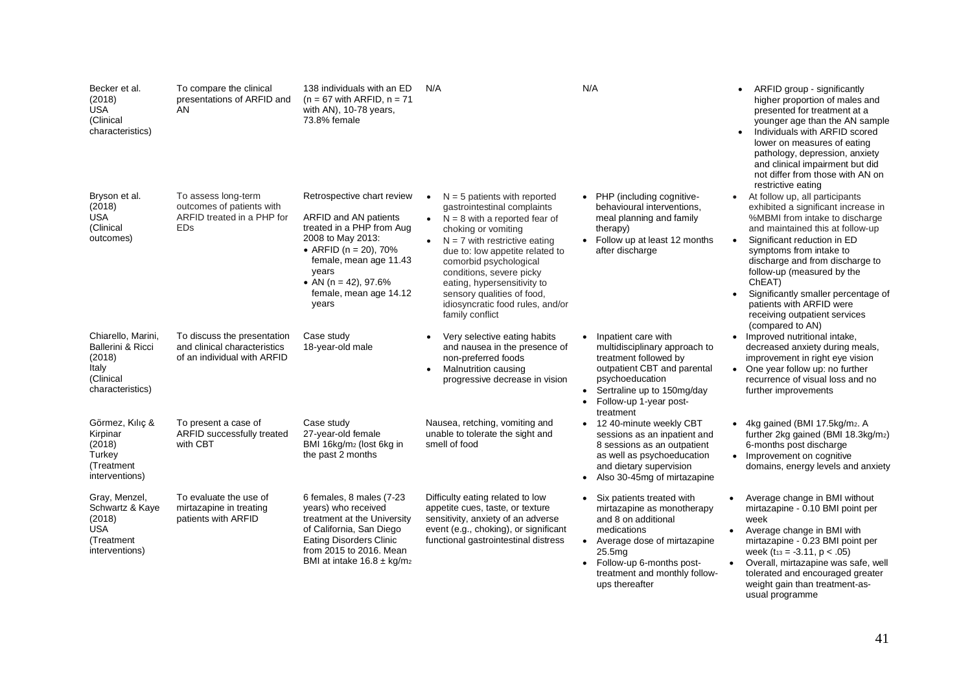| Becker et al.<br>(2018)<br><b>USA</b><br>(Clinical<br>characteristics)                      | To compare the clinical<br>presentations of ARFID and<br>AN                                  | 138 individuals with an ED<br>$(n = 67$ with ARFID, $n = 71$<br>with AN), 10-78 years,<br>73.8% female                                                                                                                           | N/A                                                                                                                                                                                                                                                                                                                                                                                  | N/A                                                                                                                                                                                                                       | ARFID group - significantly<br>higher proportion of males and<br>presented for treatment at a<br>younger age than the AN sample<br>Individuals with ARFID scored<br>$\bullet$<br>lower on measures of eating<br>pathology, depression, anxiety<br>and clinical impairment but did<br>not differ from those with AN on<br>restrictive eating                                                                           |
|---------------------------------------------------------------------------------------------|----------------------------------------------------------------------------------------------|----------------------------------------------------------------------------------------------------------------------------------------------------------------------------------------------------------------------------------|--------------------------------------------------------------------------------------------------------------------------------------------------------------------------------------------------------------------------------------------------------------------------------------------------------------------------------------------------------------------------------------|---------------------------------------------------------------------------------------------------------------------------------------------------------------------------------------------------------------------------|-----------------------------------------------------------------------------------------------------------------------------------------------------------------------------------------------------------------------------------------------------------------------------------------------------------------------------------------------------------------------------------------------------------------------|
| Bryson et al.<br>(2018)<br><b>USA</b><br>(Clinical<br>outcomes)                             | To assess long-term<br>outcomes of patients with<br>ARFID treated in a PHP for<br><b>EDs</b> | Retrospective chart review<br>ARFID and AN patients<br>treated in a PHP from Aug<br>2008 to May 2013:<br>• ARFID ( $n = 20$ ), 70%<br>female, mean age 11.43<br>years<br>• AN (n = 42), 97.6%<br>female, mean age 14.12<br>years | $N = 5$ patients with reported<br>gastrointestinal complaints<br>$N = 8$ with a reported fear of<br>choking or vomiting<br>$N = 7$ with restrictive eating<br>$\bullet$<br>due to: low appetite related to<br>comorbid psychological<br>conditions, severe picky<br>eating, hypersensitivity to<br>sensory qualities of food.<br>idiosyncratic food rules, and/or<br>family conflict | PHP (including cognitive-<br>behavioural interventions,<br>meal planning and family<br>therapy)<br>• Follow up at least 12 months<br>after discharge                                                                      | At follow up, all participants<br>exhibited a significant increase in<br>%MBMI from intake to discharge<br>and maintained this at follow-up<br>Significant reduction in ED<br>$\bullet$<br>symptoms from intake to<br>discharge and from discharge to<br>follow-up (measured by the<br>ChEAT)<br>Significantly smaller percentage of<br>patients with ARFID were<br>receiving outpatient services<br>(compared to AN) |
| Chiarello, Marini,<br>Ballerini & Ricci<br>(2018)<br>Italy<br>(Clinical<br>characteristics) | To discuss the presentation<br>and clinical characteristics<br>of an individual with ARFID   | Case study<br>18-year-old male                                                                                                                                                                                                   | Very selective eating habits<br>and nausea in the presence of<br>non-preferred foods<br><b>Malnutrition causing</b><br>$\bullet$<br>progressive decrease in vision                                                                                                                                                                                                                   | Inpatient care with<br>multidisciplinary approach to<br>treatment followed by<br>outpatient CBT and parental<br>psychoeducation<br>• Sertraline up to 150mg/day<br>Follow-up 1-year post-<br>treatment                    | • Improved nutritional intake,<br>decreased anxiety during meals,<br>improvement in right eye vision<br>• One year follow up: no further<br>recurrence of visual loss and no<br>further improvements                                                                                                                                                                                                                  |
| Görmez, Kılıç &<br>Kirpinar<br>(2018)<br>Turkey<br>(Treatment<br>interventions)             | To present a case of<br>ARFID successfully treated<br>with CBT                               | Case study<br>27-year-old female<br>BMI 16kg/m2 (lost 6kg in<br>the past 2 months                                                                                                                                                | Nausea, retching, vomiting and<br>unable to tolerate the sight and<br>smell of food                                                                                                                                                                                                                                                                                                  | • 12 40-minute weekly CBT<br>sessions as an inpatient and<br>8 sessions as an outpatient<br>as well as psychoeducation<br>and dietary supervision<br>• Also 30-45mg of mirtazapine                                        | • 4kg gained (BMI 17.5kg/m2. A<br>further 2kg gained (BMI 18.3kg/m2)<br>6-months post discharge<br>• Improvement on cognitive<br>domains, energy levels and anxiety                                                                                                                                                                                                                                                   |
| Gray, Menzel,<br>Schwartz & Kaye<br>(2018)<br><b>USA</b><br>(Treatment<br>interventions)    | To evaluate the use of<br>mirtazapine in treating<br>patients with ARFID                     | 6 females, 8 males (7-23<br>years) who received<br>treatment at the University<br>of California, San Diego<br><b>Eating Disorders Clinic</b><br>from 2015 to 2016. Mean<br>BMI at intake $16.8 \pm \text{kg/m}_2$                | Difficulty eating related to low<br>appetite cues, taste, or texture<br>sensitivity, anxiety of an adverse<br>event (e.g., choking), or significant<br>functional gastrointestinal distress                                                                                                                                                                                          | • Six patients treated with<br>mirtazapine as monotherapy<br>and 8 on additional<br>medications<br>• Average dose of mirtazapine<br>25.5ma<br>Follow-up 6-months post-<br>treatment and monthly follow-<br>ups thereafter | Average change in BMI without<br>mirtazapine - 0.10 BMI point per<br>week<br>Average change in BMI with<br>mirtazapine - 0.23 BMI point per<br>week $(t_{13} = -3.11, p < .05)$<br>Overall, mirtazapine was safe, well<br>tolerated and encouraged greater<br>weight gain than treatment-as-                                                                                                                          |

usual programme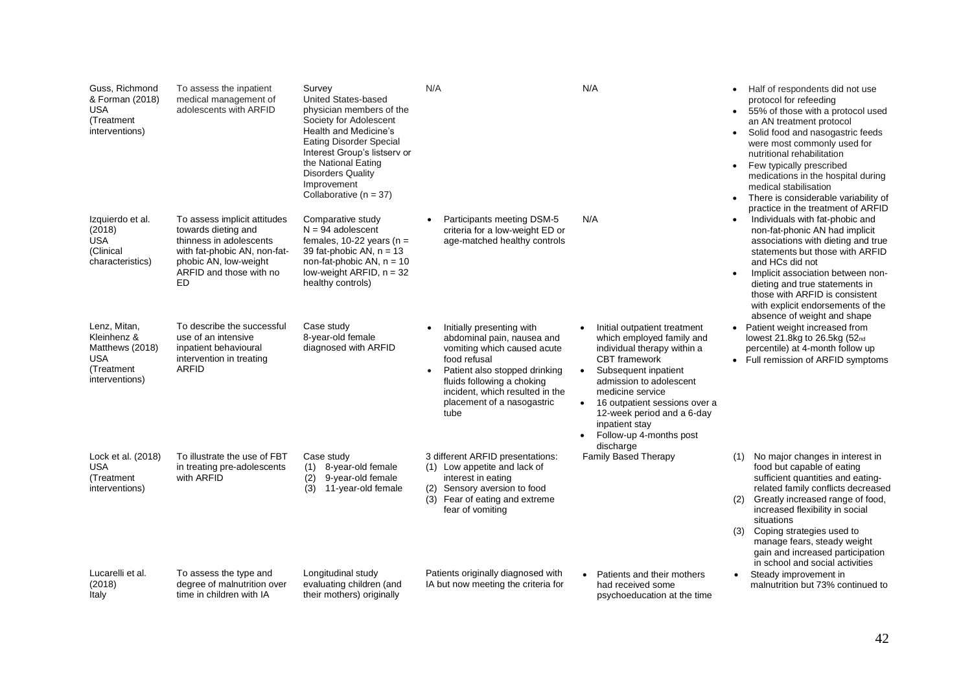| Guss, Richmond<br>& Forman (2018)<br><b>USA</b><br>(Treatment<br>interventions)              | To assess the inpatient<br>medical management of<br>adolescents with ARFID                                                                                                | Survey<br>United States-based<br>physician members of the<br>Society for Adolescent<br>Health and Medicine's<br><b>Eating Disorder Special</b><br>Interest Group's listserv or<br>the National Eating<br><b>Disorders Quality</b><br>Improvement<br>Collaborative ( $n = 37$ ) | N/A                                                                                                                                                                                                                                                         | N/A                                                                                                                                                                                                                                                                                                              | Half of respondents did not use<br>protocol for refeeding<br>55% of those with a protocol used<br>an AN treatment protocol<br>Solid food and nasogastric feeds<br>were most commonly used for<br>nutritional rehabilitation<br>Few typically prescribed<br>medications in the hospital during<br>medical stabilisation<br>There is considerable variability of<br>practice in the treatment of ARFID |
|----------------------------------------------------------------------------------------------|---------------------------------------------------------------------------------------------------------------------------------------------------------------------------|--------------------------------------------------------------------------------------------------------------------------------------------------------------------------------------------------------------------------------------------------------------------------------|-------------------------------------------------------------------------------------------------------------------------------------------------------------------------------------------------------------------------------------------------------------|------------------------------------------------------------------------------------------------------------------------------------------------------------------------------------------------------------------------------------------------------------------------------------------------------------------|------------------------------------------------------------------------------------------------------------------------------------------------------------------------------------------------------------------------------------------------------------------------------------------------------------------------------------------------------------------------------------------------------|
| Izquierdo et al.<br>(2018)<br>USA<br>(Clinical<br>characteristics)                           | To assess implicit attitudes<br>towards dieting and<br>thinness in adolescents<br>with fat-phobic AN, non-fat-<br>phobic AN, low-weight<br>ARFID and those with no<br>ED. | Comparative study<br>$N = 94$ adolescent<br>females, 10-22 years ( $n =$<br>39 fat-phobic AN, $n = 13$<br>non-fat-phobic AN, $n = 10$<br>low-weight ARFID, $n = 32$<br>healthy controls)                                                                                       | Participants meeting DSM-5<br>criteria for a low-weight ED or<br>age-matched healthy controls                                                                                                                                                               | N/A                                                                                                                                                                                                                                                                                                              | Individuals with fat-phobic and<br>non-fat-phonic AN had implicit<br>associations with dieting and true<br>statements but those with ARFID<br>and HCs did not<br>Implicit association between non-<br>dieting and true statements in<br>those with ARFID is consistent<br>with explicit endorsements of the<br>absence of weight and shape                                                           |
| Lenz, Mitan.<br>Kleinhenz &<br>Matthews (2018)<br><b>USA</b><br>(Treatment<br>interventions) | To describe the successful<br>use of an intensive<br>inpatient behavioural<br>intervention in treating<br><b>ARFID</b>                                                    | Case study<br>8-year-old female<br>diagnosed with ARFID                                                                                                                                                                                                                        | Initially presenting with<br>abdominal pain, nausea and<br>vomiting which caused acute<br>food refusal<br>Patient also stopped drinking<br>$\bullet$<br>fluids following a choking<br>incident, which resulted in the<br>placement of a nasogastric<br>tube | Initial outpatient treatment<br>which employed family and<br>individual therapy within a<br><b>CBT</b> framework<br>Subsequent inpatient<br>admission to adolescent<br>medicine service<br>16 outpatient sessions over a<br>12-week period and a 6-day<br>inpatient stay<br>Follow-up 4-months post<br>discharge | Patient weight increased from<br>lowest 21.8kg to 26.5kg (52nd<br>percentile) at 4-month follow up<br>• Full remission of ARFID symptoms                                                                                                                                                                                                                                                             |
| Lock et al. (2018)<br><b>USA</b><br>(Treatment<br>interventions)                             | To illustrate the use of FBT<br>in treating pre-adolescents<br>with ARFID                                                                                                 | Case study<br>$(1)$ 8-year-old female<br>9-year-old female<br>(2)<br>(3)<br>11-year-old female                                                                                                                                                                                 | 3 different ARFID presentations:<br>(1) Low appetite and lack of<br>interest in eating<br>Sensory aversion to food<br>(2)<br>(3) Fear of eating and extreme<br>fear of vomiting                                                                             | <b>Family Based Therapy</b>                                                                                                                                                                                                                                                                                      | No major changes in interest in<br>(1)<br>food but capable of eating<br>sufficient quantities and eating-<br>related family conflicts decreased<br>Greatly increased range of food,<br>(2)<br>increased flexibility in social<br>situations<br>Coping strategies used to<br>(3)<br>manage fears, steady weight<br>gain and increased participation<br>in school and social activities                |
| Lucarelli et al.<br>(2018)<br>Italy                                                          | To assess the type and<br>degree of malnutrition over<br>time in children with IA                                                                                         | Longitudinal study<br>evaluating children (and<br>their mothers) originally                                                                                                                                                                                                    | Patients originally diagnosed with<br>IA but now meeting the criteria for                                                                                                                                                                                   | • Patients and their mothers<br>had received some<br>psychoeducation at the time                                                                                                                                                                                                                                 | Steady improvement in<br>٠<br>malnutrition but 73% continued to                                                                                                                                                                                                                                                                                                                                      |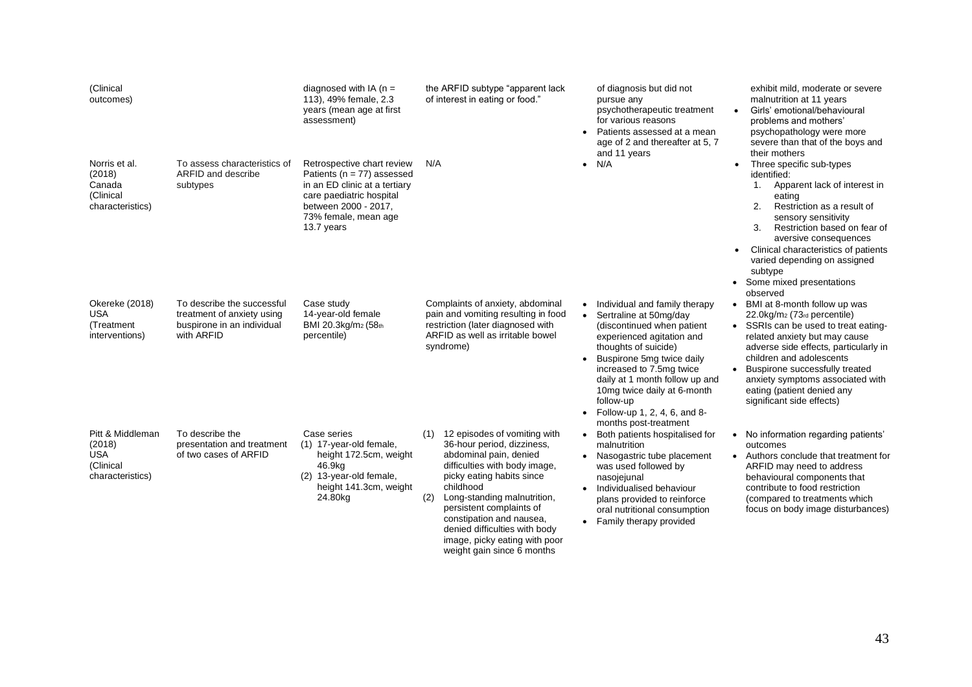| (Clinical<br>outcomes)                                                    |                                                                                                      | diagnosed with IA ( $n =$<br>113), 49% female, 2.3<br>years (mean age at first<br>assessment)                                                                                           | the ARFID subtype "apparent lack"<br>of interest in eating or food."                                                                                                                                                                                                                                                                   | of diagnosis but did not<br>pursue any<br>psychotherapeutic treatment<br>for various reasons<br>Patients assessed at a mean<br>$\bullet$<br>age of 2 and thereafter at 5, 7<br>and 11 years                                                                                                                                                                   | exhibit mild, moderate or severe<br>malnutrition at 11 years<br>Girls' emotional/behavioural<br>$\bullet$<br>problems and mothers'<br>psychopathology were more<br>severe than that of the boys and<br>their mothers                                                                                                                                     |
|---------------------------------------------------------------------------|------------------------------------------------------------------------------------------------------|-----------------------------------------------------------------------------------------------------------------------------------------------------------------------------------------|----------------------------------------------------------------------------------------------------------------------------------------------------------------------------------------------------------------------------------------------------------------------------------------------------------------------------------------|---------------------------------------------------------------------------------------------------------------------------------------------------------------------------------------------------------------------------------------------------------------------------------------------------------------------------------------------------------------|----------------------------------------------------------------------------------------------------------------------------------------------------------------------------------------------------------------------------------------------------------------------------------------------------------------------------------------------------------|
| Norris et al.<br>(2018)<br>Canada<br>(Clinical<br>characteristics)        | To assess characteristics of<br>ARFID and describe<br>subtypes                                       | Retrospective chart review<br>Patients ( $n = 77$ ) assessed<br>in an ED clinic at a tertiary<br>care paediatric hospital<br>between 2000 - 2017,<br>73% female, mean age<br>13.7 years | N/A                                                                                                                                                                                                                                                                                                                                    | $\bullet$ N/A                                                                                                                                                                                                                                                                                                                                                 | Three specific sub-types<br>$\bullet$<br>identified:<br>1. Apparent lack of interest in<br>eating<br>2.<br>Restriction as a result of<br>sensory sensitivity<br>3.<br>Restriction based on fear of<br>aversive consequences<br>Clinical characteristics of patients<br>varied depending on assigned<br>subtype<br>• Some mixed presentations<br>observed |
| Okereke (2018)<br><b>USA</b><br>(Treatment)<br>interventions)             | To describe the successful<br>treatment of anxiety using<br>buspirone in an individual<br>with ARFID | Case study<br>14-year-old female<br>BMI 20.3kg/m <sub>2</sub> (58th<br>percentile)                                                                                                      | Complaints of anxiety, abdominal<br>pain and vomiting resulting in food<br>restriction (later diagnosed with<br>ARFID as well as irritable bowel<br>syndrome)                                                                                                                                                                          | • Individual and family therapy<br>Sertraline at 50mg/day<br>$\bullet$<br>(discontinued when patient<br>experienced agitation and<br>thoughts of suicide)<br>• Buspirone 5mg twice daily<br>increased to 7.5mg twice<br>daily at 1 month follow up and<br>10mg twice daily at 6-month<br>follow-up<br>• Follow-up 1, 2, 4, 6, and 8-<br>months post-treatment | • BMI at 8-month follow up was<br>22.0kg/m2 (73rd percentile)<br>• SSRIs can be used to treat eating-<br>related anxiety but may cause<br>adverse side effects, particularly in<br>children and adolescents<br>• Buspirone successfully treated<br>anxiety symptoms associated with<br>eating (patient denied any<br>significant side effects)           |
| Pitt & Middleman<br>(2018)<br><b>USA</b><br>(Clinical<br>characteristics) | To describe the<br>presentation and treatment<br>of two cases of ARFID                               | Case series<br>(1) 17-year-old female,<br>height 172.5cm, weight<br>46.9kg<br>(2) 13-year-old female,<br>height 141.3cm, weight<br>24.80kg                                              | 12 episodes of vomiting with<br>(1)<br>36-hour period, dizziness,<br>abdominal pain, denied<br>difficulties with body image,<br>picky eating habits since<br>childhood<br>Long-standing malnutrition,<br>(2)<br>persistent complaints of<br>constipation and nausea,<br>denied difficulties with body<br>image, picky eating with poor | • Both patients hospitalised for<br>malnutrition<br>• Nasogastric tube placement<br>was used followed by<br>nasojejunal<br>• Individualised behaviour<br>plans provided to reinforce<br>oral nutritional consumption<br>• Family therapy provided                                                                                                             | • No information regarding patients'<br>outcomes<br>• Authors conclude that treatment for<br>ARFID may need to address<br>behavioural components that<br>contribute to food restriction<br>(compared to treatments which<br>focus on body image disturbances)                                                                                            |

weight gain since 6 months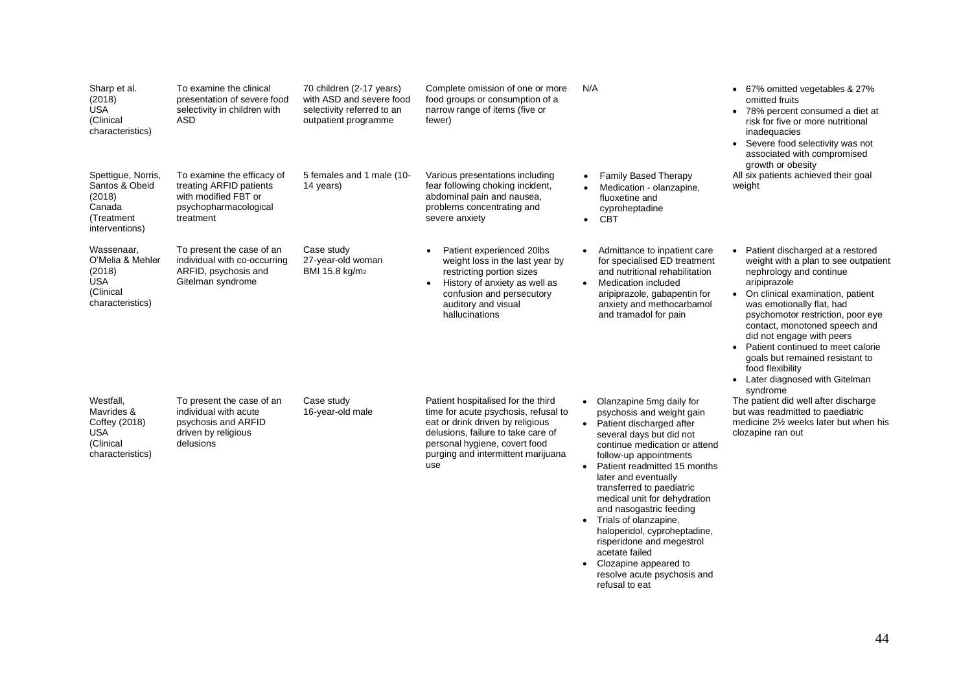| Sharp et al.<br>(2018)<br><b>USA</b><br>(Clinical<br>characteristics)                     | To examine the clinical<br>presentation of severe food<br>selectivity in children with<br>ASD.                      | 70 children (2-17 years)<br>with ASD and severe food<br>selectivity referred to an<br>outpatient programme | Complete omission of one or more<br>food groups or consumption of a<br>narrow range of items (five or<br>fewer)                                                                                                                    | N/A                                                                                                                                                                                                                                                                                                                                                                                                                                                                                          | • 67% omitted vegetables & 27%<br>omitted fruits<br>• 78% percent consumed a diet at<br>risk for five or more nutritional<br>inadequacies<br>Severe food selectivity was not<br>associated with compromised<br>growth or obesity                                                                                                                                                                                                 |
|-------------------------------------------------------------------------------------------|---------------------------------------------------------------------------------------------------------------------|------------------------------------------------------------------------------------------------------------|------------------------------------------------------------------------------------------------------------------------------------------------------------------------------------------------------------------------------------|----------------------------------------------------------------------------------------------------------------------------------------------------------------------------------------------------------------------------------------------------------------------------------------------------------------------------------------------------------------------------------------------------------------------------------------------------------------------------------------------|----------------------------------------------------------------------------------------------------------------------------------------------------------------------------------------------------------------------------------------------------------------------------------------------------------------------------------------------------------------------------------------------------------------------------------|
| Spettigue, Norris,<br>Santos & Obeid<br>(2018)<br>Canada<br>(Treatment)<br>interventions) | To examine the efficacy of<br>treating ARFID patients<br>with modified FBT or<br>psychopharmacological<br>treatment | 5 females and 1 male (10-<br>14 years)                                                                     | Various presentations including<br>fear following choking incident,<br>abdominal pain and nausea,<br>problems concentrating and<br>severe anxiety                                                                                  | <b>Family Based Therapy</b><br>$\bullet$<br>Medication - olanzapine,<br>$\bullet$<br>fluoxetine and<br>cyproheptadine<br>CBT<br>$\bullet$                                                                                                                                                                                                                                                                                                                                                    | All six patients achieved their goal<br>weight                                                                                                                                                                                                                                                                                                                                                                                   |
| Wassenaar.<br>O'Melia & Mehler<br>(2018)<br><b>USA</b><br>(Clinical<br>characteristics)   | To present the case of an<br>individual with co-occurring<br>ARFID, psychosis and<br>Gitelman syndrome              | Case study<br>27-year-old woman<br>BMI 15.8 kg/m <sub>2</sub>                                              | Patient experienced 20lbs<br>$\bullet$<br>weight loss in the last year by<br>restricting portion sizes<br>History of anxiety as well as<br>$\bullet$<br>confusion and persecutory<br>auditory and visual<br>hallucinations         | Admittance to inpatient care<br>$\bullet$<br>for specialised ED treatment<br>and nutritional rehabilitation<br>Medication included<br>$\bullet$<br>aripiprazole, gabapentin for<br>anxiety and methocarbamol<br>and tramadol for pain                                                                                                                                                                                                                                                        | Patient discharged at a restored<br>weight with a plan to see outpatient<br>nephrology and continue<br>aripiprazole<br>On clinical examination, patient<br>was emotionally flat, had<br>psychomotor restriction, poor eye<br>contact, monotoned speech and<br>did not engage with peers<br>Patient continued to meet calorie<br>goals but remained resistant to<br>food flexibility<br>Later diagnosed with Gitelman<br>syndrome |
| Westfall,<br>Mavrides &<br>Coffey (2018)<br>USA<br>(Clinical<br>characteristics)          | To present the case of an<br>individual with acute<br>psychosis and ARFID<br>driven by religious<br>delusions       | Case study<br>16-year-old male                                                                             | Patient hospitalised for the third<br>time for acute psychosis, refusal to<br>eat or drink driven by religious<br>delusions, failure to take care of<br>personal hygiene, covert food<br>purging and intermittent marijuana<br>use | • Olanzapine 5mg daily for<br>psychosis and weight gain<br>• Patient discharged after<br>several days but did not<br>continue medication or attend<br>follow-up appointments<br>Patient readmitted 15 months<br>later and eventually<br>transferred to paediatric<br>medical unit for dehydration<br>and nasogastric feeding<br>Trials of olanzapine,<br>haloperidol, cyproheptadine,<br>risperidone and megestrol<br>acetate failed<br>Clozapine appeared to<br>resolve acute psychosis and | The patient did well after discharge<br>but was readmitted to paediatric<br>medicine 2 <sup>1/2</sup> weeks later but when his<br>clozapine ran out                                                                                                                                                                                                                                                                              |

refusal to eat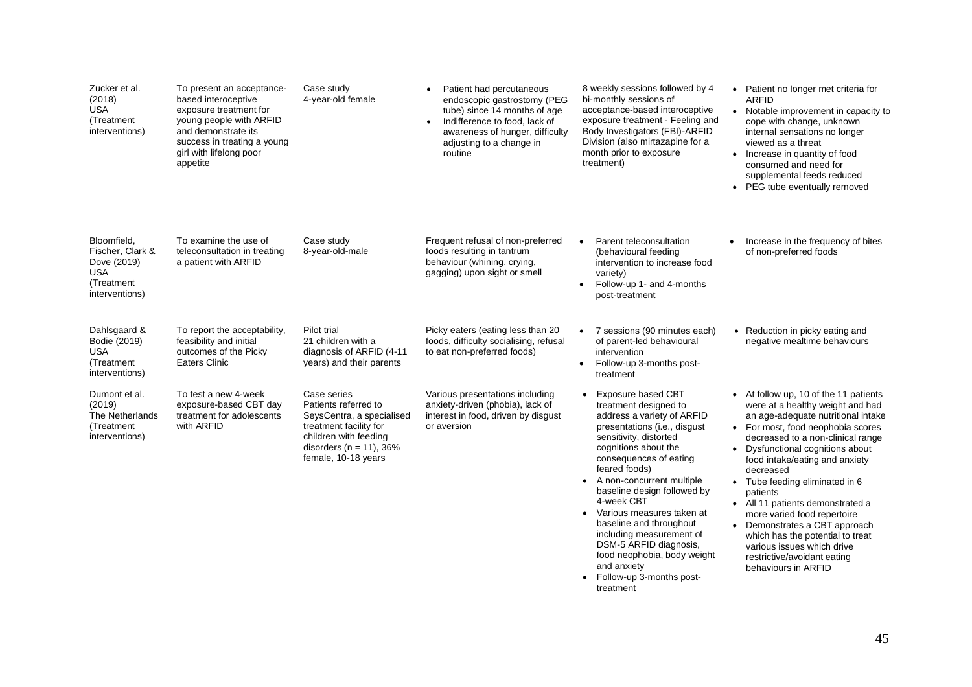| Zucker et al.<br>(2018)<br><b>USA</b><br>(Treatment<br>interventions)                        | To present an acceptance-<br>based interoceptive<br>exposure treatment for<br>young people with ARFID<br>and demonstrate its<br>success in treating a young<br>girl with lifelong poor<br>appetite | Case study<br>4-year-old female                                                                                                                                          | Patient had percutaneous<br>endoscopic gastrostomy (PEG<br>tube) since 14 months of age<br>Indifference to food, lack of<br>awareness of hunger, difficulty<br>adjusting to a change in<br>routine | 8 weekly sessions followed by 4<br>bi-monthly sessions of<br>acceptance-based interoceptive<br>exposure treatment - Feeling and<br>Body Investigators (FBI)-ARFID<br>Division (also mirtazapine for a<br>month prior to exposure<br>treatment)                                                                                                                         | • Patient no longer met criteria for<br><b>ARFID</b><br>• Notable improvement in capacity to<br>cope with change, unknown<br>internal sensations no longer<br>viewed as a threat<br>• Increase in quantity of food<br>consumed and need for<br>supplemental feeds reduced<br>• PEG tube eventually removed                                                                                                                                                         |
|----------------------------------------------------------------------------------------------|----------------------------------------------------------------------------------------------------------------------------------------------------------------------------------------------------|--------------------------------------------------------------------------------------------------------------------------------------------------------------------------|----------------------------------------------------------------------------------------------------------------------------------------------------------------------------------------------------|------------------------------------------------------------------------------------------------------------------------------------------------------------------------------------------------------------------------------------------------------------------------------------------------------------------------------------------------------------------------|--------------------------------------------------------------------------------------------------------------------------------------------------------------------------------------------------------------------------------------------------------------------------------------------------------------------------------------------------------------------------------------------------------------------------------------------------------------------|
| Bloomfield.<br>Fischer, Clark &<br>Dove (2019)<br><b>USA</b><br>(Treatment<br>interventions) | To examine the use of<br>teleconsultation in treating<br>a patient with ARFID                                                                                                                      | Case study<br>8-year-old-male                                                                                                                                            | Frequent refusal of non-preferred<br>foods resulting in tantrum<br>behaviour (whining, crying,<br>gagging) upon sight or smell                                                                     | Parent teleconsultation<br>$\bullet$<br>(behavioural feeding<br>intervention to increase food<br>variety)<br>Follow-up 1- and 4-months<br>post-treatment                                                                                                                                                                                                               | Increase in the frequency of bites<br>of non-preferred foods                                                                                                                                                                                                                                                                                                                                                                                                       |
| Dahlsgaard &<br>Bodie (2019)<br><b>USA</b><br>(Treatment)<br>interventions)                  | To report the acceptability,<br>feasibility and initial<br>outcomes of the Picky<br><b>Eaters Clinic</b>                                                                                           | Pilot trial<br>21 children with a<br>diagnosis of ARFID (4-11<br>years) and their parents                                                                                | Picky eaters (eating less than 20<br>foods, difficulty socialising, refusal<br>to eat non-preferred foods)                                                                                         | • 7 sessions (90 minutes each)<br>of parent-led behavioural<br>intervention<br>Follow-up 3-months post-<br>treatment                                                                                                                                                                                                                                                   | • Reduction in picky eating and<br>negative mealtime behaviours                                                                                                                                                                                                                                                                                                                                                                                                    |
| Dumont et al.<br>(2019)<br>The Netherlands<br>(Treatment<br>interventions)                   | To test a new 4-week<br>exposure-based CBT day<br>treatment for adolescents<br>with ARFID                                                                                                          | Case series<br>Patients referred to<br>SeysCentra, a specialised<br>treatment facility for<br>children with feeding<br>disorders $(n = 11)$ , 36%<br>female, 10-18 years | Various presentations including<br>anxiety-driven (phobia), lack of<br>interest in food, driven by disgust<br>or aversion                                                                          | Exposure based CBT<br>treatment designed to<br>address a variety of ARFID<br>presentations (i.e., disgust<br>sensitivity, distorted<br>cognitions about the<br>consequences of eating<br>feared foods)<br>A non-concurrent multiple<br>baseline design followed by<br>4-week CBT<br>• Various measures taken at<br>baseline and throughout<br>including measurement of | • At follow up, 10 of the 11 patients<br>were at a healthy weight and had<br>an age-adequate nutritional intake<br>• For most, food neophobia scores<br>decreased to a non-clinical range<br>• Dysfunctional cognitions about<br>food intake/eating and anxiety<br>decreased<br>• Tube feeding eliminated in 6<br>patients<br>• All 11 patients demonstrated a<br>more varied food repertoire<br>• Demonstrates a CBT approach<br>which has the potential to treat |

various issues which drive restrictive/avoidant eating behaviours in ARFID

DSM-5 ARFID diagnosis, food neophobia, body weight

• Follow-up 3-months post-

and anxiety

treatment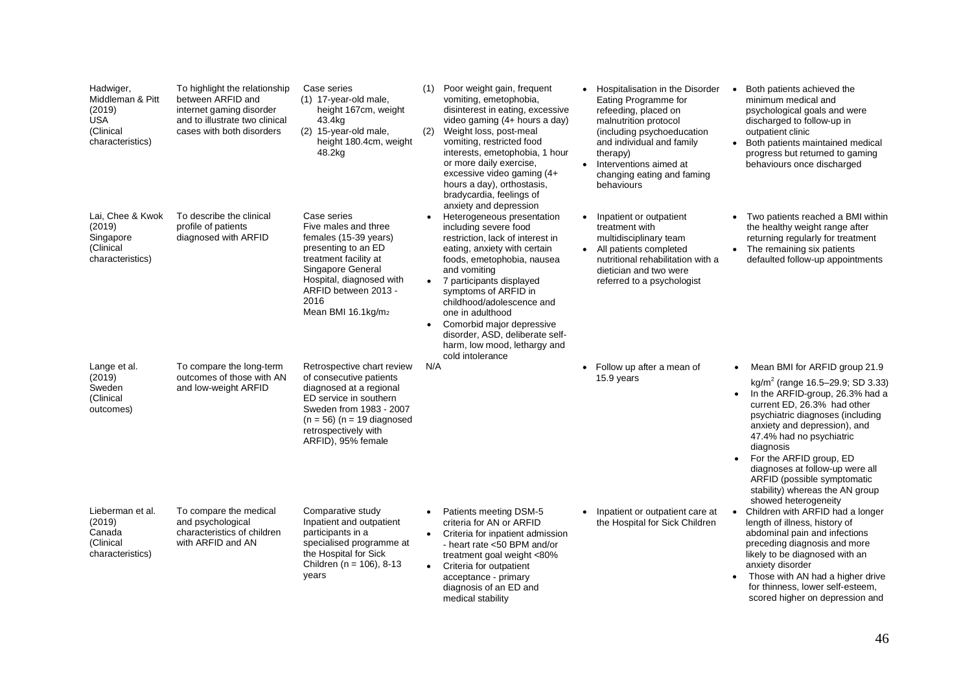| Hadwiger,<br>Middleman & Pitt<br>(2019)<br>USA<br>(Clinical<br>characteristics) | To highlight the relationship<br>between ARFID and<br>internet gaming disorder<br>and to illustrate two clinical<br>cases with both disorders | Case series<br>(1) 17-year-old male,<br>height 167cm, weight<br>43.4kg<br>(2) 15-year-old male,<br>height 180.4cm, weight<br>48.2kg                                                                                 | (1)<br>(2)                          | Poor weight gain, frequent<br>vomiting, emetophobia,<br>disinterest in eating, excessive<br>video gaming (4+ hours a day)<br>Weight loss, post-meal<br>vomiting, restricted food<br>interests, emetophobia, 1 hour<br>or more daily exercise,<br>excessive video gaming (4+<br>hours a day), orthostasis,<br>bradycardia, feelings of<br>anxiety and depression                                | $\bullet$ | Hospitalisation in the Disorder<br>Eating Programme for<br>refeeding, placed on<br>malnutrition protocol<br>(including psychoeducation<br>and individual and family<br>therapy)<br>Interventions aimed at<br>changing eating and faming<br>behaviours | $\bullet$ | Both patients achieved the<br>minimum medical and<br>psychological goals and were<br>discharged to follow-up in<br>outpatient clinic<br>• Both patients maintained medical<br>progress but returned to gaming<br>behaviours once discharged                                                                                                                                                                          |
|---------------------------------------------------------------------------------|-----------------------------------------------------------------------------------------------------------------------------------------------|---------------------------------------------------------------------------------------------------------------------------------------------------------------------------------------------------------------------|-------------------------------------|------------------------------------------------------------------------------------------------------------------------------------------------------------------------------------------------------------------------------------------------------------------------------------------------------------------------------------------------------------------------------------------------|-----------|-------------------------------------------------------------------------------------------------------------------------------------------------------------------------------------------------------------------------------------------------------|-----------|----------------------------------------------------------------------------------------------------------------------------------------------------------------------------------------------------------------------------------------------------------------------------------------------------------------------------------------------------------------------------------------------------------------------|
| Lai, Chee & Kwok<br>(2019)<br>Singapore<br>(Clinical<br>characteristics)        | To describe the clinical<br>profile of patients<br>diagnosed with ARFID                                                                       | Case series<br>Five males and three<br>females (15-39 years)<br>presenting to an ED<br>treatment facility at<br>Singapore General<br>Hospital, diagnosed with<br>ARFID between 2013 -<br>2016<br>Mean BMI 16.1kg/m2 | $\bullet$                           | Heterogeneous presentation<br>including severe food<br>restriction, lack of interest in<br>eating, anxiety with certain<br>foods, emetophobia, nausea<br>and vomiting<br>7 participants displayed<br>symptoms of ARFID in<br>childhood/adolescence and<br>one in adulthood<br>Comorbid major depressive<br>disorder, ASD, deliberate self-<br>harm, low mood, lethargy and<br>cold intolerance |           | Inpatient or outpatient<br>treatment with<br>multidisciplinary team<br>• All patients completed<br>nutritional rehabilitation with a<br>dietician and two were<br>referred to a psychologist                                                          |           | • Two patients reached a BMI within<br>the healthy weight range after<br>returning regularly for treatment<br>• The remaining six patients<br>defaulted follow-up appointments                                                                                                                                                                                                                                       |
| Lange et al.<br>(2019)<br>Sweden<br>(Clinical<br>outcomes)                      | To compare the long-term<br>outcomes of those with AN<br>and low-weight ARFID                                                                 | Retrospective chart review<br>of consecutive patients<br>diagnosed at a regional<br>ED service in southern<br>Sweden from 1983 - 2007<br>$(n = 56)$ (n = 19 diagnosed<br>retrospectively with<br>ARFID), 95% female | N/A                                 |                                                                                                                                                                                                                                                                                                                                                                                                |           | • Follow up after a mean of<br>15.9 years                                                                                                                                                                                                             |           | Mean BMI for ARFID group 21.9<br>kg/m <sup>2</sup> (range 16.5–29.9; SD 3.33)<br>In the ARFID-group, 26.3% had a<br>current ED, 26.3% had other<br>psychiatric diagnoses (including<br>anxiety and depression), and<br>47.4% had no psychiatric<br>diagnosis<br>For the ARFID group, ED<br>diagnoses at follow-up were all<br>ARFID (possible symptomatic<br>stability) whereas the AN group<br>showed heterogeneity |
| Lieberman et al.<br>(2019)<br>Canada<br>(Clinical<br>characteristics)           | To compare the medical<br>and psychological<br>characteristics of children<br>with ARFID and AN                                               | Comparative study<br>Inpatient and outpatient<br>participants in a<br>specialised programme at<br>the Hospital for Sick<br>Children ( $n = 106$ ), 8-13<br>years                                                    | $\bullet$<br>$\bullet$<br>$\bullet$ | Patients meeting DSM-5<br>criteria for AN or ARFID<br>Criteria for inpatient admission<br>- heart rate <50 BPM and/or<br>treatment goal weight <80%<br>Criteria for outpatient<br>acceptance - primary<br>diagnosis of an ED and<br>medical stability                                                                                                                                          | $\bullet$ | Inpatient or outpatient care at<br>the Hospital for Sick Children                                                                                                                                                                                     | $\bullet$ | Children with ARFID had a longer<br>length of illness, history of<br>abdominal pain and infections<br>preceding diagnosis and more<br>likely to be diagnosed with an<br>anxiety disorder<br>Those with AN had a higher drive<br>for thinness, lower self-esteem,<br>scored higher on depression and                                                                                                                  |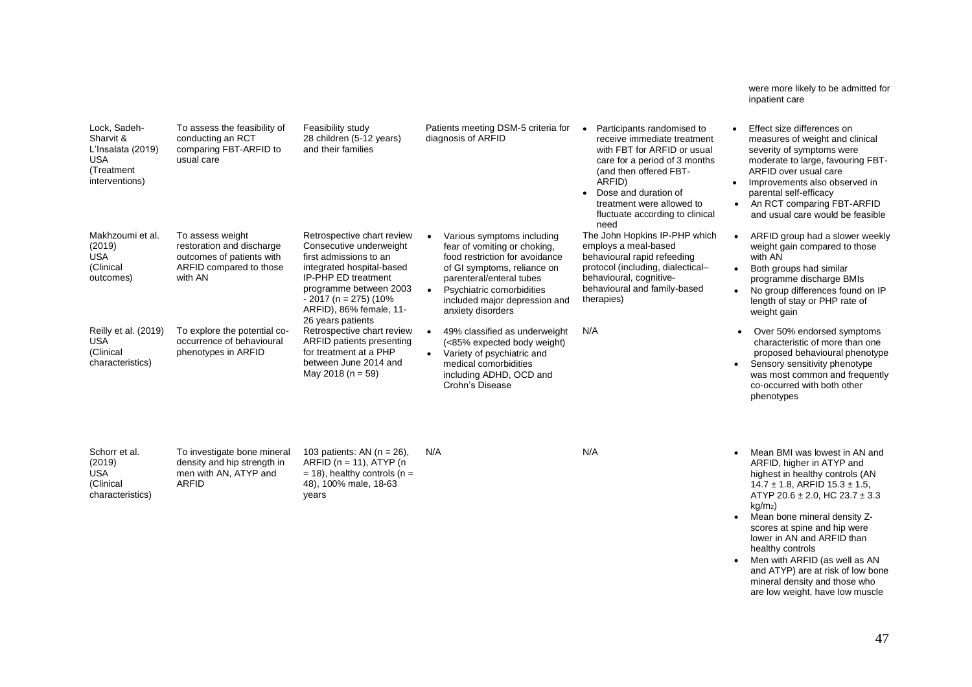were more likely to be admitted for inpatient care

| Lock, Sadeh-<br>Sharvit &<br>L'Insalata (2019)<br><b>USA</b><br>(Treatment<br>interventions) | To assess the feasibility of<br>conducting an RCT<br>comparing FBT-ARFID to<br>usual care                        | Feasibility study<br>28 children (5-12 years)<br>and their families                                                                                                                                                                            | Patients meeting DSM-5 criteria for<br>diagnosis of ARFID                                                                                                                                                                                  | Participants randomised to<br>receive immediate treatment<br>with FBT for ARFID or usual<br>care for a period of 3 months<br>(and then offered FBT-<br>ARFID)<br>Dose and duration of<br>treatment were allowed to<br>fluctuate according to clinical<br>need | Effect size differences on<br>measures of weight and clinical<br>severity of symptoms were<br>moderate to large, favouring FBT-<br>ARFID over usual care<br>Improvements also observed in<br>parental self-efficacy<br>An RCT comparing FBT-ARFID<br>$\bullet$<br>and usual care would be feasible |
|----------------------------------------------------------------------------------------------|------------------------------------------------------------------------------------------------------------------|------------------------------------------------------------------------------------------------------------------------------------------------------------------------------------------------------------------------------------------------|--------------------------------------------------------------------------------------------------------------------------------------------------------------------------------------------------------------------------------------------|---------------------------------------------------------------------------------------------------------------------------------------------------------------------------------------------------------------------------------------------------------------|----------------------------------------------------------------------------------------------------------------------------------------------------------------------------------------------------------------------------------------------------------------------------------------------------|
| Makhzoumi et al.<br>(2019)<br><b>USA</b><br>(Clinical<br>outcomes)                           | To assess weight<br>restoration and discharge<br>outcomes of patients with<br>ARFID compared to those<br>with AN | Retrospective chart review<br>Consecutive underweight<br>first admissions to an<br>integrated hospital-based<br><b>IP-PHP ED treatment</b><br>programme between 2003<br>$-2017$ (n = 275) (10%<br>ARFID), 86% female, 11-<br>26 years patients | Various symptoms including<br>fear of vomiting or choking,<br>food restriction for avoidance<br>of GI symptoms, reliance on<br>parenteral/enteral tubes<br>Psychiatric comorbidities<br>included major depression and<br>anxiety disorders | The John Hopkins IP-PHP which<br>employs a meal-based<br>behavioural rapid refeeding<br>protocol (including, dialectical-<br>behavioural, cognitive-<br>behavioural and family-based<br>therapies)                                                            | ARFID group had a slower weekly<br>weight gain compared to those<br>with AN<br>Both groups had similar<br>programme discharge BMIs<br>No group differences found on IP<br>$\bullet$<br>length of stay or PHP rate of<br>weight gain                                                                |
| Reilly et al. (2019)<br><b>USA</b><br>(Clinical<br>characteristics)                          | To explore the potential co-<br>occurrence of behavioural<br>phenotypes in ARFID                                 | Retrospective chart review<br>ARFID patients presenting<br>for treatment at a PHP<br>between June 2014 and<br>May 2018 ( $n = 59$ )                                                                                                            | 49% classified as underweight<br>(<85% expected body weight)<br>Variety of psychiatric and<br>medical comorbidities<br>including ADHD, OCD and<br>Crohn's Disease                                                                          | N/A                                                                                                                                                                                                                                                           | Over 50% endorsed symptoms<br>$\bullet$<br>characteristic of more than one<br>proposed behavioural phenotype<br>Sensory sensitivity phenotype<br>$\bullet$<br>was most common and frequently<br>co-occurred with both other<br>phenotypes                                                          |

| Schorr et al.    | To investigate bone mineral | 103 patients: AN $(n = 26)$ .       | N/A | N/A | Mean BMI was lowest in AN and           |
|------------------|-----------------------------|-------------------------------------|-----|-----|-----------------------------------------|
| (2019)           | density and hip strength in | ARFID ( $n = 11$ ), ATYP ( $n = 11$ |     |     | ARFID, higher in ATYP and               |
| USA              | men with AN. ATYP and       | $=$ 18), healthy controls (n =      |     |     | highest in healthy controls (AN         |
| (Clinical        | ARFID                       | 48), 100% male, 18-63               |     |     | $14.7 \pm 1.8$ . ARFID $15.3 \pm 1.5$ . |
| characteristics) |                             | vears                               |     |     | ATYP 20.6 $\pm$ 2.0. HC 23.7 $\pm$ 3.3  |

 $ATYP 20.6 \pm 2.0$ , HC  $23.7 \pm 3.3$ kg/m2) • Mean bone mineral density Zscores at spine and hip were lower in AN and ARFID than

healthy controls • Men with ARFID (as well as AN and ATYP) are at risk of low bone mineral density and those who are low weight, have low muscle